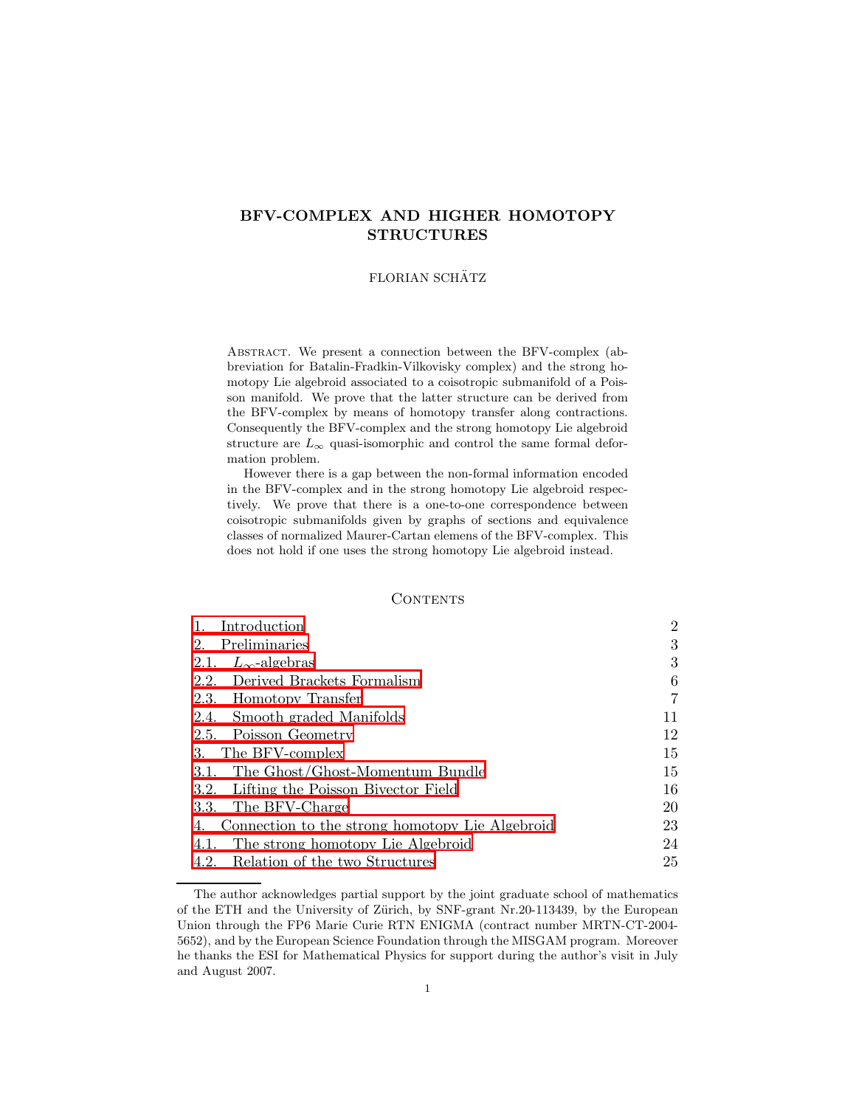# BFV-COMPLEX AND HIGHER HOMOTOPY STRUCTURES

# FLORIAN SCHÄTZ

Abstract. We present a connection between the BFV-complex (abbreviation for Batalin-Fradkin-Vilkovisky complex) and the strong homotopy Lie algebroid associated to a coisotropic submanifold of a Poisson manifold. We prove that the latter structure can be derived from the BFV-complex by means of homotopy transfer along contractions. Consequently the BFV-complex and the strong homotopy Lie algebroid structure are  $L_{\infty}$  quasi-isomorphic and control the same formal deformation problem.

However there is a gap between the non-formal information encoded in the BFV-complex and in the strong homotopy Lie algebroid respectively. We prove that there is a one-to-one correspondence between coisotropic submanifolds given by graphs of sections and equivalence classes of normalized Maurer-Cartan elemens of the BFV-complex. This does not hold if one uses the strong homotopy Lie algebroid instead.

## CONTENTS

| Introduction                                          | $\overline{2}$ |
|-------------------------------------------------------|----------------|
| 2.<br>Preliminaries                                   | 3              |
| 2.1. $L_{\infty}$ -algebras                           | 3              |
| 2.2. Derived Brackets Formalism                       | 6              |
| 2.3. Homotopy Transfer                                | 7              |
| 2.4. Smooth graded Manifolds                          | 11             |
| 2.5. Poisson Geometry                                 | 12             |
| The BFV-complex<br>3.                                 | 15             |
| 3.1. The Ghost/Ghost-Momentum Bundle                  | 15             |
| 3.2. Lifting the Poisson Bivector Field               | 16             |
| 3.3. The BFV-Charge                                   | 20             |
| Connection to the strong homotopy Lie Algebroid<br>4. | 23             |
| The strong homotopy Lie Algebroid<br>4.1.             | 24             |
| 4.2. Relation of the two Structures                   | 25             |

The author acknowledges partial support by the joint graduate school of mathematics of the ETH and the University of Zürich, by SNF-grant Nr.20-113439, by the European Union through the FP6 Marie Curie RTN ENIGMA (contract number MRTN-CT-2004- 5652), and by the European Science Foundation through the MISGAM program. Moreover he thanks the ESI for Mathematical Physics for support during the author's visit in July and August 2007.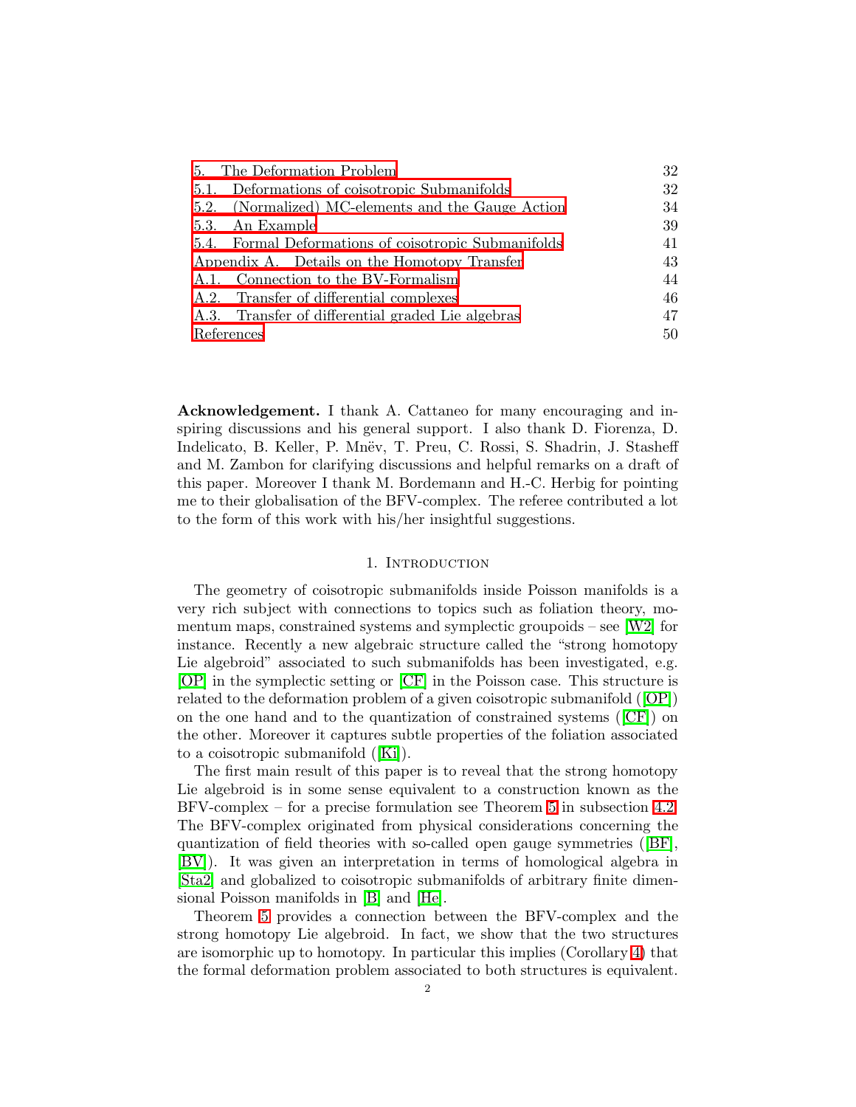| 5. The Deformation Problem                           | 32 |
|------------------------------------------------------|----|
| 5.1. Deformations of coisotropic Submanifolds        | 32 |
| 5.2. (Normalized) MC-elements and the Gauge Action   | 34 |
| 5.3. An Example                                      | 39 |
| 5.4. Formal Deformations of coisotropic Submanifolds | 41 |
| Appendix A. Details on the Homotopy Transfer         | 43 |
| A.1. Connection to the BV-Formalism                  | 44 |
| A.2. Transfer of differential complexes              | 46 |
| A.3. Transfer of differential graded Lie algebras    | 47 |
| References                                           | 50 |

Acknowledgement. I thank A. Cattaneo for many encouraging and inspiring discussions and his general support. I also thank D. Fiorenza, D. Indelicato, B. Keller, P. Mnev, T. Preu, C. Rossi, S. Shadrin, J. Stasheff and M. Zambon for clarifying discussions and helpful remarks on a draft of this paper. Moreover I thank M. Bordemann and H.-C. Herbig for pointing me to their globalisation of the BFV-complex. The referee contributed a lot to the form of this work with his/her insightful suggestions.

## 1. INTRODUCTION

<span id="page-1-0"></span>The geometry of coisotropic submanifolds inside Poisson manifolds is a very rich subject with connections to topics such as foliation theory, momentum maps, constrained systems and symplectic groupoids – see  $\lfloor W2 \rfloor$  for instance. Recently a new algebraic structure called the "strong homotopy Lie algebroid" associated to such submanifolds has been investigated, e.g. [\[OP\]](#page-49-1) in the symplectic setting or [\[CF\]](#page-49-2) in the Poisson case. This structure is related to the deformation problem of a given coisotropic submanifold([\[OP\]](#page-49-1)) on the one hand and to the quantization of constrained systems([\[CF\]](#page-49-2)) on the other. Moreover it captures subtle properties of the foliation associated to a coisotropic submanifold([\[Ki\]](#page-49-3)).

The first main result of this paper is to reveal that the strong homotopy Lie algebroid is in some sense equivalent to a construction known as the BFV-complex – for a precise formulation see Theorem [5](#page-24-1) in subsection [4.2.](#page-24-0) The BFV-complex originated from physical considerations concerning the quantization of field theories with so-called open gauge symmetries([\[BF\]](#page-49-4), [\[BV\]](#page-49-5)). It was given an interpretation in terms of homological algebra in [\[Sta2\]](#page-50-1) and globalized to coisotropic submanifolds of arbitrary finite dimensional Poisson manifolds in [\[B\]](#page-49-6) and [\[He\]](#page-49-7).

Theorem [5](#page-24-1) provides a connection between the BFV-complex and the strong homotopy Lie algebroid. In fact, we show that the two structures are isomorphic up to homotopy. In particular this implies (Corollary [4\)](#page-25-0) that the formal deformation problem associated to both structures is equivalent.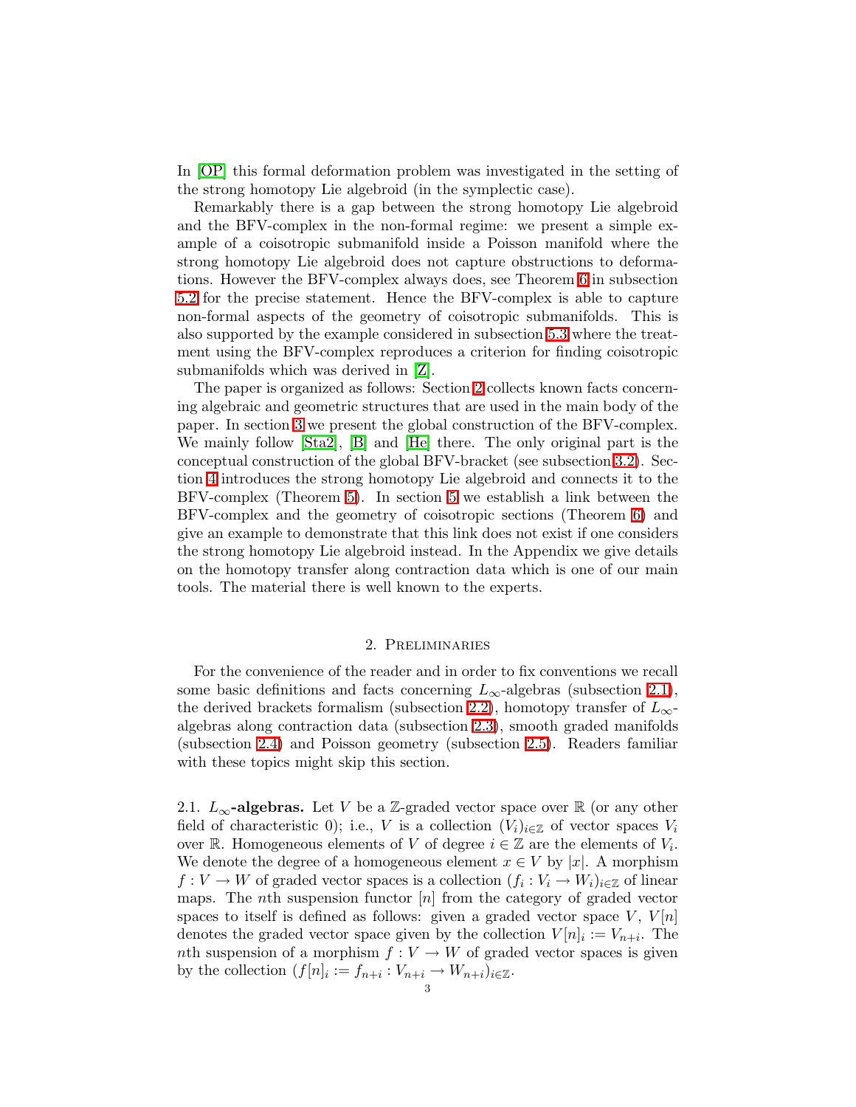In [\[OP\]](#page-49-1) this formal deformation problem was investigated in the setting of the strong homotopy Lie algebroid (in the symplectic case).

Remarkably there is a gap between the strong homotopy Lie algebroid and the BFV-complex in the non-formal regime: we present a simple example of a coisotropic submanifold inside a Poisson manifold where the strong homotopy Lie algebroid does not capture obstructions to deformations. However the BFV-complex always does, see Theorem [6](#page-35-0) in subsection [5.2](#page-33-0) for the precise statement. Hence the BFV-complex is able to capture non-formal aspects of the geometry of coisotropic submanifolds. This is also supported by the example considered in subsection [5.3](#page-38-0) where the treatment using the BFV-complex reproduces a criterion for finding coisotropic submanifolds which was derived in [\[Z\]](#page-50-2).

The paper is organized as follows: Section [2](#page-2-0) collects known facts concerning algebraic and geometric structures that are used in the main body of the paper. In section [3](#page-14-0) we present the global construction of the BFV-complex. We mainly follow [\[Sta2\]](#page-50-1), [\[B\]](#page-49-6) and [\[He\]](#page-49-7) there. The only original part is the conceptual construction of the global BFV-bracket (see subsection [3.2\)](#page-15-0). Section [4](#page-22-0) introduces the strong homotopy Lie algebroid and connects it to the BFV-complex (Theorem [5\)](#page-24-1). In section [5](#page-31-0) we establish a link between the BFV-complex and the geometry of coisotropic sections (Theorem [6\)](#page-35-0) and give an example to demonstrate that this link does not exist if one considers the strong homotopy Lie algebroid instead. In the Appendix we give details on the homotopy transfer along contraction data which is one of our main tools. The material there is well known to the experts.

# 2. Preliminaries

<span id="page-2-0"></span>For the convenience of the reader and in order to fix conventions we recall some basic definitions and facts concerning  $L_{\infty}$ -algebras (subsection [2.1\)](#page-2-1), the derived brackets formalism (subsection [2.2\)](#page-5-0), homotopy transfer of  $L_{\infty}$ algebras along contraction data (subsection [2.3\)](#page-6-0), smooth graded manifolds (subsection [2.4\)](#page-10-0) and Poisson geometry (subsection [2.5\)](#page-11-0). Readers familiar with these topics might skip this section.

<span id="page-2-1"></span>2.1.  $L_{\infty}$ -algebras. Let V be a Z-graded vector space over R (or any other field of characteristic 0); i.e., V is a collection  $(V_i)_{i\in\mathbb{Z}}$  of vector spaces  $V_i$ over R. Homogeneous elements of V of degree  $i \in \mathbb{Z}$  are the elements of  $V_i$ . We denote the degree of a homogeneous element  $x \in V$  by |x|. A morphism  $f: V \to W$  of graded vector spaces is a collection  $(f_i: V_i \to W_i)_{i \in \mathbb{Z}}$  of linear maps. The *n*th suspension functor  $[n]$  from the category of graded vector spaces to itself is defined as follows: given a graded vector space  $V, V[n]$ denotes the graded vector space given by the collection  $V[n]_i := V_{n+i}$ . The nth suspension of a morphism  $f: V \to W$  of graded vector spaces is given by the collection  $(f[n]_i := f_{n+i} : V_{n+i} \to W_{n+i})_{i \in \mathbb{Z}}$ .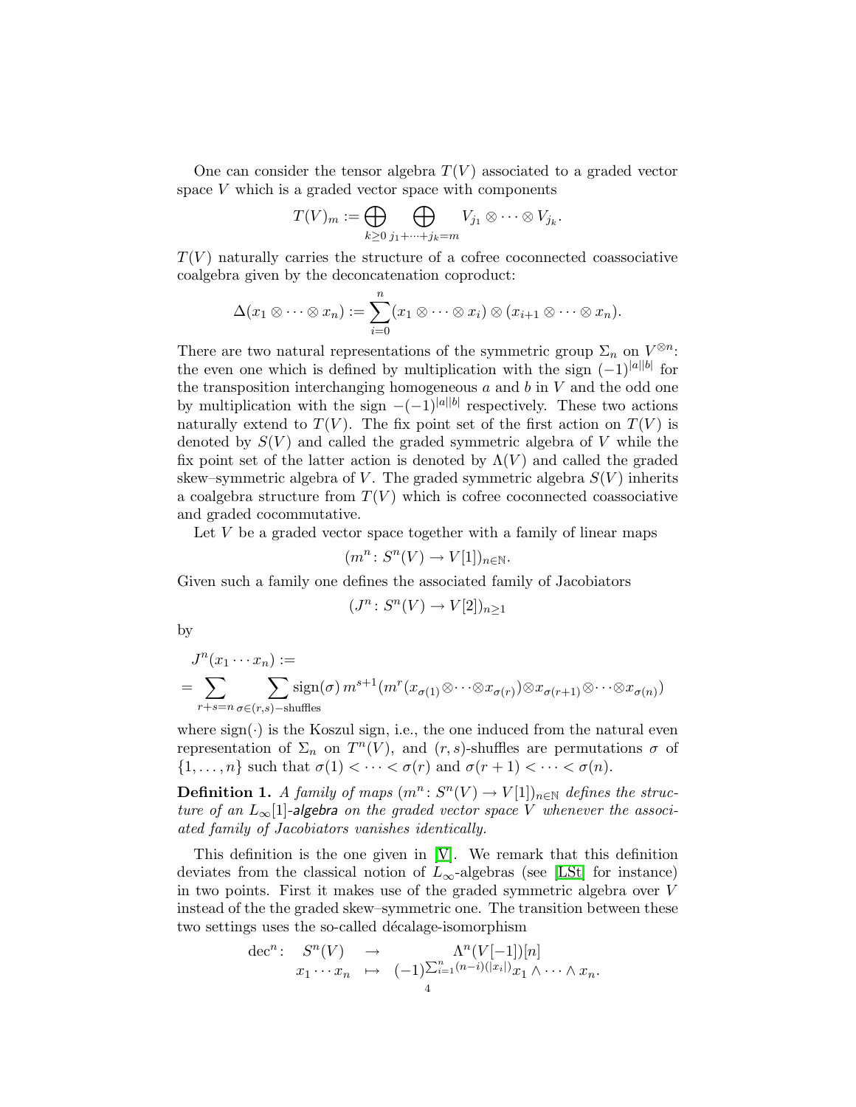One can consider the tensor algebra  $T(V)$  associated to a graded vector space V which is a graded vector space with components

$$
T(V)_m := \bigoplus_{k \geq 0} \bigoplus_{j_1 + \dots + j_k = m} V_{j_1} \otimes \dots \otimes V_{j_k}.
$$

 $T(V)$  naturally carries the structure of a cofree coconnected coassociative coalgebra given by the deconcatenation coproduct:

$$
\Delta(x_1\otimes\cdots\otimes x_n):=\sum_{i=0}^n(x_1\otimes\cdots\otimes x_i)\otimes(x_{i+1}\otimes\cdots\otimes x_n).
$$

There are two natural representations of the symmetric group  $\Sigma_n$  on  $V^{\otimes n}$ : the even one which is defined by multiplication with the sign  $(-1)^{|a||b|}$  for the transposition interchanging homogeneous  $a$  and  $b$  in  $V$  and the odd one by multiplication with the sign  $-(-1)^{|a||b|}$  respectively. These two actions naturally extend to  $T(V)$ . The fix point set of the first action on  $T(V)$  is denoted by  $S(V)$  and called the graded symmetric algebra of V while the fix point set of the latter action is denoted by  $\Lambda(V)$  and called the graded skew–symmetric algebra of V. The graded symmetric algebra  $S(V)$  inherits a coalgebra structure from  $T(V)$  which is cofree coconnected coassociative and graded cocommutative.

Let  $V$  be a graded vector space together with a family of linear maps

$$
(m^n\colon S^n(V)\to V[1])_{n\in\mathbb{N}}.
$$

Given such a family one defines the associated family of Jacobiators

$$
(J^n\colon S^n(V)\to V[2])_{n\geq 1}
$$

by

$$
J^{n}(x_{1}\cdots x_{n}) :=
$$
  
= 
$$
\sum_{r+s=n} \sum_{\sigma\in(r,s)-s} \operatorname{sign}(\sigma) m^{s+1}(m^{r}(x_{\sigma(1)}\otimes\cdots\otimes x_{\sigma(r)})\otimes x_{\sigma(r+1)}\otimes\cdots\otimes x_{\sigma(n)})
$$

where  $sign(\cdot)$  is the Koszul sign, i.e., the one induced from the natural even representation of  $\Sigma_n$  on  $T^n(V)$ , and  $(r, s)$ -shuffles are permutations  $\sigma$  of  $\{1,\ldots,n\}$  such that  $\sigma(1) < \cdots < \sigma(r)$  and  $\sigma(r+1) < \cdots < \sigma(n)$ .

<span id="page-3-0"></span>**Definition 1.** A family of maps  $(m^n: S^n(V) \to V[1])_{n \in \mathbb{N}}$  defines the structure of an  $L_{\infty}[1]$ -algebra on the graded vector space V whenever the associated family of Jacobiators vanishes identically.

This definition is the one given in [\[V\]](#page-50-3). We remark that this definition deviates from the classical notion of  $L_{\infty}$ -algebras (see [\[LSt\]](#page-49-8) for instance) in two points. First it makes use of the graded symmetric algebra over V instead of the the graded skew–symmetric one. The transition between these two settings uses the so-called décalage-isomorphism

$$
\begin{array}{rcl}\n\mathrm{dec}^n: & S^n(V) & \to & \Lambda^n(V[-1])[n] \\
& x_1 \cdots x_n & \mapsto & (-1)^{\sum_{i=1}^n (n-i)(|x_i|)} x_1 \wedge \cdots \wedge x_n.\n\end{array}
$$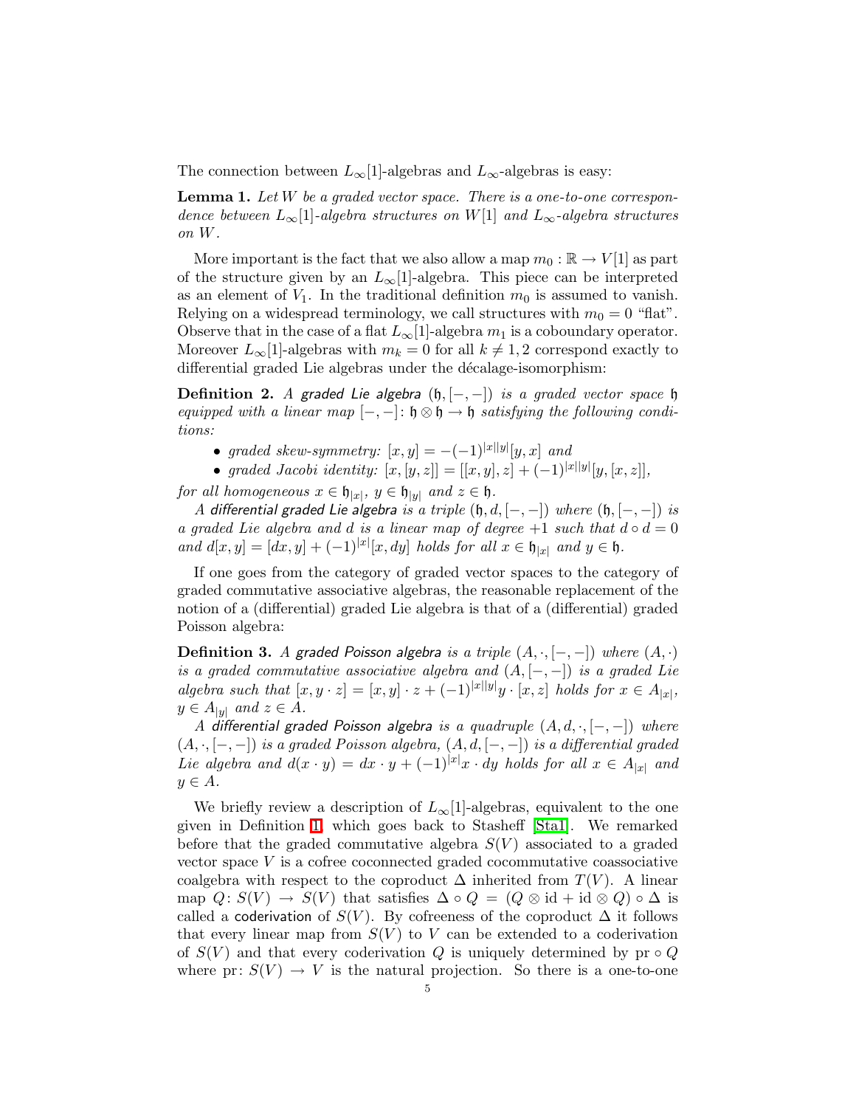The connection between  $L_{\infty}[1]$ -algebras and  $L_{\infty}$ -algebras is easy:

**Lemma 1.** Let W be a graded vector space. There is a one-to-one correspondence between  $L_{\infty}[1]$ -algebra structures on W[1] and  $L_{\infty}$ -algebra structures on W.

More important is the fact that we also allow a map  $m_0 : \mathbb{R} \to V[1]$  as part of the structure given by an  $L_{\infty}[1]$ -algebra. This piece can be interpreted as an element of  $V_1$ . In the traditional definition  $m_0$  is assumed to vanish. Relying on a widespread terminology, we call structures with  $m_0 = 0$  "flat". Observe that in the case of a flat  $L_{\infty}[1]$ -algebra  $m_1$  is a coboundary operator. Moreover  $L_{\infty}[1]$ -algebras with  $m_k = 0$  for all  $k \neq 1, 2$  correspond exactly to differential graded Lie algebras under the décalage-isomorphism:

Definition 2. A graded Lie algebra  $(h, [-, -])$  is a graded vector space  $h$ equipped with a linear map  $[-,-]: \mathfrak{h} \otimes \mathfrak{h} \to \mathfrak{h}$  satisfying the following conditions:

- graded skew-symmetry:  $[x, y] = -(-1)^{|x||y|}[y, x]$  and
- graded Jacobi identity:  $[x, [y, z]] = [[x, y], z] + (-1)^{|x||y|}[y, [x, z]],$

for all homogeneous  $x \in \mathfrak{h}_{|x|}$ ,  $y \in \mathfrak{h}_{|y|}$  and  $z \in \mathfrak{h}$ .

A differential graded Lie algebra is a triple  $(h, d, [-, -])$  where  $(h, [-, -])$  is a graded Lie algebra and d is a linear map of degree  $+1$  such that  $d \circ d = 0$ and  $d[x, y] = [dx, y] + (-1)^{|x|}[x, dy]$  holds for all  $x \in \mathfrak{h}_{|x|}$  and  $y \in \mathfrak{h}$ .

If one goes from the category of graded vector spaces to the category of graded commutative associative algebras, the reasonable replacement of the notion of a (differential) graded Lie algebra is that of a (differential) graded Poisson algebra:

**Definition 3.** A graded Poisson algebra is a triple  $(A, \cdot, [-, -])$  where  $(A, \cdot)$ is a graded commutative associative algebra and  $(A, [-, -])$  is a graded Lie algebra such that  $[x, y \cdot z] = [x, y] \cdot z + (-1)^{|x||y|}y \cdot [x, z]$  holds for  $x \in A_{|x|}$ ,  $y \in A_{|y|}$  and  $z \in A$ .

A differential graded Poisson algebra is a quadruple  $(A, d, \cdot, [-, -])$  where  $(A, \cdot, [-, -])$  is a graded Poisson algebra,  $(A, d, [-, -])$  is a differential graded Lie algebra and  $d(x \cdot y) = dx \cdot y + (-1)^{|x|}x \cdot dy$  holds for all  $x \in A_{|x|}$  and  $y \in A$ .

We briefly review a description of  $L_{\infty}[1]$ -algebras, equivalent to the one given in Definition [1,](#page-3-0) which goes back to Stasheff [\[Sta1\]](#page-50-4). We remarked before that the graded commutative algebra  $S(V)$  associated to a graded vector space  $V$  is a cofree coconnected graded cocommutative coassociative coalgebra with respect to the coproduct  $\Delta$  inherited from  $T(V)$ . A linear map  $Q: S(V) \to S(V)$  that satisfies  $\Delta \circ Q = (Q \otimes id + id \otimes Q) \circ \Delta$  is called a coderivation of  $S(V)$ . By cofreeness of the coproduct  $\Delta$  it follows that every linear map from  $S(V)$  to V can be extended to a coderivation of  $S(V)$  and that every coderivation Q is uniquely determined by pr  $\circ Q$ where pr:  $S(V) \rightarrow V$  is the natural projection. So there is a one-to-one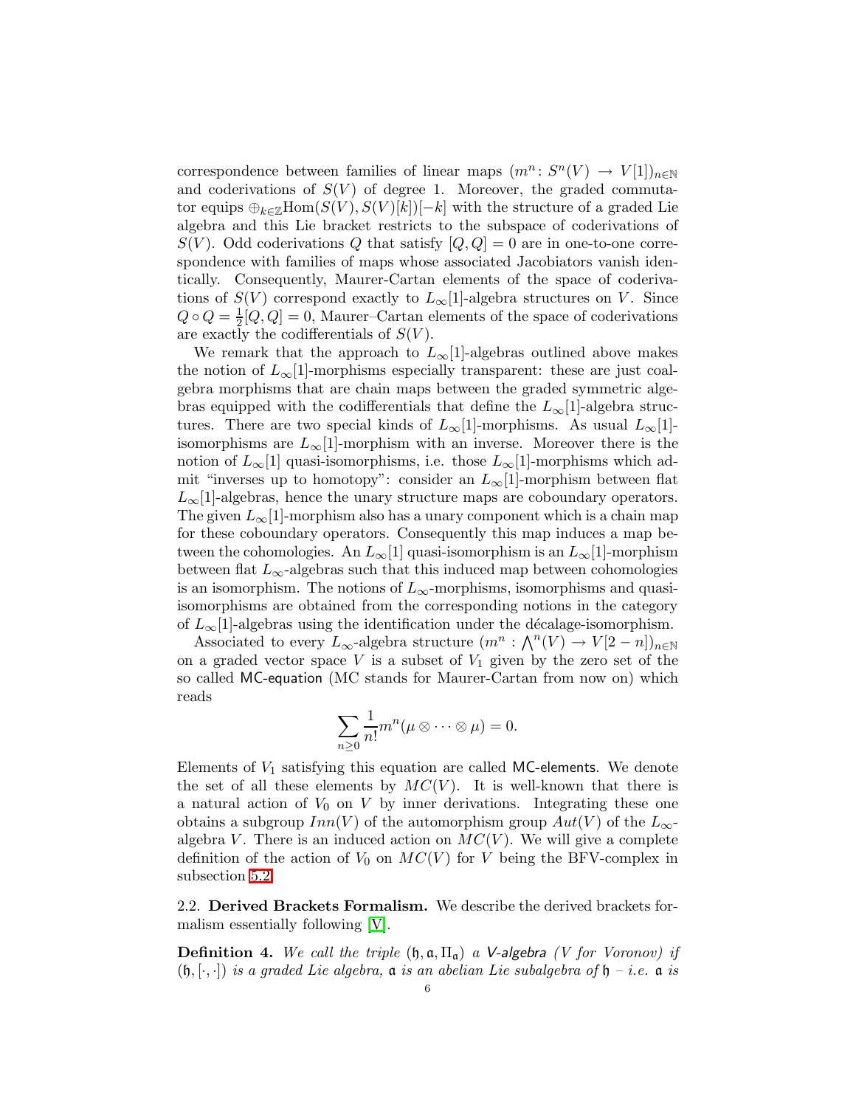correspondence between families of linear maps  $(m^n: S^n(V) \to V[1])_{n \in \mathbb{N}}$ and coderivations of  $S(V)$  of degree 1. Moreover, the graded commutator equips  $\bigoplus_{k\in\mathbb{Z}}\text{Hom}(S(V),S(V)[k])[-k]$  with the structure of a graded Lie algebra and this Lie bracket restricts to the subspace of coderivations of  $S(V)$ . Odd coderivations Q that satisfy  $[Q,Q] = 0$  are in one-to-one correspondence with families of maps whose associated Jacobiators vanish identically. Consequently, Maurer-Cartan elements of the space of coderivations of  $S(V)$  correspond exactly to  $L_{\infty}[1]$ -algebra structures on V. Since  $Q \circ Q = \frac{1}{2}$  $\frac{1}{2}[Q,Q] = 0$ , Maurer–Cartan elements of the space of coderivations are exactly the codifferentials of  $S(V)$ .

We remark that the approach to  $L_{\infty}[1]$ -algebras outlined above makes the notion of  $L_{\infty}[1]$ -morphisms especially transparent: these are just coalgebra morphisms that are chain maps between the graded symmetric algebras equipped with the codifferentials that define the  $L_{\infty}[1]$ -algebra structures. There are two special kinds of  $L_{\infty}[1]$ -morphisms. As usual  $L_{\infty}[1]$ isomorphisms are  $L_{\infty}[1]$ -morphism with an inverse. Moreover there is the notion of  $L_{\infty}[1]$  quasi-isomorphisms, i.e. those  $L_{\infty}[1]$ -morphisms which admit "inverses up to homotopy": consider an  $L_{\infty}[1]$ -morphism between flat  $L_{\infty}[1]$ -algebras, hence the unary structure maps are coboundary operators. The given  $L_{\infty}[1]$ -morphism also has a unary component which is a chain map for these coboundary operators. Consequently this map induces a map between the cohomologies. An  $L_{\infty}[1]$  quasi-isomorphism is an  $L_{\infty}[1]$ -morphism between flat  $L_{\infty}$ -algebras such that this induced map between cohomologies is an isomorphism. The notions of  $L_{\infty}$ -morphisms, isomorphisms and quasiisomorphisms are obtained from the corresponding notions in the category of  $L_{\infty}[1]$ -algebras using the identification under the décalage-isomorphism.

Associated to every L<sub>∞</sub>-algebra structure  $(m^n : \bigwedge^n(V) \to V[2-n])_{n \in \mathbb{N}}$ on a graded vector space  $V$  is a subset of  $V_1$  given by the zero set of the so called MC-equation (MC stands for Maurer-Cartan from now on) which reads

$$
\sum_{n\geq 0} \frac{1}{n!} m^n (\mu \otimes \cdots \otimes \mu) = 0.
$$

Elements of  $V_1$  satisfying this equation are called MC-elements. We denote the set of all these elements by  $MC(V)$ . It is well-known that there is a natural action of  $V_0$  on  $V$  by inner derivations. Integrating these one obtains a subgroup  $Inn(V)$  of the automorphism group  $Aut(V)$  of the  $L_{\infty}$ algebra V. There is an induced action on  $MC(V)$ . We will give a complete definition of the action of  $V_0$  on  $MC(V)$  for V being the BFV-complex in subsection [5.2.](#page-33-0)

<span id="page-5-1"></span><span id="page-5-0"></span>2.2. Derived Brackets Formalism. We describe the derived brackets formalism essentially following [\[V\]](#page-50-3).

**Definition 4.** We call the triple  $(\mathfrak{h}, \mathfrak{a}, \Pi_{\mathfrak{a}})$  a V-algebra (V for Voronov) if  $(h, [\cdot, \cdot])$  is a graded Lie algebra,  $\mathfrak a$  is an abelian Lie subalgebra of  $\mathfrak h$  – i.e.  $\mathfrak a$  is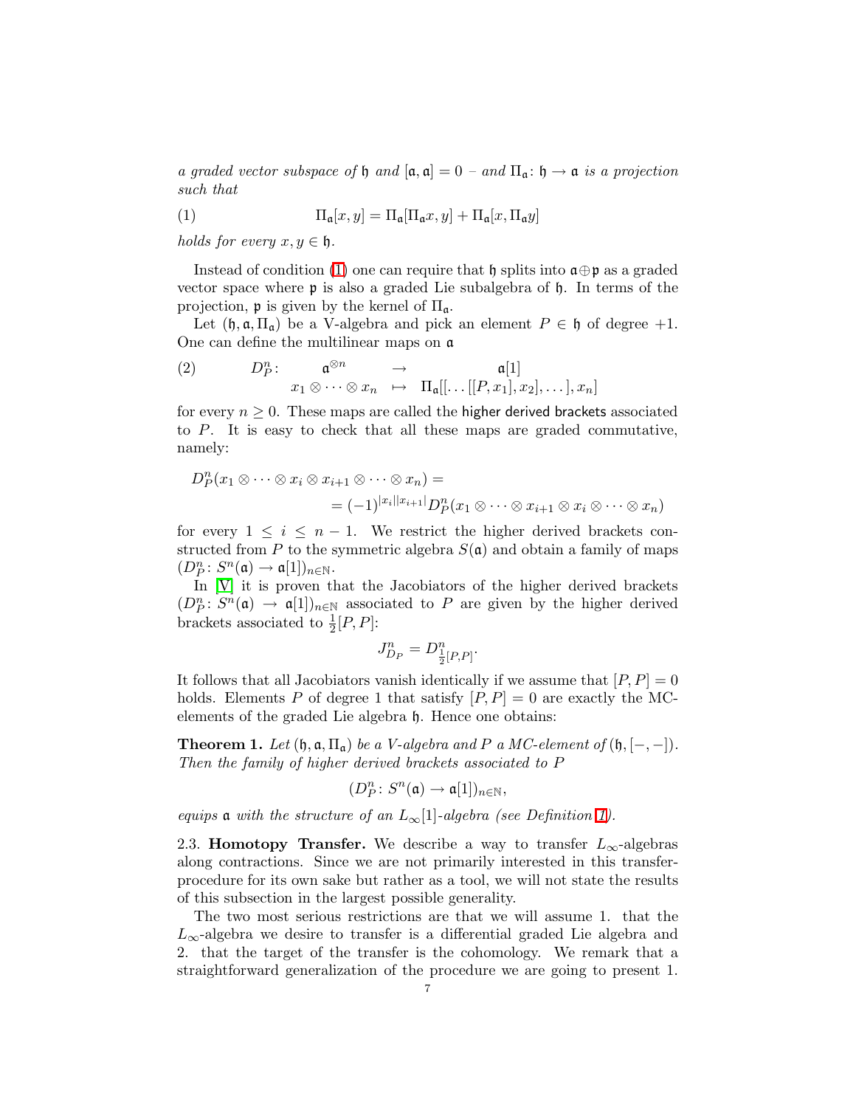<span id="page-6-1"></span>a graded vector subspace of  $\mathfrak h$  and  $[\mathfrak a, \mathfrak a] = 0$  – and  $\Pi_{\mathfrak a} : \mathfrak h \to \mathfrak a$  is a projection such that

(1) 
$$
\Pi_{\mathfrak{a}}[x,y] = \Pi_{\mathfrak{a}}[\Pi_{\mathfrak{a}}x,y] + \Pi_{\mathfrak{a}}[x,\Pi_{\mathfrak{a}}y]
$$

holds for every  $x, y \in \mathfrak{h}$ .

Instead of condition [\(1\)](#page-6-1) one can require that  $\mathfrak h$  splits into  $\mathfrak a \oplus \mathfrak p$  as a graded vector space where  $\mathfrak p$  is also a graded Lie subalgebra of  $\mathfrak h$ . In terms of the projection,  $\mathfrak p$  is given by the kernel of  $\Pi_{\mathfrak a}$ .

Let  $(\mathfrak{h}, \mathfrak{a}, \Pi_{\mathfrak{a}})$  be a V-algebra and pick an element  $P \in \mathfrak{h}$  of degree  $+1$ . One can define the multilinear maps on a

(2) 
$$
D_P^n
$$
:  $\mathfrak{a}^{\otimes n} \rightarrow \mathfrak{a}[1]$   
 $x_1 \otimes \cdots \otimes x_n \mapsto \Pi_{\mathfrak{a}}[[\dots[[P,x_1],x_2],\dots],x_n]$ 

for every  $n \geq 0$ . These maps are called the higher derived brackets associated to P. It is easy to check that all these maps are graded commutative, namely:

$$
D_P^n(x_1 \otimes \cdots \otimes x_i \otimes x_{i+1} \otimes \cdots \otimes x_n) =
$$
  
=  $(-1)^{|x_i||x_{i+1}|} D_P^n(x_1 \otimes \cdots \otimes x_{i+1} \otimes x_i \otimes \cdots \otimes x_n)$ 

for every  $1 \leq i \leq n-1$ . We restrict the higher derived brackets constructed from P to the symmetric algebra  $S(\mathfrak{a})$  and obtain a family of maps  $(D_{P}^{n}\colon S^{n}(\mathfrak{a})\to \mathfrak{a}[1])_{n\in \mathbb{N}}.$ 

In [\[V\]](#page-50-3) it is proven that the Jacobiators of the higher derived brackets  $(D_P^n\colon S^n(\mathfrak{a}) \to \mathfrak{a}[1])_{n\in\mathbb{N}}$  associated to P are given by the higher derived brackets associated to  $\frac{1}{2}[P,P]$ :

$$
J^n_{D_P}=D^n_{\frac{1}{2}[P,P]}.
$$

It follows that all Jacobiators vanish identically if we assume that  $[P, P] = 0$ holds. Elements P of degree 1 that satisfy  $[P, P] = 0$  are exactly the MCelements of the graded Lie algebra  $\mathfrak h$ . Hence one obtains:

<span id="page-6-2"></span>**Theorem 1.** Let  $(\mathfrak{h}, \mathfrak{a}, \Pi_{\mathfrak{a}})$  be a *V*-algebra and P a MC-element of  $(\mathfrak{h}, [-, -])$ . Then the family of higher derived brackets associated to P

$$
(D_P^n\colon S^n(\mathfrak{a})\to \mathfrak{a}[1])_{n\in\mathbb{N}},
$$

<span id="page-6-0"></span>equips **a** with the structure of an  $L_{\infty}[1]$ -algebra (see Definition [1\)](#page-3-0).

2.3. Homotopy Transfer. We describe a way to transfer  $L_{\infty}$ -algebras along contractions. Since we are not primarily interested in this transferprocedure for its own sake but rather as a tool, we will not state the results of this subsection in the largest possible generality.

The two most serious restrictions are that we will assume 1. that the  $L_{\infty}$ -algebra we desire to transfer is a differential graded Lie algebra and 2. that the target of the transfer is the cohomology. We remark that a straightforward generalization of the procedure we are going to present 1.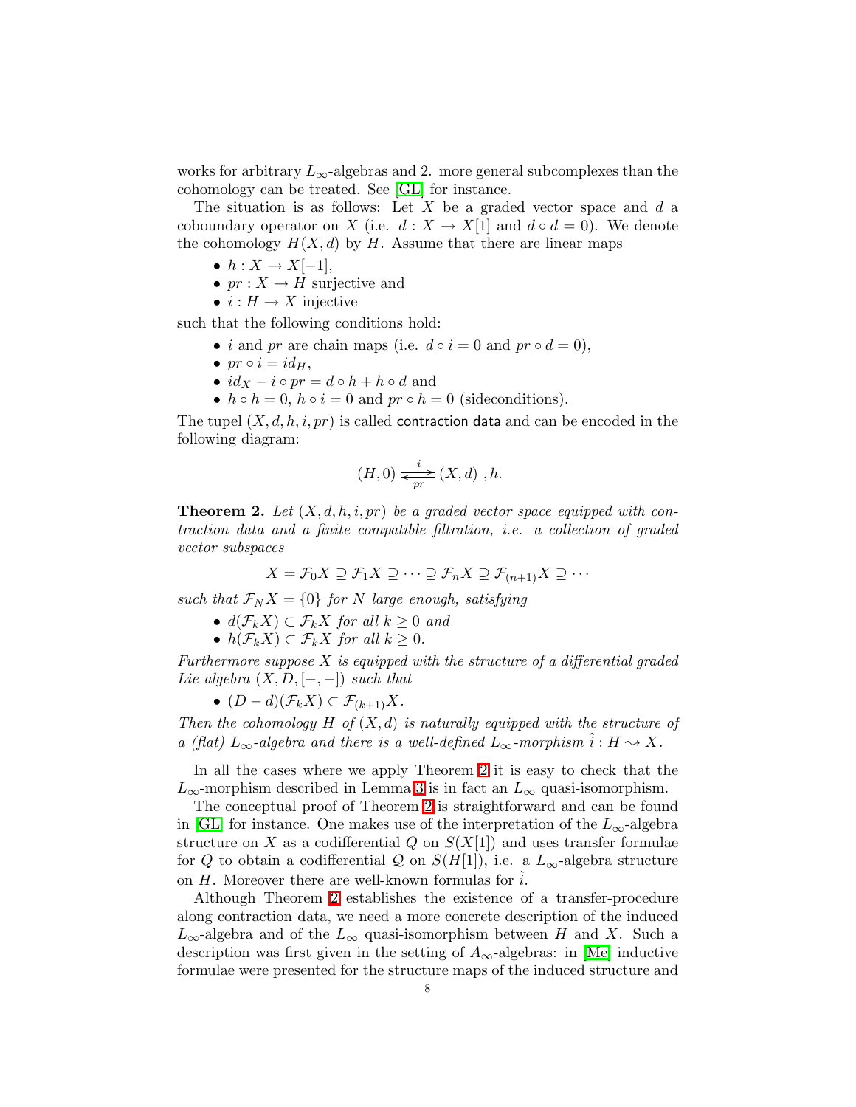works for arbitrary  $L_{\infty}$ -algebras and 2. more general subcomplexes than the cohomology can be treated. See [\[GL\]](#page-49-9) for instance.

The situation is as follows: Let  $X$  be a graded vector space and  $d$  a coboundary operator on X (i.e.  $d: X \to X[1]$  and  $d \circ d = 0$ ). We denote the cohomology  $H(X,d)$  by H. Assume that there are linear maps

- $h: X \rightarrow X[-1],$
- $pr: X \to H$  surjective and
- $i : H \to X$  injective

such that the following conditions hold:

- *i* and *pr* are chain maps (i.e.  $d \circ i = 0$  and  $pr \circ d = 0$ ),
- $pr \circ i = id_H$ ,
- $id_X i \circ pr = d \circ h + h \circ d$  and
- $h \circ h = 0$ ,  $h \circ i = 0$  and  $pr \circ h = 0$  (sideconditions).

The tupel  $(X, d, h, i, pr)$  is called contraction data and can be encoded in the following diagram:

$$
(H,0)\xrightarrow[p]{i} (X,d) ,h.
$$

<span id="page-7-0"></span>**Theorem 2.** Let  $(X, d, h, i, pr)$  be a graded vector space equipped with contraction data and a finite compatible filtration, i.e. a collection of graded vector subspaces

$$
X = \mathcal{F}_0 X \supseteq \mathcal{F}_1 X \supseteq \cdots \supseteq \mathcal{F}_n X \supseteq \mathcal{F}_{(n+1)} X \supseteq \cdots
$$

such that  $\mathcal{F}_N X = \{0\}$  for N large enough, satisfying

- $d(\mathcal{F}_k X) \subset \mathcal{F}_k X$  for all  $k \geq 0$  and
- $h(\mathcal{F}_k X) \subset \mathcal{F}_k X$  for all  $k \geq 0$ .

Furthermore suppose  $X$  is equipped with the structure of a differential graded Lie algebra  $(X, D, [-,-])$  such that

•  $(D-d)(\mathcal{F}_k X) \subset \mathcal{F}_{(k+1)} X$ .

Then the cohomology  $H$  of  $(X,d)$  is naturally equipped with the structure of a (flat)  $L_{\infty}$ -algebra and there is a well-defined  $L_{\infty}$ -morphism  $\hat{i}: H \leadsto X$ .

In all the cases where we apply Theorem [2](#page-7-0) it is easy to check that the  $L_{\infty}$ -morphism described in Lemma [3](#page-10-1) is in fact an  $L_{\infty}$  quasi-isomorphism.

The conceptual proof of Theorem [2](#page-7-0) is straightforward and can be found in [\[GL\]](#page-49-9) for instance. One makes use of the interpretation of the  $L_{\infty}$ -algebra structure on X as a codifferential  $Q$  on  $S(X[1])$  and uses transfer formulae for Q to obtain a codifferential Q on  $S(H[1])$ , i.e. a  $L_{\infty}$ -algebra structure on  $H$ . Moreover there are well-known formulas for  $i$ .

Although Theorem [2](#page-7-0) establishes the existence of a transfer-procedure along contraction data, we need a more concrete description of the induced  $L_{\infty}$ -algebra and of the  $L_{\infty}$  quasi-isomorphism between H and X. Such a description was first given in the setting of  $A_{\infty}$ -algebras: in [\[Me\]](#page-49-10) inductive formulae were presented for the structure maps of the induced structure and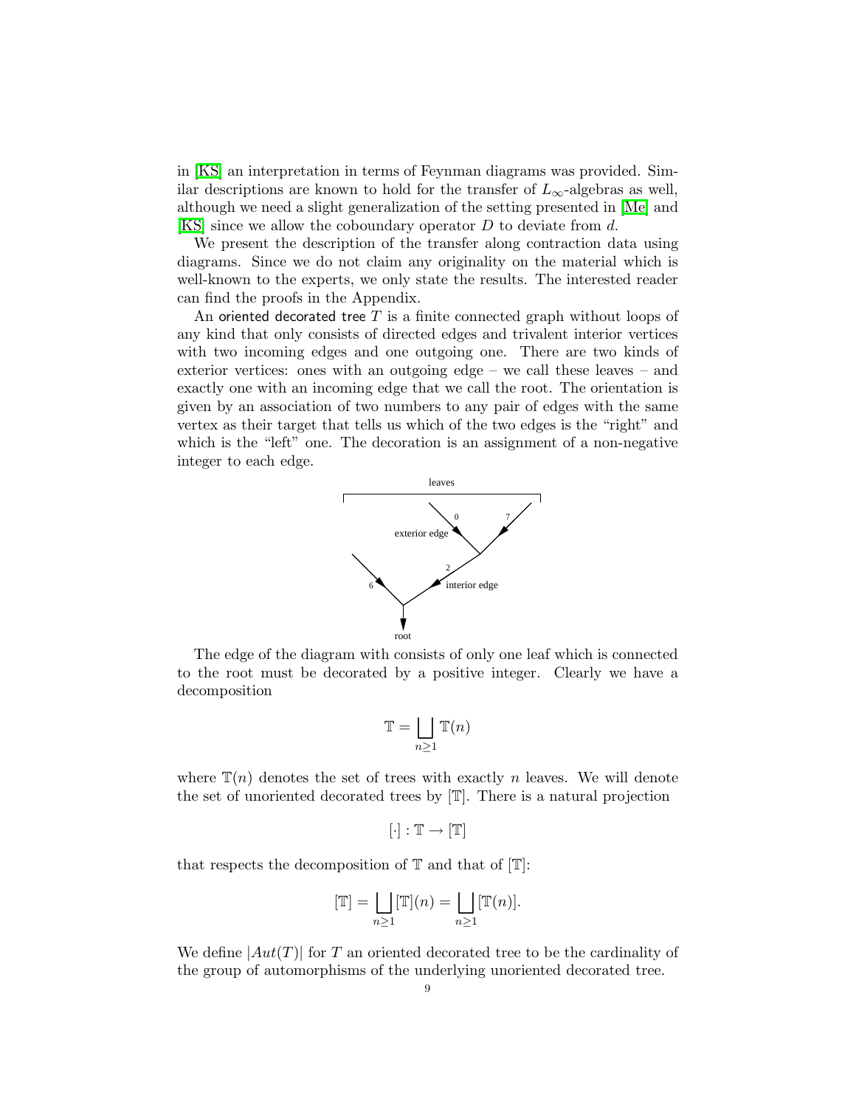in [\[KS\]](#page-49-11) an interpretation in terms of Feynman diagrams was provided. Similar descriptions are known to hold for the transfer of  $L_{\infty}$ -algebras as well, although we need a slight generalization of the setting presented in [\[Me\]](#page-49-10) and [\[KS\]](#page-49-11) since we allow the coboundary operator D to deviate from d.

We present the description of the transfer along contraction data using diagrams. Since we do not claim any originality on the material which is well-known to the experts, we only state the results. The interested reader can find the proofs in the Appendix.

An oriented decorated tree  $T$  is a finite connected graph without loops of any kind that only consists of directed edges and trivalent interior vertices with two incoming edges and one outgoing one. There are two kinds of exterior vertices: ones with an outgoing edge – we call these leaves – and exactly one with an incoming edge that we call the root. The orientation is given by an association of two numbers to any pair of edges with the same vertex as their target that tells us which of the two edges is the "right" and which is the "left" one. The decoration is an assignment of a non-negative integer to each edge.



The edge of the diagram with consists of only one leaf which is connected to the root must be decorated by a positive integer. Clearly we have a decomposition

$$
\mathbb{T} = \bigsqcup_{n \ge 1} \mathbb{T}(n)
$$

where  $\mathbb{T}(n)$  denotes the set of trees with exactly n leaves. We will denote the set of unoriented decorated trees by [T]. There is a natural projection

$$
[\cdot]:\mathbb{T}\to [\mathbb{T}]
$$

that respects the decomposition of  $\mathbb T$  and that of  $[\mathbb T]$ :

$$
[\mathbb{T}] = \bigsqcup_{n \ge 1} [\mathbb{T}](n) = \bigsqcup_{n \ge 1} [\mathbb{T}(n)].
$$

We define  $|Aut(T)|$  for T an oriented decorated tree to be the cardinality of the group of automorphisms of the underlying unoriented decorated tree.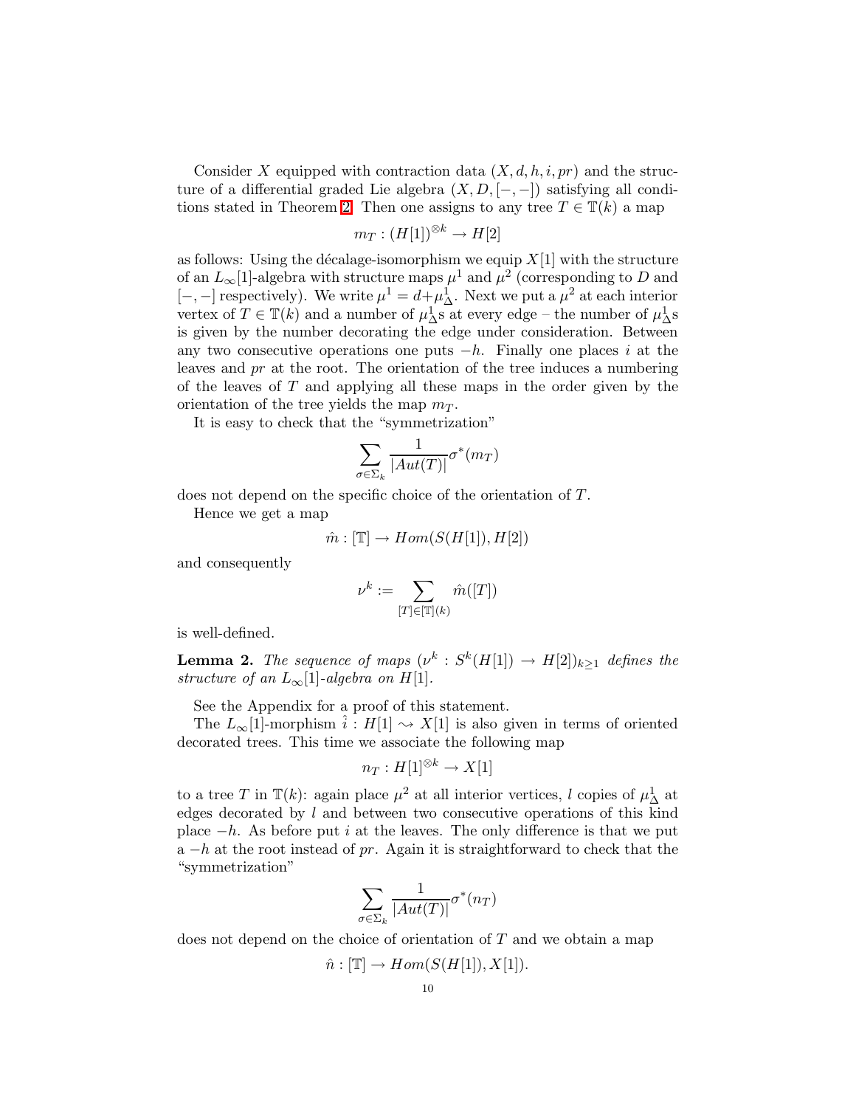Consider X equipped with contraction data  $(X, d, h, i, pr)$  and the structure of a differential graded Lie algebra  $(X, D, [-,-])$  satisfying all condi-tions stated in Theorem [2.](#page-7-0) Then one assigns to any tree  $T \in \mathbb{T}(k)$  a map

$$
m_T: (H[1])^{\otimes k} \to H[2]
$$

as follows: Using the décalage-isomorphism we equip  $X[1]$  with the structure of an  $L_{\infty}[1]$ -algebra with structure maps  $\mu^1$  and  $\mu^2$  (corresponding to D and [-, -] respectively). We write  $\mu^1 = d + \mu^1$ . Next we put a  $\mu^2$  at each interior vertex of  $T \in \mathbb{T}(k)$  and a number of  $\mu_{\Delta}^1$ s at every edge – the number of  $\mu_{\Delta}^1$ s is given by the number decorating the edge under consideration. Between any two consecutive operations one puts  $-h$ . Finally one places i at the leaves and pr at the root. The orientation of the tree induces a numbering of the leaves of  $T$  and applying all these maps in the order given by the orientation of the tree yields the map  $m<sub>T</sub>$ .

It is easy to check that the "symmetrization"

$$
\sum_{\sigma \in \Sigma_k} \frac{1}{|Aut(T)|} \sigma^*(m_T)
$$

does not depend on the specific choice of the orientation of T.

Hence we get a map

$$
\hat{m} : [\mathbb{T}] \to Hom(S(H[1]), H[2])
$$

and consequently

$$
\nu^k:=\sum_{[T]\in[\mathbb{T}](k)}\hat{m}([T])
$$

is well-defined.

**Lemma 2.** The sequence of maps  $(\nu^k : S^k(H[1]) \rightarrow H[2])_{k \geq 1}$  defines the structure of an  $L_{\infty}[1]$ -algebra on H[1].

See the Appendix for a proof of this statement.

The  $L_{\infty}[1]$ -morphism  $i : H[1] \rightsquigarrow X[1]$  is also given in terms of oriented decorated trees. This time we associate the following map

$$
n_T: H[1]^{\otimes k} \to X[1]
$$

to a tree T in  $\mathbb{T}(k)$ : again place  $\mu^2$  at all interior vertices, l copies of  $\mu^1$  at edges decorated by  $l$  and between two consecutive operations of this kind place  $-h$ . As before put i at the leaves. The only difference is that we put  $a-h$  at the root instead of pr. Again it is straightforward to check that the "symmetrization"

$$
\sum_{\sigma \in \Sigma_k} \frac{1}{|Aut(T)|} \sigma^*(n_T)
$$

does not depend on the choice of orientation of T and we obtain a map

$$
\hat{n} : [\mathbb{T}] \to Hom(S(H[1]), X[1]).
$$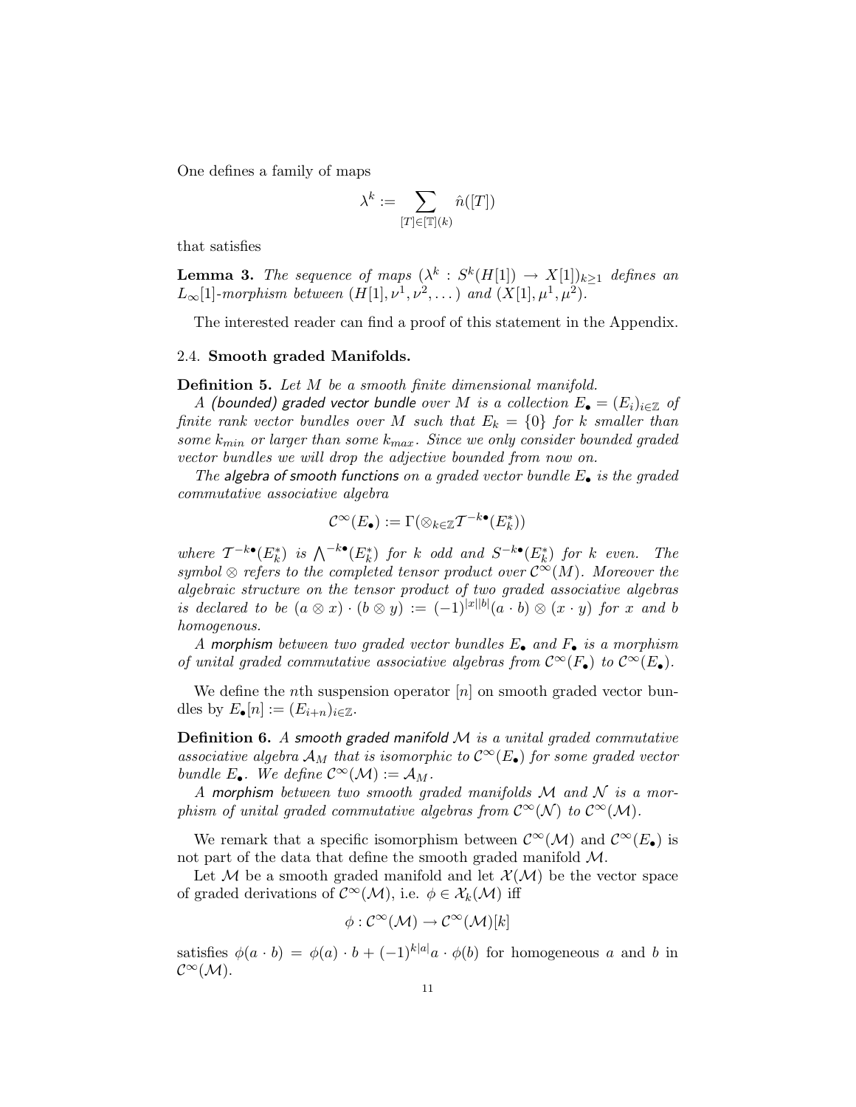One defines a family of maps

$$
\lambda^k := \sum_{[T] \in [\mathbb{T}](k)} \hat{n}([T])
$$

<span id="page-10-1"></span>that satisfies

**Lemma 3.** The sequence of maps  $(\lambda^k : S^k(H[1]) \rightarrow X[1])_{k \geq 1}$  defines an  $L_{\infty}[1]$ -morphism between  $(H[1], \nu^1, \nu^2, \dots)$  and  $(X[1], \mu^1, \mu^2)$ .

The interested reader can find a proof of this statement in the Appendix.

#### <span id="page-10-0"></span>2.4. Smooth graded Manifolds.

Definition 5. Let M be a smooth finite dimensional manifold.

A (bounded) graded vector bundle over M is a collection  $E_{\bullet} = (E_i)_{i \in \mathbb{Z}}$  of finite rank vector bundles over M such that  $E_k = \{0\}$  for k smaller than some  $k_{min}$  or larger than some  $k_{max}$ . Since we only consider bounded graded vector bundles we will drop the adjective bounded from now on.

The algebra of smooth functions on a graded vector bundle  $E_{\bullet}$  is the graded commutative associative algebra

$$
\mathcal{C}^\infty(E_\bullet):=\Gamma(\otimes_{k\in\mathbb{Z}}\mathcal{T}^{-k\bullet}(E_k^*))
$$

where  $T^{-k\bullet}(E_k^*)$  is  $\bigwedge^{-k\bullet}(E_k^*)$  for k odd and  $S^{-k\bullet}(E_k^*)$  for k even. The symbol  $\otimes$  refers to the completed tensor product over  $\mathcal{C}^{\infty}(M)$ . Moreover the algebraic structure on the tensor product of two graded associative algebras is declared to be  $(a \otimes x) \cdot (b \otimes y) := (-1)^{|x||b|} (a \cdot b) \otimes (x \cdot y)$  for x and b homogenous.

A morphism between two graded vector bundles  $E_{\bullet}$  and  $F_{\bullet}$  is a morphism of unital graded commutative associative algebras from  $\mathcal{C}^{\infty}(F_{\bullet})$  to  $\mathcal{C}^{\infty}(E_{\bullet})$ .

We define the *n*th suspension operator  $[n]$  on smooth graded vector bundles by  $E_{\bullet}[n] := (E_{i+n})_{i \in \mathbb{Z}}$ .

**Definition 6.** A smooth graded manifold  $M$  is a unital graded commutative associative algebra  $\mathcal{A}_M$  that is isomorphic to  $\mathcal{C}^{\infty}(E_{\bullet})$  for some graded vector bundle  $E_{\bullet}$ . We define  $\mathcal{C}^{\infty}(\mathcal{M}) := \mathcal{A}_M$ .

A morphism between two smooth graded manifolds  $\mathcal M$  and  $\mathcal N$  is a morphism of unital graded commutative algebras from  $\mathcal{C}^{\infty}(\mathcal{N})$  to  $\mathcal{C}^{\infty}(\mathcal{M})$ .

We remark that a specific isomorphism between  $\mathcal{C}^{\infty}(\mathcal{M})$  and  $\mathcal{C}^{\infty}(E_{\bullet})$  is not part of the data that define the smooth graded manifold  $\mathcal{M}$ .

Let M be a smooth graded manifold and let  $\mathcal{X}(\mathcal{M})$  be the vector space of graded derivations of  $\mathcal{C}^{\infty}(\mathcal{M})$ , i.e.  $\phi \in \mathcal{X}_k(\mathcal{M})$  iff

$$
\phi: \mathcal{C}^{\infty}(\mathcal{M}) \to \mathcal{C}^{\infty}(\mathcal{M})[k]
$$

satisfies  $\phi(a \cdot b) = \phi(a) \cdot b + (-1)^{k|a|} a \cdot \phi(b)$  for homogeneous a and b in  $\mathcal{C}^{\infty}(\mathcal{M}).$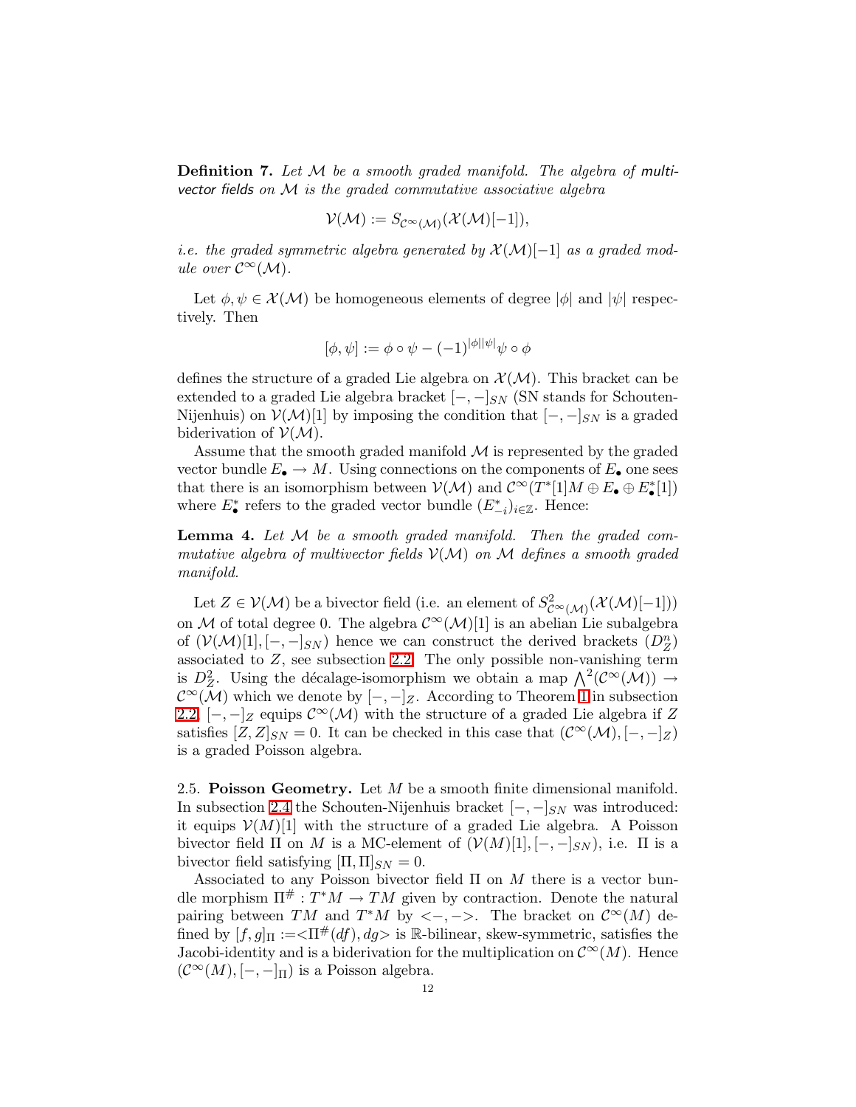**Definition 7.** Let  $M$  be a smooth graded manifold. The algebra of multivector fields on  $M$  is the graded commutative associative algebra

$$
\mathcal{V}(\mathcal{M}) := S_{\mathcal{C}^{\infty}(\mathcal{M})}(\mathcal{X}(\mathcal{M})[-1]),
$$

i.e. the graded symmetric algebra generated by  $\mathcal{X}(\mathcal{M})[-1]$  as a graded module over  $\mathcal{C}^{\infty}(\mathcal{M})$ .

Let  $\phi, \psi \in \mathcal{X}(\mathcal{M})$  be homogeneous elements of degree  $|\phi|$  and  $|\psi|$  respectively. Then

$$
[\phi,\psi] := \phi \circ \psi - (-1)^{|\phi||\psi|} \psi \circ \phi
$$

defines the structure of a graded Lie algebra on  $\mathcal{X}(\mathcal{M})$ . This bracket can be extended to a graded Lie algebra bracket  $[-,-]_{SN}$  (SN stands for Schouten-Nijenhuis) on  $\mathcal{V}(\mathcal{M})[1]$  by imposing the condition that  $[-,-]_{SN}$  is a graded biderivation of  $V(M)$ .

Assume that the smooth graded manifold  $\mathcal M$  is represented by the graded vector bundle  $E_{\bullet} \to M$ . Using connections on the components of  $E_{\bullet}$  one sees that there is an isomorphism between  $\mathcal{V}(\mathcal{M})$  and  $\mathcal{C}^{\infty}(T^*[1]M \oplus E_{\bullet} \oplus E_{\bullet}^*[1])$ where  $E_{\bullet}^*$  refers to the graded vector bundle  $(E_{-i}^*)_{i\in\mathbb{Z}}$ . Hence:

<span id="page-11-1"></span>**Lemma 4.** Let  $M$  be a smooth graded manifold. Then the graded commutative algebra of multivector fields  $V(M)$  on M defines a smooth graded manifold.

Let  $Z \in \mathcal{V}(\mathcal{M})$  be a bivector field (i.e. an element of  $S^2_{\mathcal{C}^{\infty}(\mathcal{M})}(\mathcal{X}(\mathcal{M})[-1]))$ on M of total degree 0. The algebra  $\mathcal{C}^{\infty}(\mathcal{M})[1]$  is an abelian Lie subalgebra of  $(\mathcal{V}(\mathcal{M})[1], [-,-]_{SN})$  hence we can construct the derived brackets  $(D_Z^n)$ associated to  $Z$ , see subsection [2.2.](#page-5-0) The only possible non-vanishing term is  $D^2_Z$ . Using the décalage-isomorphism we obtain a map  $\bigwedge^2(\mathcal{C}^{\infty}(\mathcal{M})) \to$  $\mathcal{C}^{\infty}(\mathcal{M})$  which we denote by  $[-,-]_Z$ . According to Theorem [1](#page-6-2) in subsection [2.2,](#page-5-0)  $[-,-]_Z$  equips  $\mathcal{C}^{\infty}(\mathcal{M})$  with the structure of a graded Lie algebra if Z satisfies  $[Z, Z]_{SN} = 0$ . It can be checked in this case that  $(C^{\infty}(\mathcal{M}), [-, -]_Z)$ is a graded Poisson algebra.

<span id="page-11-0"></span>2.5. Poisson Geometry. Let  $M$  be a smooth finite dimensional manifold. In subsection [2.4](#page-10-0) the Schouten-Nijenhuis bracket  $[-, -]_{SN}$  was introduced: it equips  $\mathcal{V}(M)[1]$  with the structure of a graded Lie algebra. A Poisson bivector field  $\Pi$  on M is a MC-element of  $(V(M)[1], [-,-]_{SN})$ , i.e.  $\Pi$  is a bivector field satisfying  $[\Pi,\Pi]_{SN} = 0.$ 

Associated to any Poisson bivector field  $\Pi$  on  $M$  there is a vector bundle morphism  $\Pi^{\#}: T^*M \to TM$  given by contraction. Denote the natural pairing between TM and T<sup>\*</sup>M by <-, ->. The bracket on  $\mathcal{C}^{\infty}(M)$  defined by  $[f,g]_{\Pi} := \langle \Pi^{\#}(df), dg \rangle$  is R-bilinear, skew-symmetric, satisfies the Jacobi-identity and is a biderivation for the multiplication on  $\mathcal{C}^{\infty}(M)$ . Hence  $(\mathcal{C}^{\infty}(M), [-,-]_{\Pi})$  is a Poisson algebra.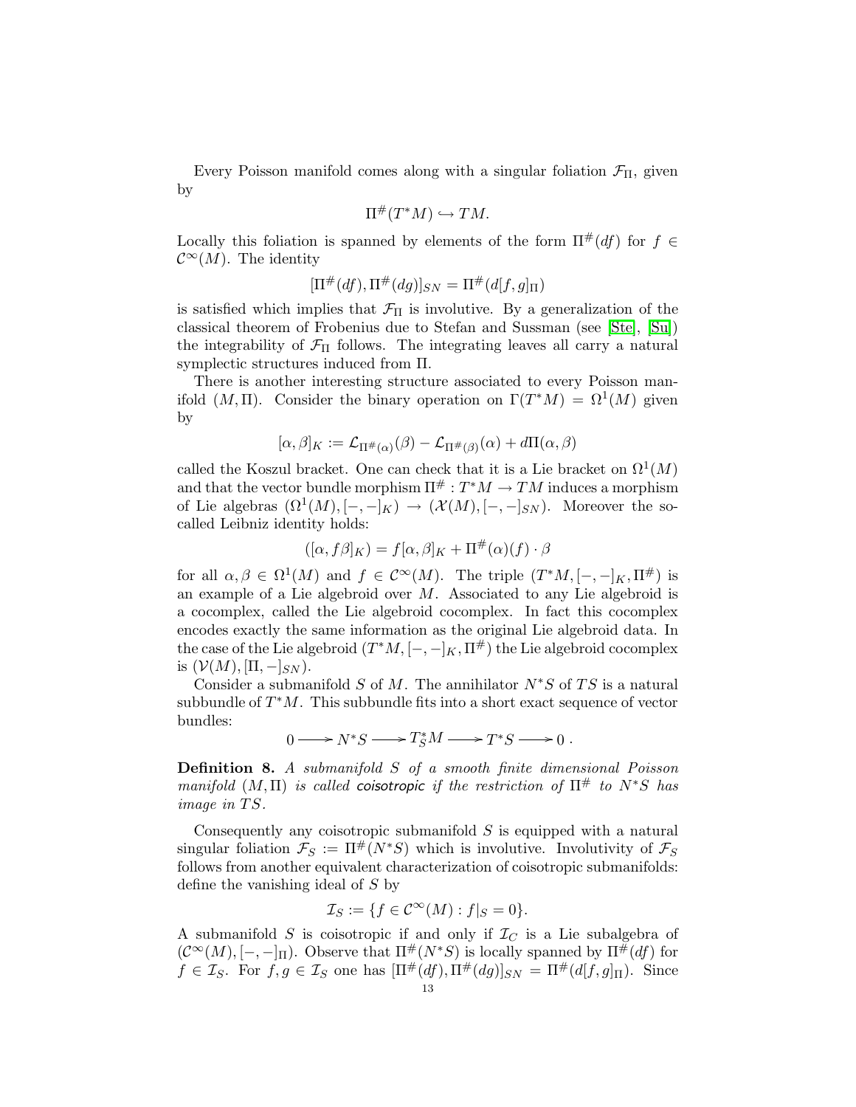Every Poisson manifold comes along with a singular foliation  $\mathcal{F}_{\Pi}$ , given by

$$
\Pi^{\#}(T^*M) \hookrightarrow TM.
$$

Locally this foliation is spanned by elements of the form  $\Pi^{\#}(df)$  for  $f \in$  $\mathcal{C}^{\infty}(M)$ . The identity

$$
[\Pi^{\#}(df), \Pi^{\#}(dg)]_{SN} = \Pi^{\#}(d[f,g]_{\Pi})
$$

is satisfied which implies that  $\mathcal{F}_{\Pi}$  is involutive. By a generalization of the classical theorem of Frobenius due to Stefan and Sussman (see [\[Ste\]](#page-50-5), [\[Su\]](#page-50-6)) the integrability of  $\mathcal{F}_{\Pi}$  follows. The integrating leaves all carry a natural symplectic structures induced from Π.

There is another interesting structure associated to every Poisson manifold  $(M, \Pi)$ . Consider the binary operation on  $\Gamma(T^*M) = \Omega^1(M)$  given by

$$
[\alpha,\beta]_K := \mathcal{L}_{\Pi^\#(\alpha)}(\beta) - \mathcal{L}_{\Pi^\#(\beta)}(\alpha) + d\Pi(\alpha,\beta)
$$

called the Koszul bracket. One can check that it is a Lie bracket on  $\Omega^1(M)$ and that the vector bundle morphism  $\Pi^\# : T^*M \to TM$  induces a morphism of Lie algebras  $(\Omega^1(M), [-,-]_K) \to (\mathcal{X}(M), [-,-]_{SN})$ . Moreover the socalled Leibniz identity holds:

$$
([\alpha, f\beta]_K) = f[\alpha, \beta]_K + \Pi^{\#}(\alpha)(f) \cdot \beta
$$

for all  $\alpha, \beta \in \Omega^1(M)$  and  $f \in C^{\infty}(M)$ . The triple  $(T^*M, [-,-]_K, \Pi^{\#})$  is an example of a Lie algebroid over  $M$ . Associated to any Lie algebroid is a cocomplex, called the Lie algebroid cocomplex. In fact this cocomplex encodes exactly the same information as the original Lie algebroid data. In the case of the Lie algebroid  $(T^*M, [-, -]_K, \Pi^{\#})$  the Lie algebroid cocomplex is  $(V(M), [\Pi, -]_{SN})$ .

Consider a submanifold S of M. The annihilator  $N^*S$  of TS is a natural subbundle of  $T^*M$ . This subbundle fits into a short exact sequence of vector bundles:

$$
0 \longrightarrow N^*S \longrightarrow T^*_S M \longrightarrow T^*S \longrightarrow 0.
$$

Definition 8. A submanifold S of a smooth finite dimensional Poisson manifold  $(M, \Pi)$  is called coisotropic if the restriction of  $\Pi^{\#}$  to  $N^*S$  has image in TS.

Consequently any coisotropic submanifold  $S$  is equipped with a natural singular foliation  $\mathcal{F}_S := \Pi^{\#}(N^*S)$  which is involutive. Involutivity of  $\mathcal{F}_S$ follows from another equivalent characterization of coisotropic submanifolds: define the vanishing ideal of S by

$$
\mathcal{I}_S := \{ f \in \mathcal{C}^\infty(M) : f|_S = 0 \}.
$$

A submanifold S is coisotropic if and only if  $\mathcal{I}_C$  is a Lie subalgebra of  $(C^{\infty}(M), [-,-]_{\Pi})$ . Observe that  $\Pi^{\#}(N^*S)$  is locally spanned by  $\Pi^{\#}(df)$  for  $f \in \mathcal{I}_S$ . For  $f, g \in \mathcal{I}_S$  one has  $[\Pi^\#(df), \Pi^\#(dg)]_{SN} = \Pi^\#(d[f,g]_\Pi)$ . Since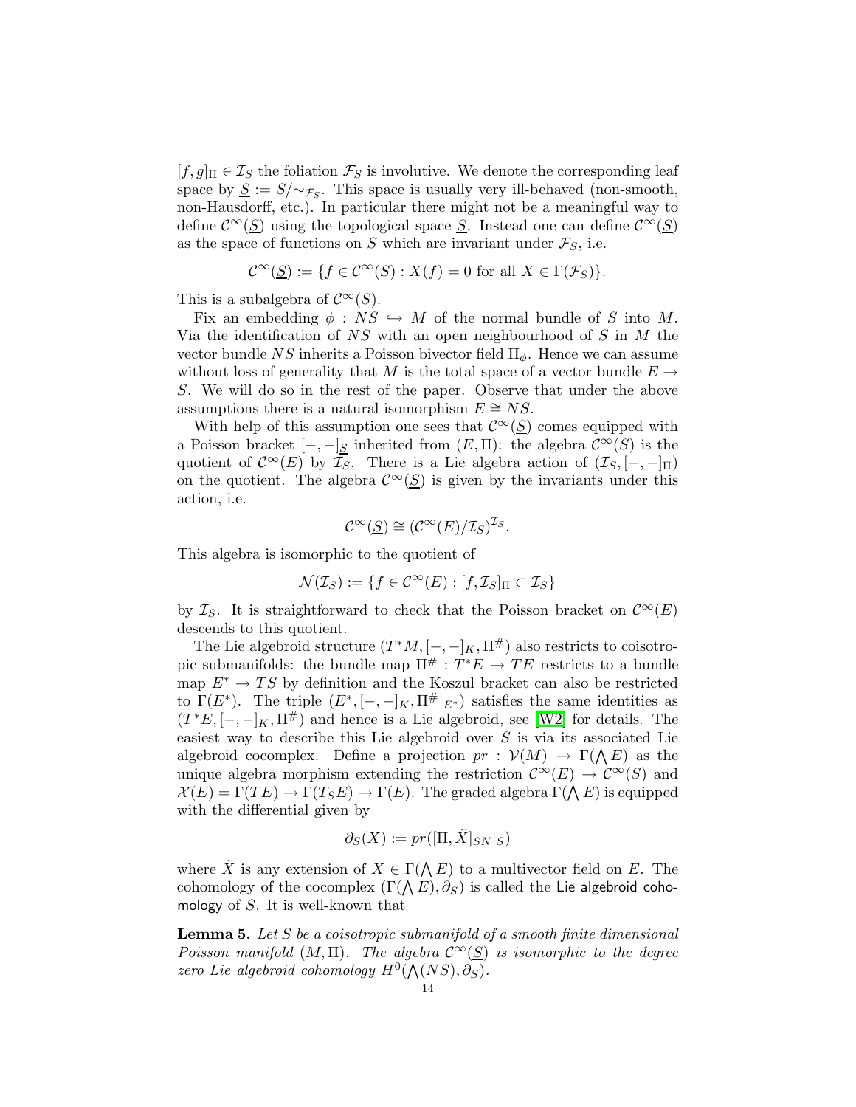$[f,g]_\Pi \in \mathcal{I}_S$  the foliation  $\mathcal{F}_S$  is involutive. We denote the corresponding leaf space by  $\underline{S} := S/\sim_{\mathcal{F}_S}$ . This space is usually very ill-behaved (non-smooth, non-Hausdorff, etc.). In particular there might not be a meaningful way to define  $\mathcal{C}^{\infty}(\underline{S})$  using the topological space  $\underline{S}$ . Instead one can define  $\mathcal{C}^{\infty}(\underline{S})$ as the space of functions on S which are invariant under  $\mathcal{F}_S$ , i.e.

$$
\mathcal{C}^{\infty}(\underline{S}) := \{ f \in \mathcal{C}^{\infty}(S) : X(f) = 0 \text{ for all } X \in \Gamma(\mathcal{F}_S) \}.
$$

This is a subalgebra of  $\mathcal{C}^{\infty}(S)$ .

Fix an embedding  $\phi : NS \hookrightarrow M$  of the normal bundle of S into M. Via the identification of  $NS$  with an open neighbourhood of S in M the vector bundle NS inherits a Poisson bivector field  $\Pi_{\phi}$ . Hence we can assume without loss of generality that M is the total space of a vector bundle  $E \rightarrow$ S. We will do so in the rest of the paper. Observe that under the above assumptions there is a natural isomorphism  $E \cong NS$ .

With help of this assumption one sees that  $\mathcal{C}^{\infty}(\underline{S})$  comes equipped with a Poisson bracket  $[-,-]_S$  inherited from  $(E,\Pi)$ : the algebra  $\mathcal{C}^{\infty}(S)$  is the quotient of  $\mathcal{C}^{\infty}(E)$  by  $\mathcal{I}_S$ . There is a Lie algebra action of  $(\mathcal{I}_S, [-,-]_{\Pi})$ on the quotient. The algebra  $\mathcal{C}^{\infty}(\underline{S})$  is given by the invariants under this action, i.e.

$$
\mathcal{C}^{\infty}(\underline{S}) \cong (\mathcal{C}^{\infty}(E)/\mathcal{I}_S)^{\mathcal{I}_S}.
$$

This algebra is isomorphic to the quotient of

$$
\mathcal{N}(\mathcal{I}_S) := \{ f \in \mathcal{C}^\infty(E) : [f, \mathcal{I}_S]_\Pi \subset \mathcal{I}_S \}
$$

by  $\mathcal{I}_S$ . It is straightforward to check that the Poisson bracket on  $\mathcal{C}^{\infty}(E)$ descends to this quotient.

The Lie algebroid structure  $(T^*M, [-, -]_K, \Pi^{\#})$  also restricts to coisotropic submanifolds: the bundle map  $\Pi^{\#}: T^*E \to TE$  restricts to a bundle map  $E^* \to TS$  by definition and the Koszul bracket can also be restricted to  $\Gamma(E^*)$ . The triple  $(E^*, [-,-]_K, \Pi^{\#}|_{E^*})$  satisfies the same identities as  $(T^*E, [-, -]_K, \Pi^{\#})$  and hence is a Lie algebroid, see [\[W2\]](#page-50-0) for details. The easiest way to describe this Lie algebroid over S is via its associated Lie algebroid cocomplex. Define a projection  $pr: V(M) \to \Gamma(\Lambda E)$  as the unique algebra morphism extending the restriction  $\mathcal{C}^{\infty}(E) \to \mathcal{C}^{\infty}(S)$  and  $\mathcal{X}(E) = \Gamma(TE) \rightarrow \Gamma(T_S E) \rightarrow \Gamma(E)$ . The graded algebra  $\Gamma(\bigwedge E)$  is equipped with the differential given by

$$
\partial_S(X) := pr([\Pi, \tilde{X}]_{SN}|_S)
$$

where  $\tilde{X}$  is any extension of  $X \in \Gamma(\Lambda E)$  to a multivector field on E. The cohomology of the cocomplex  $(\Gamma (\bigwedge E),\partial_S)$  is called the Lie algebroid cohomology of  $S$ . It is well-known that

**Lemma 5.** Let S be a coisotropic submanifold of a smooth finite dimensional Poisson manifold  $(M, \Pi)$ . The algebra  $\mathcal{C}^{\infty}(\underline{S})$  is isomorphic to the degree zero Lie algebroid cohomology  $H^0(\mathcal{N}(NS), \partial_S)$ .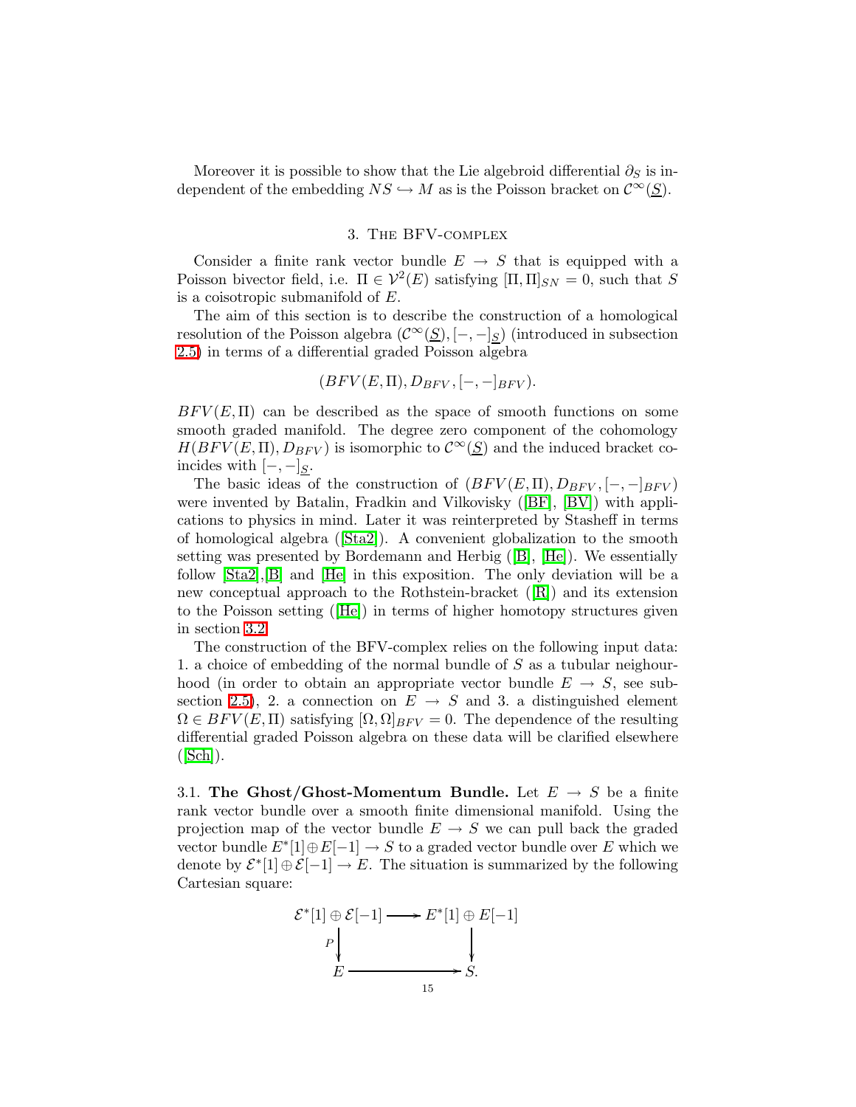Moreover it is possible to show that the Lie algebroid differential  $\partial_S$  is independent of the embedding  $NS \hookrightarrow M$  as is the Poisson bracket on  $\mathcal{C}^{\infty}(S)$ .

# 3. The BFV-complex

<span id="page-14-0"></span>Consider a finite rank vector bundle  $E \rightarrow S$  that is equipped with a Poisson bivector field, i.e.  $\Pi \in \mathcal{V}^2(E)$  satisfying  $[\Pi, \Pi]_{SN} = 0$ , such that S is a coisotropic submanifold of E.

The aim of this section is to describe the construction of a homological resolution of the Poisson algebra  $(\mathcal{C}^{\infty}(\underline{S}), [-,-]_S)$  (introduced in subsection [2.5\)](#page-11-0) in terms of a differential graded Poisson algebra

$$
(BFV(E,\Pi),D_{BFV},[-,-]_{BFV}).
$$

 $BFV(E, \Pi)$  can be described as the space of smooth functions on some smooth graded manifold. The degree zero component of the cohomology  $H(BFV(E,\Pi),D_{BFV})$  is isomorphic to  $\mathcal{C}^{\infty}(\underline{S})$  and the induced bracket coincides with  $[-,-]_S$ .

The basic ideas of the construction of  $(BFV(E,\Pi),D_{BFV},[-,-]_{BFV})$ were invented by Batalin, Fradkin and Vilkovisky([\[BF\]](#page-49-4), [\[BV\]](#page-49-5)) with applications to physics in mind. Later it was reinterpreted by Stasheff in terms of homological algebra([\[Sta2\]](#page-50-1)). A convenient globalization to the smooth setting was presented by Bordemann and Herbig([\[B\]](#page-49-6), [\[He\]](#page-49-7)). We essentially follow [\[Sta2\]](#page-50-1),[\[B\]](#page-49-6) and [\[He\]](#page-49-7) in this exposition. The only deviation will be a new conceptual approach to the Rothstein-bracket([\[R\]](#page-49-12)) and its extension to the Poisson setting([\[He\]](#page-49-7)) in terms of higher homotopy structures given in section [3.2.](#page-15-0)

The construction of the BFV-complex relies on the following input data: 1. a choice of embedding of the normal bundle of S as a tubular neighourhood (in order to obtain an appropriate vector bundle  $E \rightarrow S$ , see sub-section [2.5\)](#page-11-0), 2. a connection on  $E \rightarrow S$  and 3. a distinguished element  $\Omega \in BFV(E, \Pi)$  satisfying  $[\Omega, \Omega]_{BFV} = 0$ . The dependence of the resulting differential graded Poisson algebra on these data will be clarified elsewhere  $([Sch]).$  $([Sch]).$  $([Sch]).$ 

<span id="page-14-1"></span>3.1. The Ghost/Ghost-Momentum Bundle. Let  $E \rightarrow S$  be a finite rank vector bundle over a smooth finite dimensional manifold. Using the projection map of the vector bundle  $E \to S$  we can pull back the graded vector bundle  $E^*[1]\oplus E[-1] \to S$  to a graded vector bundle over E which we denote by  $\mathcal{E}^*[1] \oplus \mathcal{E}[-1] \to E$ . The situation is summarized by the following Cartesian square:

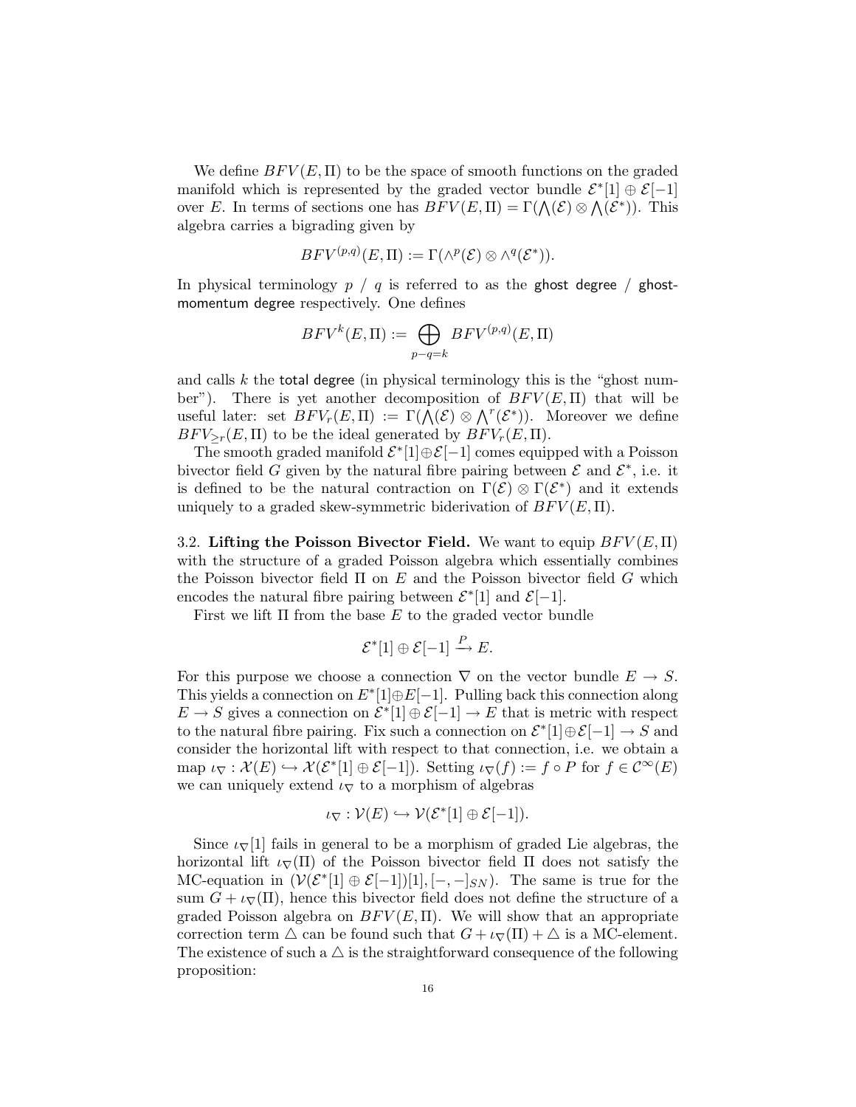We define  $BFV(E,\Pi)$  to be the space of smooth functions on the graded manifold which is represented by the graded vector bundle  $\mathcal{E}^*[1] \oplus \mathcal{E}[-1]$ over E. In terms of sections one has  $BFV(E, \Pi) = \Gamma(\bigwedge(\mathcal{E}) \otimes \bigwedge(\mathcal{E}^*)$ . This algebra carries a bigrading given by

$$
BFV^{(p,q)}(E,\Pi):=\Gamma(\wedge^p(\mathcal{E})\otimes\wedge^q(\mathcal{E}^*)).
$$

In physical terminology  $p / q$  is referred to as the ghost degree / ghostmomentum degree respectively. One defines

$$
BFV^{k}(E,\Pi) := \bigoplus_{p-q=k} BFV^{(p,q)}(E,\Pi)
$$

and calls  $k$  the total degree (in physical terminology this is the "ghost number"). There is yet another decomposition of  $BFV(E, \Pi)$  that will be useful later: set  $BFV_r(E,\Pi) := \Gamma(\overline{\bigwedge}(\mathcal{E}) \otimes \bigwedge^r(\mathcal{E}^*)$ . Moreover we define  $BFV_{\geq r}(E,\Pi)$  to be the ideal generated by  $BFV_r(E,\Pi)$ .

The smooth graded manifold  $\mathcal{E}^*[1]\oplus \mathcal{E}[-1]$  comes equipped with a Poisson bivector field G given by the natural fibre pairing between  $\mathcal E$  and  $\mathcal E^*$ , i.e. it is defined to be the natural contraction on  $\Gamma(\mathcal{E}) \otimes \Gamma(\mathcal{E}^*)$  and it extends uniquely to a graded skew-symmetric biderivation of  $BFV(E,\Pi)$ .

<span id="page-15-0"></span>3.2. Lifting the Poisson Bivector Field. We want to equip  $BFV(E,\Pi)$ with the structure of a graded Poisson algebra which essentially combines the Poisson bivector field  $\Pi$  on  $E$  and the Poisson bivector field  $G$  which encodes the natural fibre pairing between  $\mathcal{E}^*[1]$  and  $\mathcal{E}[-1]$ .

First we lift  $\Pi$  from the base  $E$  to the graded vector bundle

$$
\mathcal{E}^*[1] \oplus \mathcal{E}[-1] \xrightarrow{P} E.
$$

For this purpose we choose a connection  $\nabla$  on the vector bundle  $E \to S$ . This yields a connection on  $E^*[1]\oplus E[-1]$ . Pulling back this connection along  $E \to S$  gives a connection on  $\mathcal{E}^*[1] \oplus \mathcal{E}[-1] \to E$  that is metric with respect to the natural fibre pairing. Fix such a connection on  $\mathcal{E}^*[1]\oplus \mathcal{E}[-1] \to S$  and consider the horizontal lift with respect to that connection, i.e. we obtain a map  $\iota_{\nabla} : \mathcal{X}(E) \hookrightarrow \mathcal{X}(\mathcal{E}^*[1] \oplus \mathcal{E}[-1])$ . Setting  $\iota_{\nabla}(f) := f \circ P$  for  $f \in \mathcal{C}^{\infty}(E)$ we can uniquely extend  $\iota_{\nabla}$  to a morphism of algebras

$$
\iota_{\nabla} : \mathcal{V}(E) \hookrightarrow \mathcal{V}(\mathcal{E}^*[1] \oplus \mathcal{E}[-1]).
$$

<span id="page-15-1"></span>Since  $\iota_{\nabla}[1]$  fails in general to be a morphism of graded Lie algebras, the horizontal lift  $\iota_{\nabla}(\Pi)$  of the Poisson bivector field  $\Pi$  does not satisfy the MC-equation in  $(\mathcal{V}(\mathcal{E}^*[1] \oplus \mathcal{E}[-1])[1], [-,-]_{SN})$ . The same is true for the sum  $G + \iota_{\nabla}(\Pi)$ , hence this bivector field does not define the structure of a graded Poisson algebra on  $BFV(E, \Pi)$ . We will show that an appropriate correction term  $\triangle$  can be found such that  $G + \iota \nabla(\Pi) + \triangle$  is a MC-element. The existence of such a  $\triangle$  is the straightforward consequence of the following proposition: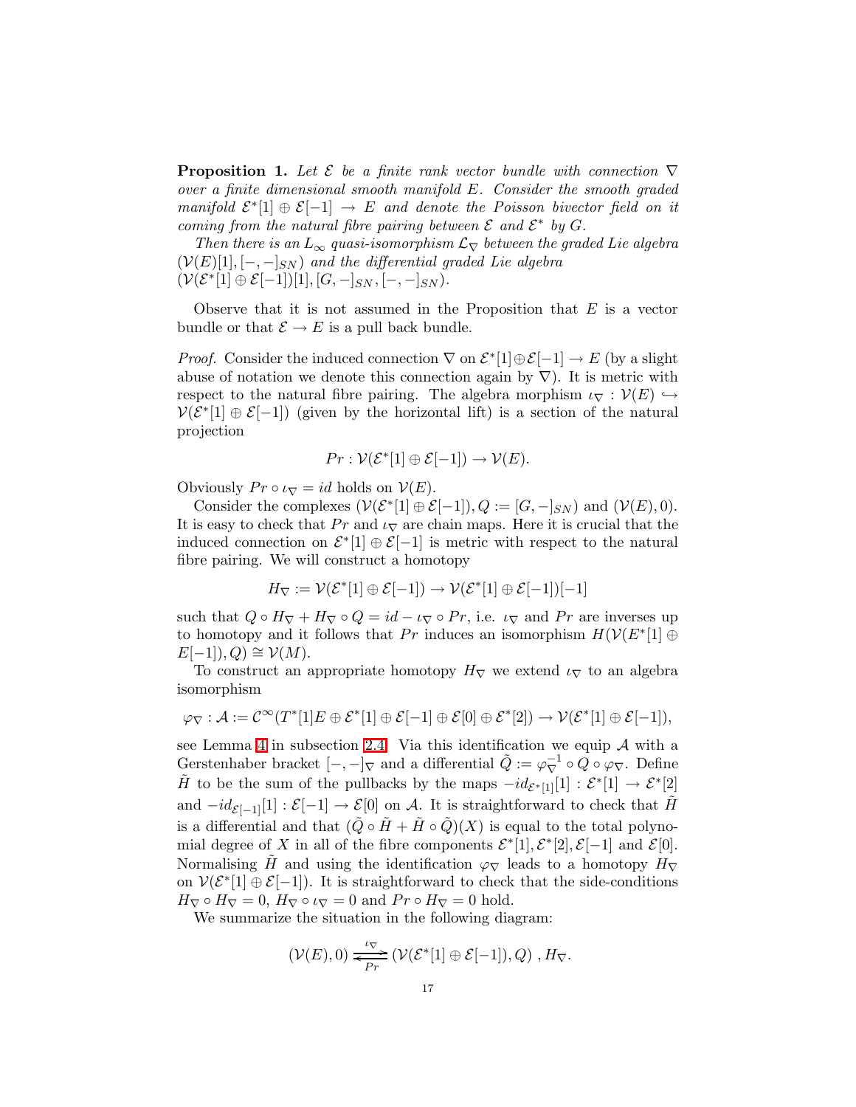**Proposition 1.** Let  $\mathcal E$  be a finite rank vector bundle with connection  $\nabla$ over a finite dimensional smooth manifold E. Consider the smooth graded manifold  $\mathcal{E}^*[1] \oplus \mathcal{E}[-1] \to E$  and denote the Poisson bivector field on it coming from the natural fibre pairing between  $\mathcal E$  and  $\mathcal E^*$  by  $G$ .

Then there is an  $L_{\infty}$  quasi-isomorphism  $\mathcal{L}_{\nabla}$  between the graded Lie algebra  $(V(E)[1], [-,-]_{SN})$  and the differential graded Lie algebra  $(\mathcal{V}(\mathcal{E}^*[1] \oplus \mathcal{E}[-1])[1], [G, -]_{SN}, [-, -]_{SN}).$ 

Observe that it is not assumed in the Proposition that  $E$  is a vector bundle or that  $\mathcal{E} \to E$  is a pull back bundle.

*Proof.* Consider the induced connection  $\nabla$  on  $\mathcal{E}^*[1] \oplus \mathcal{E}[-1] \to E$  (by a slight abuse of notation we denote this connection again by  $\nabla$ ). It is metric with respect to the natural fibre pairing. The algebra morphism  $\iota_{\nabla} : \mathcal{V}(E) \hookrightarrow$  $V(\mathcal{E}^*[1] \oplus \mathcal{E}[-1])$  (given by the horizontal lift) is a section of the natural projection

$$
Pr: \mathcal{V}(\mathcal{E}^*[1] \oplus \mathcal{E}[-1]) \to \mathcal{V}(E).
$$

Obviously  $Pr \circ \iota_{\nabla} = id$  holds on  $V(E)$ .

Consider the complexes  $(\mathcal{V}(\mathcal{E}^*[1] \oplus \mathcal{E}[-1]), Q := [G, -]_{SN})$  and  $(\mathcal{V}(E), 0)$ . It is easy to check that  $Pr$  and  $\iota_{\nabla}$  are chain maps. Here it is crucial that the induced connection on  $\mathcal{E}^*[1] \oplus \mathcal{E}[-1]$  is metric with respect to the natural fibre pairing. We will construct a homotopy

$$
H_{\nabla} := \mathcal{V}(\mathcal{E}^*[1] \oplus \mathcal{E}[-1]) \to \mathcal{V}(\mathcal{E}^*[1] \oplus \mathcal{E}[-1])[-1]
$$

such that  $Q \circ H_{\nabla} + H_{\nabla} \circ Q = id - \iota_{\nabla} \circ Pr$ , i.e.  $\iota_{\nabla}$  and  $Pr$  are inverses up to homotopy and it follows that Pr induces an isomorphism  $H(V(E^*[1]) \oplus$  $E[-1],Q) \cong \mathcal{V}(M).$ 

To construct an appropriate homotopy  $H_{\nabla}$  we extend  $\iota_{\nabla}$  to an algebra isomorphism

$$
\varphi_{\nabla} : \mathcal{A} := \mathcal{C}^{\infty}(T^{*}[1]E \oplus \mathcal{E}^{*}[1] \oplus \mathcal{E}[-1] \oplus \mathcal{E}[0] \oplus \mathcal{E}^{*}[2]) \rightarrow \mathcal{V}(\mathcal{E}^{*}[1] \oplus \mathcal{E}[-1]),
$$

see Lemma [4](#page-11-1) in subsection [2.4.](#page-10-0) Via this identification we equip  $A$  with a Gerstenhaber bracket  $[-,-]_{\nabla}$  and a differential  $\tilde{Q} := \varphi_{\nabla}^{-1} \circ Q \circ \varphi_{\nabla}$ . Define  $\tilde{H}$  to be the sum of the pullbacks by the maps  $-id_{\mathcal{E}^*[1]}[1]: \mathcal{E}^*[1] \to \mathcal{E}^*[2]$ and  $-id_{\mathcal{E}[-1]}[1]: \mathcal{E}[-1] \to \mathcal{E}[0]$  on A. It is straightforward to check that  $\hat{H}$ is a differential and that  $(Q \circ H + H \circ Q)(X)$  is equal to the total polynomial degree of X in all of the fibre components  $\mathcal{E}^*[1], \mathcal{E}^*[2], \mathcal{E}[-1]$  and  $\mathcal{E}[0].$ Normalising H and using the identification  $\varphi_{\nabla}$  leads to a homotopy  $H_{\nabla}$ on  $V(\mathcal{E}^*[1] \oplus \mathcal{E}[-1])$ . It is straightforward to check that the side-conditions  $H_{\nabla} \circ H_{\nabla} = 0$ ,  $H_{\nabla} \circ \iota_{\nabla} = 0$  and  $Pr \circ H_{\nabla} = 0$  hold.

We summarize the situation in the following diagram:

$$
(\mathcal{V}(E),0) \xrightarrow[\text{Pr}]{\iota_{\nabla}} (\mathcal{V}(\mathcal{E}^*[1] \oplus \mathcal{E}[-1]),Q), H_{\nabla}.
$$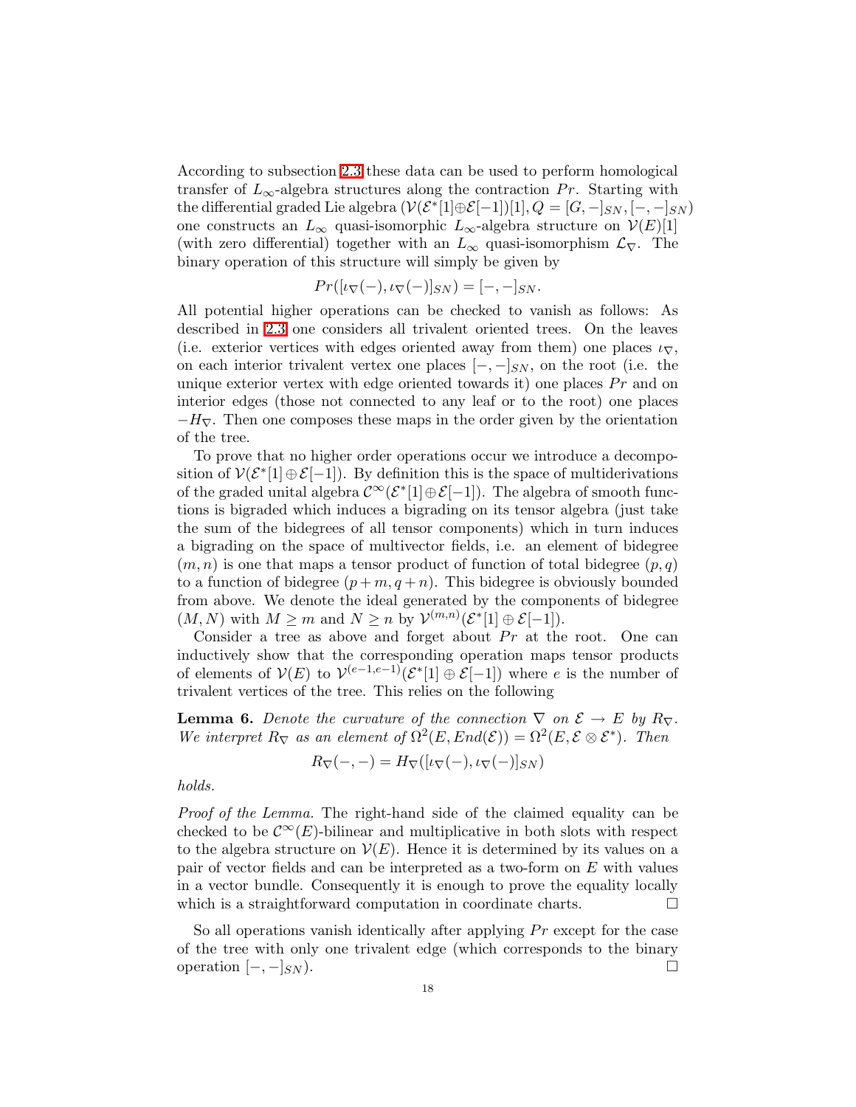According to subsection [2.3](#page-6-0) these data can be used to perform homological transfer of  $L_{\infty}$ -algebra structures along the contraction Pr. Starting with the differential graded Lie algebra  $(\mathcal{V}(\mathcal{E}^*[1]\oplus \mathcal{E}[-1])[1],Q=[G,-]_{SN},[-,-]_{SN})$ one constructs an  $L_{\infty}$  quasi-isomorphic  $L_{\infty}$ -algebra structure on  $\mathcal{V}(E)[1]$ (with zero differential) together with an  $L_{\infty}$  quasi-isomorphism  $\mathcal{L}_{\nabla}$ . The binary operation of this structure will simply be given by

$$
Pr([\iota_{\nabla}(-), \iota_{\nabla}(-)]_{SN}) = [-,-]_{SN}.
$$

All potential higher operations can be checked to vanish as follows: As described in [2.3](#page-6-0) one considers all trivalent oriented trees. On the leaves (i.e. exterior vertices with edges oriented away from them) one places  $\iota_{\nabla}$ , on each interior trivalent vertex one places  $[-,-]_{SN}$ , on the root (i.e. the unique exterior vertex with edge oriented towards it) one places  $Pr$  and on interior edges (those not connected to any leaf or to the root) one places  $-H_{\nabla}$ . Then one composes these maps in the order given by the orientation of the tree.

To prove that no higher order operations occur we introduce a decomposition of  $V(\mathcal{E}^*[1] \oplus \mathcal{E}[-1])$ . By definition this is the space of multiderivations of the graded unital algebra  $\mathcal{C}^{\infty}(\mathcal{E}^*[1] \oplus \mathcal{E}[-1])$ . The algebra of smooth functions is bigraded which induces a bigrading on its tensor algebra (just take the sum of the bidegrees of all tensor components) which in turn induces a bigrading on the space of multivector fields, i.e. an element of bidegree  $(m,n)$  is one that maps a tensor product of function of total bidegree  $(p,q)$ to a function of bidegree  $(p+m,q+n)$ . This bidegree is obviously bounded from above. We denote the ideal generated by the components of bidegree  $(M, N)$  with  $M \geq m$  and  $N \geq n$  by  $\mathcal{V}^{(m,n)}(\mathcal{E}^*[1] \oplus \mathcal{E}[-1])$ .

Consider a tree as above and forget about  $Pr$  at the root. One can inductively show that the corresponding operation maps tensor products of elements of  $V(E)$  to  $V^{(e-1,e-1)}(\mathcal{E}^*[1] \oplus \mathcal{E}[-1])$  where e is the number of trivalent vertices of the tree. This relies on the following

**Lemma 6.** Denote the curvature of the connection  $\nabla$  on  $\mathcal{E} \to E$  by  $R_{\nabla}$ . We interpret  $R_{\nabla}$  as an element of  $\Omega^2(E, End(\mathcal{E})) = \Omega^2(E, \mathcal{E} \otimes \mathcal{E}^*)$ . Then

$$
R_{\nabla}(-,-) = H_{\nabla}([\iota_{\nabla}(-), \iota_{\nabla}(-)]_{SN})
$$

holds.

Proof of the Lemma. The right-hand side of the claimed equality can be checked to be  $\mathcal{C}^{\infty}(E)$ -bilinear and multiplicative in both slots with respect to the algebra structure on  $V(E)$ . Hence it is determined by its values on a pair of vector fields and can be interpreted as a two-form on  $E$  with values in a vector bundle. Consequently it is enough to prove the equality locally which is a straightforward computation in coordinate charts.

<span id="page-17-0"></span>So all operations vanish identically after applying  $Pr$  except for the case of the tree with only one trivalent edge (which corresponds to the binary operation  $[-,-]_{SN}$ ).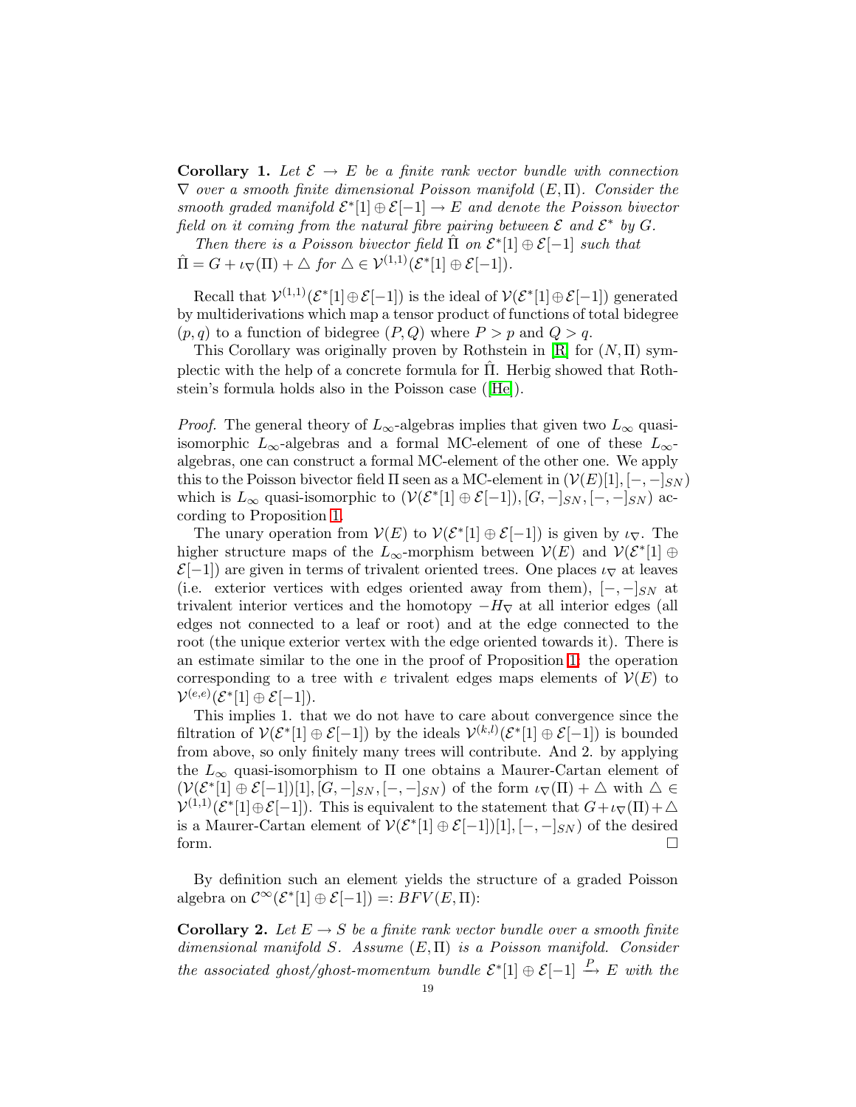**Corollary 1.** Let  $\mathcal{E} \to E$  be a finite rank vector bundle with connection  $\nabla$  over a smooth finite dimensional Poisson manifold  $(E,\Pi)$ . Consider the smooth graded manifold  $\mathcal{E}^*[1] \oplus \mathcal{E}[-1] \to E$  and denote the Poisson bivector field on it coming from the natural fibre pairing between  $\mathcal E$  and  $\mathcal E^*$  by  $G$ .

Then there is a Poisson bivector field  $\hat{\Pi}$  on  $\mathcal{E}^*[1] \oplus \mathcal{E}[-1]$  such that  $\hat{\Pi} = G + \iota_{\nabla}(\Pi) + \triangle$  for  $\triangle \in \mathcal{V}^{(1,1)}(\mathcal{E}^*[1] \oplus \mathcal{E}[-1]).$ 

Recall that  $\mathcal{V}^{(1,1)}(\mathcal{E}^*[1]\oplus \mathcal{E}[-1])$  is the ideal of  $\mathcal{V}(\mathcal{E}^*[1]\oplus \mathcal{E}[-1])$  generated by multiderivations which map a tensor product of functions of total bidegree  $(p,q)$  to a function of bidegree  $(P,Q)$  where  $P > p$  and  $Q > q$ .

This Corollary was originally proven by Rothstein in  $[R]$  for  $(N, \Pi)$  symplectic with the help of a concrete formula for Π. Herbig showed that Roth- ˆ stein's formula holds also in the Poisson case([\[He\]](#page-49-7)).

*Proof.* The general theory of  $L_{\infty}$ -algebras implies that given two  $L_{\infty}$  quasiisomorphic  $L_{\infty}$ -algebras and a formal MC-element of one of these  $L_{\infty}$ algebras, one can construct a formal MC-element of the other one. We apply this to the Poisson bivector field  $\Pi$  seen as a MC-element in  $(\mathcal{V}(E)[1], [-,-]_{SN})$ which is  $L_{\infty}$  quasi-isomorphic to  $(\mathcal{V}(\mathcal{E}^*[1] \oplus \mathcal{E}[-1]), [G, -]_{SN}, [-, -]_{SN})$  according to Proposition [1.](#page-15-1)

The unary operation from  $V(E)$  to  $V(\mathcal{E}^*[1] \oplus \mathcal{E}[-1])$  is given by  $\iota_{\nabla}$ . The higher structure maps of the  $L_{\infty}$ -morphism between  $\mathcal{V}(E)$  and  $\mathcal{V}(\mathcal{E}^*[1] \oplus$  $\mathcal{E}[-1]$ ) are given in terms of trivalent oriented trees. One places  $\iota_{\nabla}$  at leaves (i.e. exterior vertices with edges oriented away from them),  $[-,-]_{SN}$  at trivalent interior vertices and the homotopy  $-H<sub>\nabla</sub>$  at all interior edges (all edges not connected to a leaf or root) and at the edge connected to the root (the unique exterior vertex with the edge oriented towards it). There is an estimate similar to the one in the proof of Proposition [1:](#page-15-1) the operation corresponding to a tree with e trivalent edges maps elements of  $\mathcal{V}(E)$  to  $\mathcal{V}^{(e,e)}(\mathcal{E}^*[1] \oplus \mathcal{E}[-1]).$ 

This implies 1. that we do not have to care about convergence since the filtration of  $V(\mathcal{E}^*[1] \oplus \mathcal{E}[-1])$  by the ideals  $V^{(k,l)}(\mathcal{E}^*[1] \oplus \mathcal{E}[-1])$  is bounded from above, so only finitely many trees will contribute. And 2. by applying the  $L_{\infty}$  quasi-isomorphism to  $\Pi$  one obtains a Maurer-Cartan element of  $(\mathcal{V}(\mathcal{E}^*[1] \oplus \mathcal{E}[-1])[1], [G, -]_{SN}, [-, -]_{SN})$  of the form  $\iota_{\nabla}(\Pi) + \Delta$  with  $\Delta \in$  $\mathcal{V}^{(1,1)}(\mathcal{E}^*[1]\oplus \mathcal{E}[-1])$ . This is equivalent to the statement that  $G + \iota_{\nabla}(\Pi) + \Delta$ is a Maurer-Cartan element of  $V(\mathcal{E}^*[1] \oplus \mathcal{E}[-1])[1], [-,-]_{SN})$  of the desired form.  $\Box$ 

<span id="page-18-0"></span>By definition such an element yields the structure of a graded Poisson algebra on  $\mathcal{C}^{\infty}(\mathcal{E}^*[1] \oplus \mathcal{E}[-1]) =: BFV(E,\Pi)$ :

**Corollary 2.** Let  $E \to S$  be a finite rank vector bundle over a smooth finite dimensional manifold S. Assume  $(E, \Pi)$  is a Poisson manifold. Consider the associated ghost/ghost-momentum bundle  $\mathcal{E}^*[1] \oplus \mathcal{E}[-1] \xrightarrow{P} E$  with the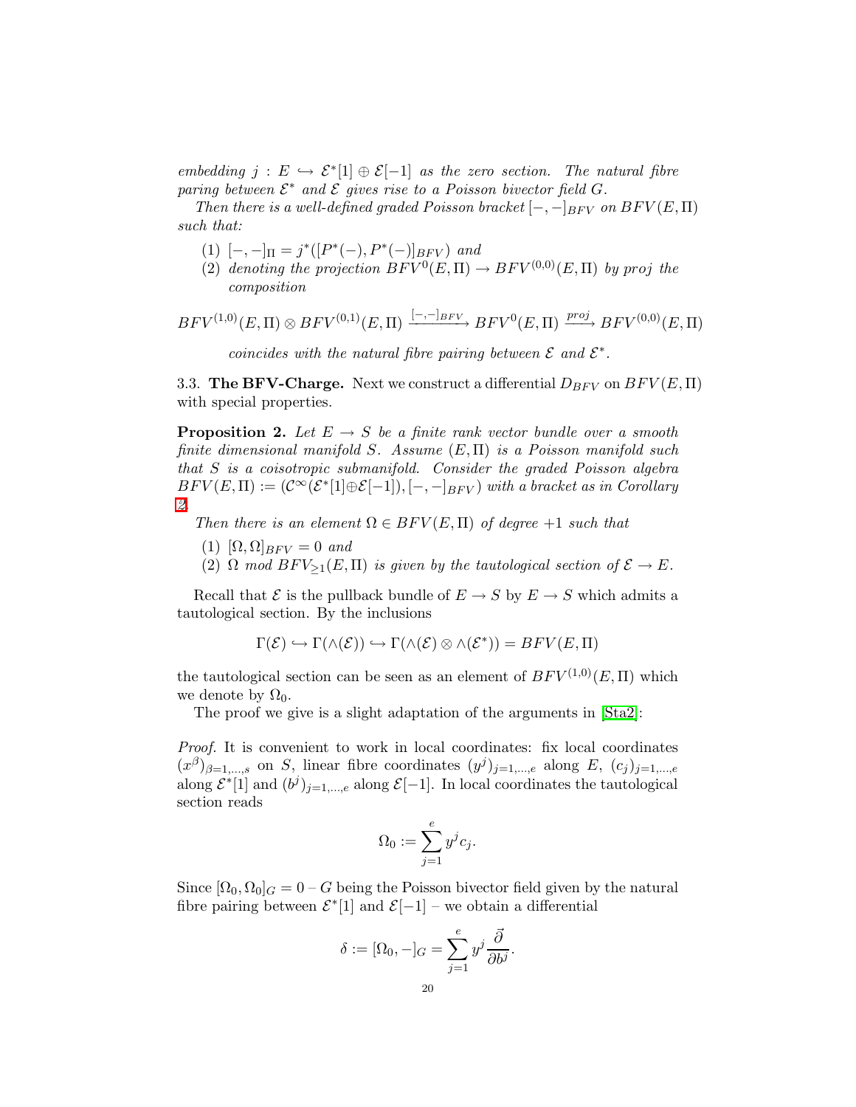embedding  $j : E \hookrightarrow \mathcal{E}^*[1] \oplus \mathcal{E}[-1]$  as the zero section. The natural fibre paring between  $\mathcal{E}^*$  and  $\mathcal E$  gives rise to a Poisson bivector field G.

Then there is a well-defined graded Poisson bracket  $[-,-]_{BFV}$  on  $BFV(E,\Pi)$ such that:

- (1)  $[-,-]_{\Pi} = j^*([P^*(-), P^*(-)]_{BFV})$  and
- (2) denoting the projection  $BFV^0(E, \Pi) \rightarrow BFV^{(0,0)}(E, \Pi)$  by proj the composition

$$
BFV^{(1,0)}(E,\Pi)\otimes BFV^{(0,1)}(E,\Pi)\xrightarrow{[-,-]_{BFV}} BFV^0(E,\Pi)\xrightarrow{proj} BFV^{(0,0)}(E,\Pi)
$$

coincides with the natural fibre pairing between  $\mathcal E$  and  $\mathcal E^*$ .

<span id="page-19-1"></span><span id="page-19-0"></span>3.3. The BFV-Charge. Next we construct a differential  $D_{BFV}$  on  $BFV(E,\Pi)$ with special properties.

**Proposition 2.** Let  $E \rightarrow S$  be a finite rank vector bundle over a smooth finite dimensional manifold S. Assume  $(E, \Pi)$  is a Poisson manifold such that S is a coisotropic submanifold. Consider the graded Poisson algebra  $BFV(E, \Pi) := (\mathcal{C}^{\infty}(\mathcal{E}^{*}[1]\oplus \mathcal{E}[-1]), [-,-]_{BFV})$  with a bracket as in Corollary [2.](#page-18-0)

Then there is an element  $\Omega \in BFV(E,\Pi)$  of degree +1 such that

- (1)  $[\Omega, \Omega]_{BFV} = 0$  and
- (2)  $\Omega$  mod  $BFV_{\geq 1}(E,\Pi)$  is given by the tautological section of  $\mathcal{E} \to E$ .

Recall that  $\mathcal E$  is the pullback bundle of  $E \to S$  by  $E \to S$  which admits a tautological section. By the inclusions

$$
\Gamma(\mathcal{E}) \hookrightarrow \Gamma(\wedge(\mathcal{E})) \hookrightarrow \Gamma(\wedge(\mathcal{E}) \otimes \wedge(\mathcal{E}^*)) = BFV(E,\Pi)
$$

the tautological section can be seen as an element of  $BFV^{(1,0)}(E,\Pi)$  which we denote by  $\Omega_0$ .

The proof we give is a slight adaptation of the arguments in [\[Sta2\]](#page-50-1):

Proof. It is convenient to work in local coordinates: fix local coordinates  $(x^{\beta})_{\beta=1,\dots,s}$  on S, linear fibre coordinates  $(y^{j})_{j=1,\dots,e}$  along E,  $(c_{j})_{j=1,\dots,e}$ along  $\mathcal{E}^*[1]$  and  $(b^j)_{j=1,\dots,e}$  along  $\mathcal{E}[-1]$ . In local coordinates the tautological section reads

$$
\Omega_0 := \sum_{j=1}^e y^j c_j.
$$

Since  $[\Omega_0, \Omega_0]_G = 0 - G$  being the Poisson bivector field given by the natural fibre pairing between  $\mathcal{E}^*[1]$  and  $\mathcal{E}[-1]$  – we obtain a differential

$$
\delta := [\Omega_0, -]_G = \sum_{j=1}^e y^j \frac{\vec{\partial}}{\partial b^j}.
$$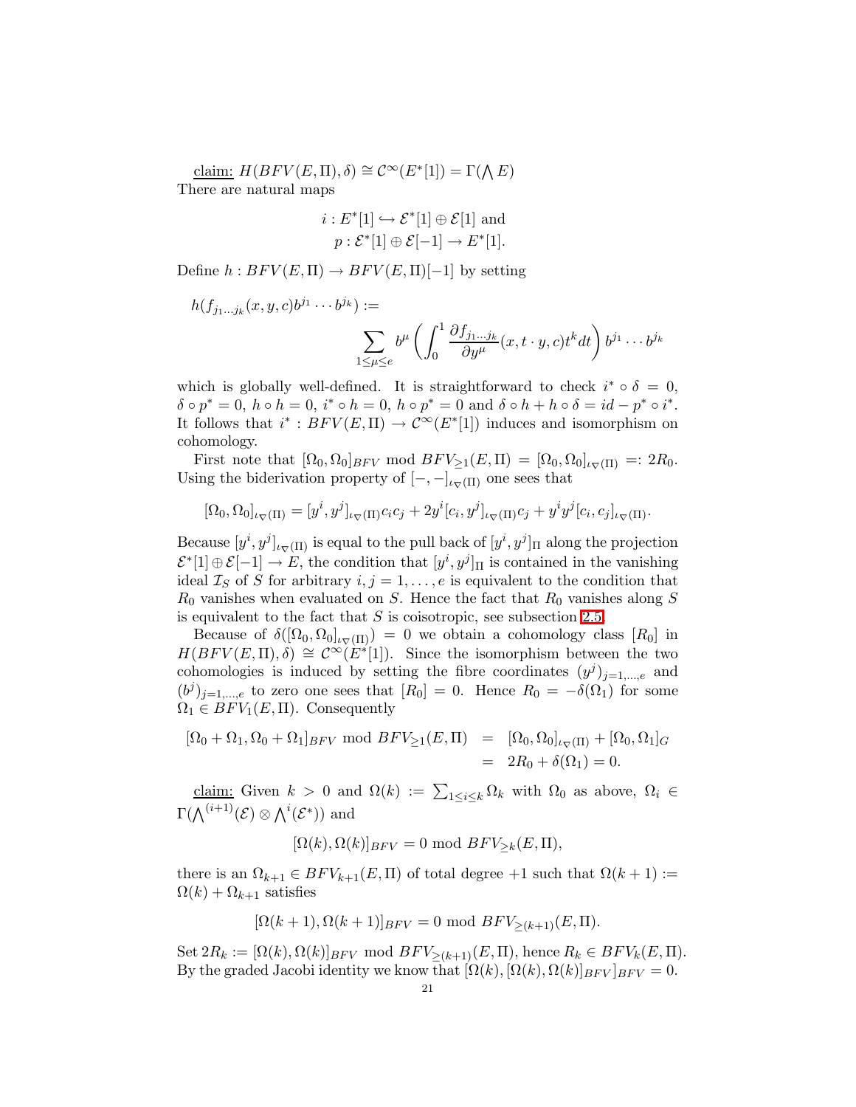claim:  $H(BFV(E, \Pi), \delta) \cong C^{\infty}(E^*[1]) = \Gamma(\Lambda E)$ There are natural maps

$$
i: E^*[1] \hookrightarrow \mathcal{E}^*[1] \oplus \mathcal{E}[1] \text{ and}
$$

$$
p: \mathcal{E}^*[1] \oplus \mathcal{E}[-1] \to E^*[1].
$$

Define  $h : BFV(E, \Pi) \to BFV(E, \Pi)[-1]$  by setting

$$
h(f_{j_1...j_k}(x,y,c)b^{j_1} \cdots b^{j_k}) :=
$$
  

$$
\sum_{1 \leq \mu \leq e} b^{\mu} \left( \int_0^1 \frac{\partial f_{j_1...j_k}}{\partial y^{\mu}} (x,t \cdot y,c) t^k dt \right) b^{j_1} \cdots b^{j_k}
$$

which is globally well-defined. It is straightforward to check  $i^* \circ \delta = 0$ ,  $\delta \circ p^* = 0$ ,  $h \circ h = 0$ ,  $i^* \circ h = 0$ ,  $h \circ p^* = 0$  and  $\delta \circ h + h \circ \delta = id - p^* \circ i^*$ . It follows that  $i^* : BFV(E, \Pi) \to C^\infty(E^*[1])$  induces and isomorphism on cohomology.

First note that  $[\Omega_0, \Omega_0]_{BFV}$  mod  $BFV_{\geq 1}(E, \Pi) = [\Omega_0, \Omega_0]_{\iota_{\nabla}(\Pi)} =: 2R_0$ . Using the biderivation property of  $[-, -]_{\iota_{\nabla}(\Pi)}$  one sees that

$$
[\Omega_0, \Omega_0]_{\iota_{\nabla}(\Pi)} = [y^i, y^j]_{\iota_{\nabla}(\Pi)} c_i c_j + 2y^i [c_i, y^j]_{\iota_{\nabla}(\Pi)} c_j + y^i y^j [c_i, c_j]_{\iota_{\nabla}(\Pi)}.
$$

Because  $[y^i, y^j]_{\iota\nabla(\Pi)}$  is equal to the pull back of  $[y^i, y^j]_{\Pi}$  along the projection  $\mathcal{E}^*[1] \oplus \mathcal{E}[-1] \to E$ , the condition that  $[y^i, y^j]_{\Pi}$  is contained in the vanishing ideal  $\mathcal{I}_S$  of S for arbitrary  $i, j = 1, \ldots, e$  is equivalent to the condition that  $R_0$  vanishes when evaluated on S. Hence the fact that  $R_0$  vanishes along S is equivalent to the fact that  $S$  is coisotropic, see subsection [2.5.](#page-11-0)

Because of  $\delta([\Omega_0, \Omega_0]_{\iota \nabla(\Pi)}) = 0$  we obtain a cohomology class  $[R_0]$  in  $H(BFV(E,\Pi),\delta) \cong \mathcal{C}^{\infty}(E^*[1])$ . Since the isomorphism between the two cohomologies is induced by setting the fibre coordinates  $(y^{j})_{j=1,\dots,e}$  and  $(b^j)_{j=1,\dots,e}$  to zero one sees that  $[R_0] = 0$ . Hence  $R_0 = -\delta(\Omega_1)$  for some  $\Omega_1 \in BFV_1(E,\Pi)$ . Consequently

$$
[\Omega_0 + \Omega_1, \Omega_0 + \Omega_1]_{BFV} \text{ mod } BFV_{\geq 1}(E, \Pi) = [\Omega_0, \Omega_0]_{\iota_{\nabla}(\Pi)} + [\Omega_0, \Omega_1]_G
$$
  
=  $2R_0 + \delta(\Omega_1) = 0.$ 

claim: Given  $k > 0$  and  $\Omega(k) := \sum_{1 \leq i \leq k} \Omega_k$  with  $\Omega_0$  as above,  $\Omega_i \in$  $\Gamma(\bigwedge^{(i+1)} (\mathcal{E}) \otimes \bigwedge^i (\mathcal{E}^*))$  and

$$
[\Omega(k), \Omega(k)]_{BFV} = 0 \text{ mod } BFV_{\geq k}(E, \Pi),
$$

there is an  $\Omega_{k+1} \in BFV_{k+1}(E, \Pi)$  of total degree +1 such that  $\Omega(k+1) :=$  $\Omega(k) + \Omega_{k+1}$  satisfies

$$
[\Omega(k+1), \Omega(k+1)]_{BFV} = 0 \text{ mod } BFV_{\geq (k+1)}(E, \Pi).
$$

Set  $2R_k := [\Omega(k), \Omega(k)]_{BFV} \mod BFV_{>(k+1)}(E, \Pi)$ , hence  $R_k \in BFV_k(E, \Pi)$ . By the graded Jacobi identity we know that  $[\Omega(k), [\Omega(k), \Omega(k)]_{BFV}]_{BFV} = 0.$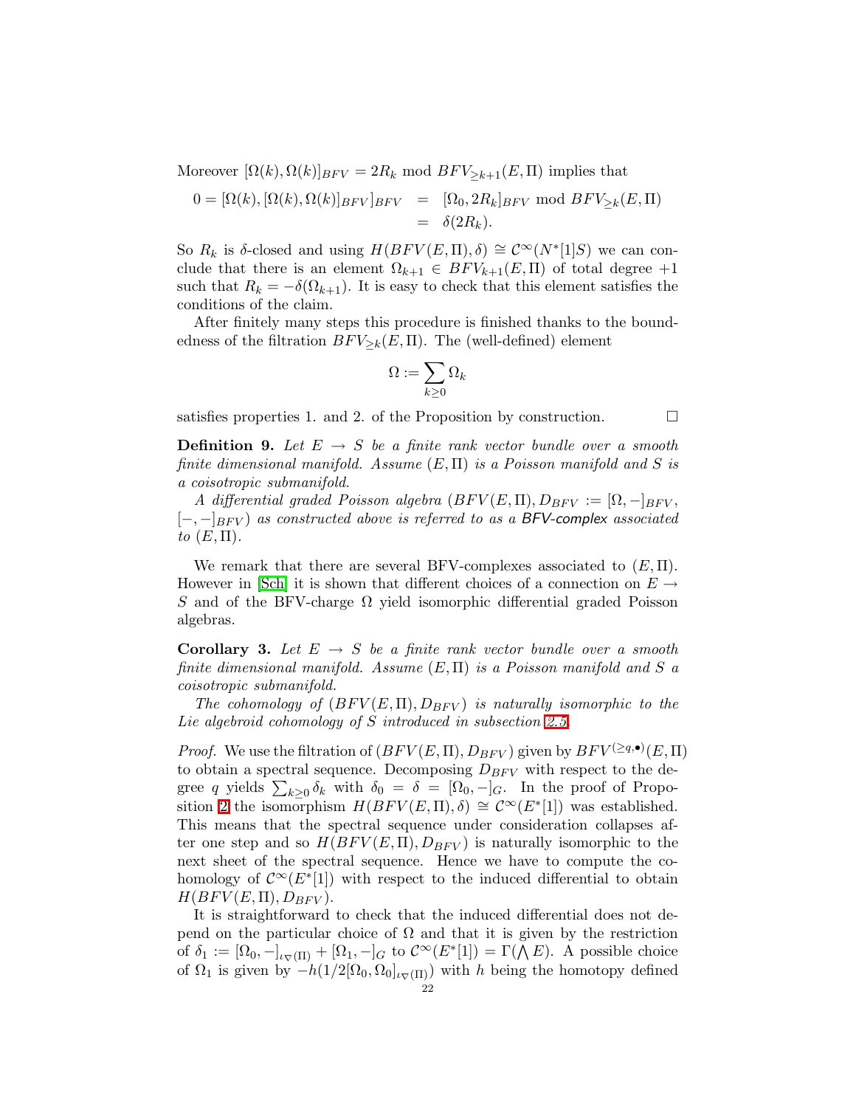Moreover  $[\Omega(k), \Omega(k)]_{BFV} = 2R_k \text{ mod } BFV_{\geq k+1}(E, \Pi)$  implies that

$$
0 = [\Omega(k), [\Omega(k), \Omega(k)]_{BFV}]_{BFV} = [\Omega_0, 2R_k]_{BFV} \text{ mod } BFV_{\geq k}(E, \Pi)
$$
  
=  $\delta(2R_k).$ 

So  $R_k$  is δ-closed and using  $H(BFV(E,\Pi),\delta) \cong C^{\infty}(N^*[1]S)$  we can conclude that there is an element  $\Omega_{k+1} \in BFV_{k+1}(E,\Pi)$  of total degree  $+1$ such that  $R_k = -\delta(\Omega_{k+1})$ . It is easy to check that this element satisfies the conditions of the claim.

After finitely many steps this procedure is finished thanks to the boundedness of the filtration  $BFV_{\geq k}(E,\Pi)$ . The (well-defined) element

$$
\Omega:=\sum_{k\geq 0}\Omega_k
$$

<span id="page-21-1"></span>satisfies properties 1. and 2. of the Proposition by construction.  $\Box$ 

**Definition 9.** Let  $E \rightarrow S$  be a finite rank vector bundle over a smooth finite dimensional manifold. Assume  $(E, \Pi)$  is a Poisson manifold and S is a coisotropic submanifold.

A differential graded Poisson algebra  $(BFV(E,\Pi),D_{BFV}:=[\Omega,-]_{BFV}$ ,  $[-,-]_{BFV}$  as constructed above is referred to as a BFV-complex associated to  $(E,\Pi)$ .

We remark that there are several BFV-complexes associated to  $(E, \Pi)$ . However in [\[Sch\]](#page-49-13) it is shown that different choices of a connection on  $E \rightarrow$ S and of the BFV-charge  $\Omega$  yield isomorphic differential graded Poisson algebras.

<span id="page-21-0"></span>**Corollary 3.** Let  $E \rightarrow S$  be a finite rank vector bundle over a smooth finite dimensional manifold. Assume  $(E, \Pi)$  is a Poisson manifold and S a coisotropic submanifold.

The cohomology of  $(BFV(E,\Pi),D_{BFV})$  is naturally isomorphic to the Lie algebroid cohomology of S introduced in subsection [2.5.](#page-11-0)

*Proof.* We use the filtration of  $(BFV(E, \Pi), D_{BFV})$  given by  $BFV^{(\geq q, \bullet)}(E, \Pi)$ to obtain a spectral sequence. Decomposing  $D_{BFV}$  with respect to the degree q yields  $\sum_{k\geq 0} \delta_k$  with  $\delta_0 = \delta = [\Omega_0, -]_G$ . In the proof of Propo-sition [2](#page-19-1) the isomorphism  $H(BFV(E,\Pi),\delta) \cong C^{\infty}(E^*[1])$  was established. This means that the spectral sequence under consideration collapses after one step and so  $H(BFV(E,\Pi),D_{BFV})$  is naturally isomorphic to the next sheet of the spectral sequence. Hence we have to compute the cohomology of  $\mathcal{C}^{\infty}(E^*[1])$  with respect to the induced differential to obtain  $H(BFV(E,\Pi),D_{BFV}).$ 

It is straightforward to check that the induced differential does not depend on the particular choice of  $\Omega$  and that it is given by the restriction of  $\delta_1 := [\Omega_0, -]_{\iota_{\nabla}(\Pi)} + [\Omega_1, -]_G$  to  $\mathcal{C}^{\infty}(E^*[1]) = \Gamma(\bigwedge E)$ . A possible choice of  $\Omega_1$  is given by  $-h(1/2[\Omega_0, \Omega_0]_{\iota_{\nabla}(\Pi)})$  with h being the homotopy defined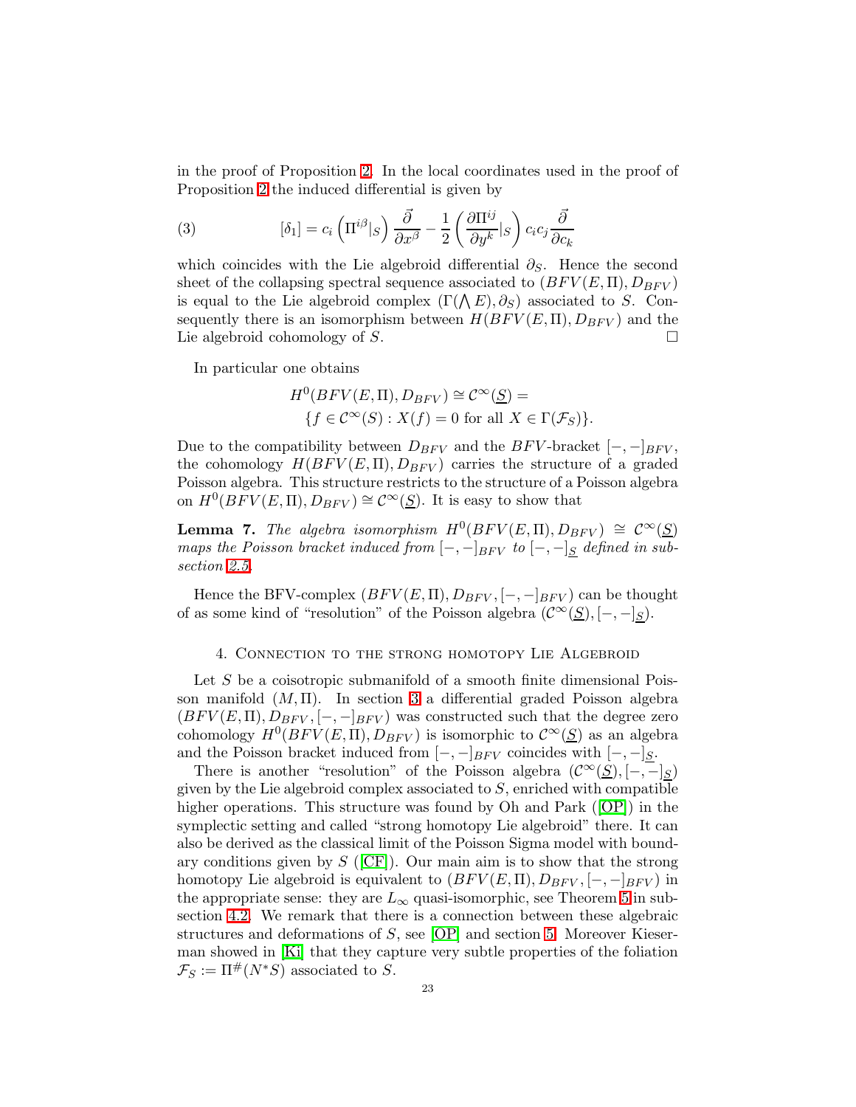in the proof of Proposition [2.](#page-19-1) In the local coordinates used in the proof of Proposition [2](#page-19-1) the induced differential is given by

(3) 
$$
[\delta_1] = c_i \left( \Pi^{i\beta} \vert_S \right) \frac{\vec{\partial}}{\partial x^{\beta}} - \frac{1}{2} \left( \frac{\partial \Pi^{ij}}{\partial y^k} \vert_S \right) c_i c_j \frac{\vec{\partial}}{\partial c_k}
$$

which coincides with the Lie algebroid differential  $\partial_{S}$ . Hence the second sheet of the collapsing spectral sequence associated to  $(BFV(E,\Pi),D_{BFV})$ is equal to the Lie algebroid complex  $(\Gamma(\Lambda E), \partial_S)$  associated to S. Consequently there is an isomorphism between  $H(BFV(E,\Pi),D_{BFV})$  and the Lie algebroid cohomology of  $S$ .

In particular one obtains

$$
H^{0}(BFV(E, \Pi), D_{BFV}) \cong C^{\infty}(\underline{S}) =
$$
  
{ $f \in C^{\infty}(S) : X(f) = 0$  for all  $X \in \Gamma(\mathcal{F}_S)$  }.

Due to the compatibility between  $D_{BFV}$  and the BFV-bracket  $[-,-]_{BFV}$ , the cohomology  $H(BFV(E,\Pi),D_{BFV})$  carries the structure of a graded Poisson algebra. This structure restricts to the structure of a Poisson algebra on  $H^0(BFV(E,\Pi),D_{BFV}) \cong \mathcal{C}^{\infty}(\underline{S})$ . It is easy to show that

<span id="page-22-1"></span>**Lemma 7.** The algebra isomorphism  $H^0(BFV(E,\Pi),D_{BFV}) \cong \mathcal{C}^{\infty}(\underline{S})$ maps the Poisson bracket induced from  $[-,-]_{BFV}$  to  $[-,-]_S$  defined in subsection [2.5.](#page-11-0)

Hence the BFV-complex  $(BFV(E,\Pi),D_{BFV},[-,-]_{BFV})$  can be thought of as some kind of "resolution" of the Poisson algebra  $(\mathcal{C}^{\infty}(\underline{S}), [-,-]_S)$ .

#### 4. Connection to the strong homotopy Lie Algebroid

<span id="page-22-0"></span>Let  $S$  be a coisotropic submanifold of a smooth finite dimensional Poisson manifold  $(M, \Pi)$ . In section [3](#page-14-0) a differential graded Poisson algebra  $(BFV(E,\Pi),D_{BFV},[-,-]_{BFV})$  was constructed such that the degree zero cohomology  $H^0(BF\dot{V}(E,\Pi),D_{BFV})$  is isomorphic to  $\mathcal{C}^{\infty}(\underline{S})$  as an algebra and the Poisson bracket induced from  $[-, -]_{BFV}$  coincides with  $[-, -]_S$ .

There is another "resolution" of the Poisson algebra  $(\mathcal{C}^{\infty}(S), [-,-]_S)$ given by the Lie algebroid complex associated to  $S$ , enriched with compatible higheroperations. This structure was found by Oh and Park ([\[OP\]](#page-49-1)) in the symplectic setting and called "strong homotopy Lie algebroid" there. It can also be derived as the classical limit of the Poisson Sigma model with boundary conditions given by  $S$  ([\[CF\]](#page-49-2)). Our main aim is to show that the strong homotopy Lie algebroid is equivalent to  $(BFV(E,\Pi),D_{BFV},[-,-]_{BFV})$  in the appropriate sense: they are  $L_{\infty}$  quasi-isomorphic, see Theorem [5](#page-24-1) in subsection [4.2.](#page-24-0) We remark that there is a connection between these algebraic structures and deformations of S, see [\[OP\]](#page-49-1) and section [5.](#page-31-0) Moreover Kieserman showed in [\[Ki\]](#page-49-3) that they capture very subtle properties of the foliation  $\mathcal{F}_S := \Pi^{\#}(N^*S)$  associated to S.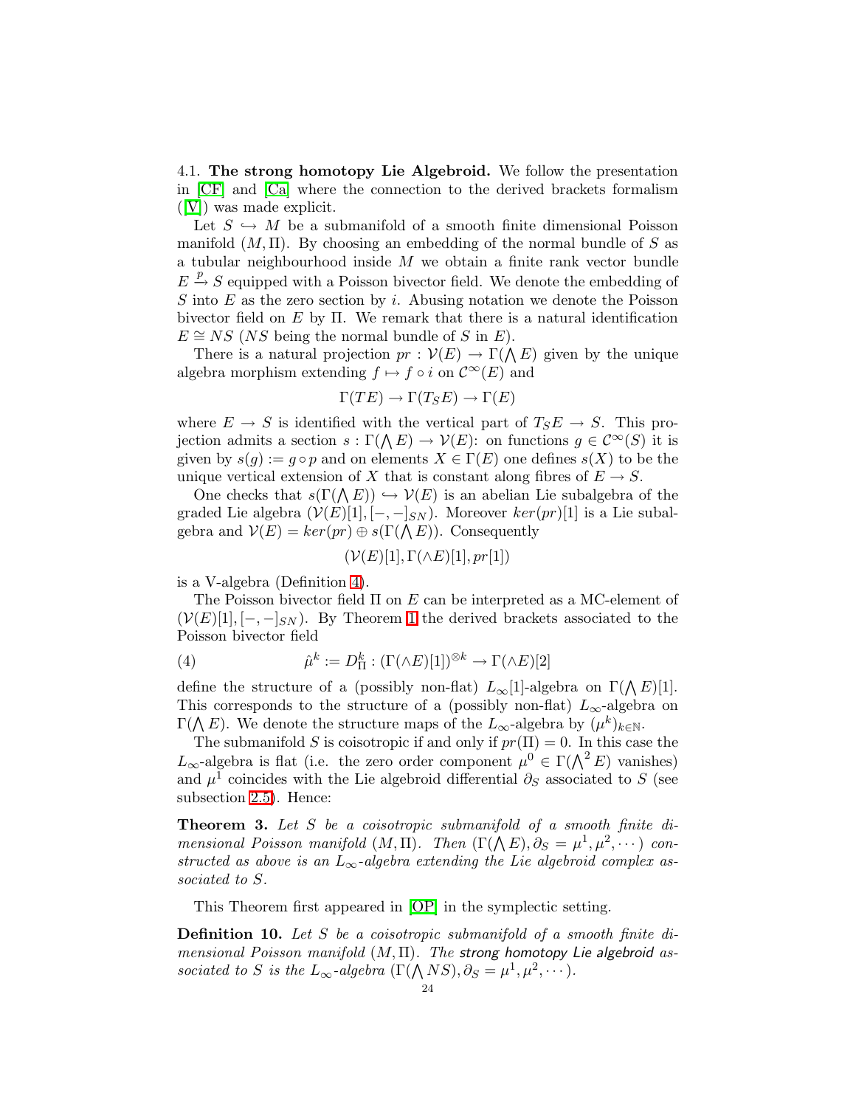<span id="page-23-0"></span>4.1. The strong homotopy Lie Algebroid. We follow the presentation in [\[CF\]](#page-49-2) and [\[Ca\]](#page-49-14) where the connection to the derived brackets formalism ([\[V\]](#page-50-3)) was made explicit.

Let  $S \hookrightarrow M$  be a submanifold of a smooth finite dimensional Poisson manifold  $(M, \Pi)$ . By choosing an embedding of the normal bundle of S as a tubular neighbourhood inside  $M$  we obtain a finite rank vector bundle  $E \stackrel{p}{\rightarrow} S$  equipped with a Poisson bivector field. We denote the embedding of  $S$  into  $E$  as the zero section by  $i$ . Abusing notation we denote the Poisson bivector field on  $E$  by  $\Pi$ . We remark that there is a natural identification  $E \cong NS$  (NS being the normal bundle of S in E).

There is a natural projection  $pr: \mathcal{V}(E) \to \Gamma(\bigwedge E)$  given by the unique algebra morphism extending  $f \mapsto f \circ i$  on  $\mathcal{C}^{\infty}(E)$  and

$$
\Gamma(TE) \to \Gamma(T_S E) \to \Gamma(E)
$$

where  $E \to S$  is identified with the vertical part of  $T_S E \to S$ . This projection admits a section  $s : \Gamma(\bigwedge E) \to \mathcal{V}(E)$ : on functions  $g \in \mathcal{C}^{\infty}(S)$  it is given by  $s(g) := g \circ p$  and on elements  $X \in \Gamma(E)$  one defines  $s(X)$  to be the unique vertical extension of X that is constant along fibres of  $E \to S$ .

One checks that  $s(\Gamma(\Lambda E)) \hookrightarrow \mathcal{V}(E)$  is an abelian Lie subalgebra of the graded Lie algebra  $(\mathcal{V}(E)[1], [-,-]_{SN})$ . Moreover  $ker(pr)[1]$  is a Lie subalgebra and  $\mathcal{V}(E) = \ker(pr) \oplus s(\Gamma(\Lambda E))$ . Consequently

$$
(\mathcal{V}(E)[1], \Gamma(\wedge E)[1], pr[1])
$$

is a V-algebra (Definition [4\)](#page-5-1).

The Poisson bivector field  $\Pi$  on E can be interpreted as a MC-element of  $(V(E)[1], [-,-]_{SN})$ . By Theorem [1](#page-6-2) the derived brackets associated to the Poisson bivector field

(4) 
$$
\hat{\mu}^k := D^k_{\Pi} : (\Gamma(\wedge E)[1])^{\otimes k} \to \Gamma(\wedge E)[2]
$$

define the structure of a (possibly non-flat)  $L_{\infty}[1]$ -algebra on  $\Gamma(\bigwedge E)[1]$ . This corresponds to the structure of a (possibly non-flat)  $L_{\infty}$ -algebra on  $\Gamma(\bigwedge E)$ . We denote the structure maps of the  $L_{\infty}$ -algebra by  $(\mu^k)_{k \in \mathbb{N}}$ .

The submanifold S is coisotropic if and only if  $pr(\Pi) = 0$ . In this case the  $L_{\infty}$ -algebra is flat (i.e. the zero order component  $\mu^0 \in \Gamma(\bigwedge^2 E)$  vanishes) and  $\mu^1$  coincides with the Lie algebroid differential  $\partial_S$  associated to S (see subsection [2.5\)](#page-11-0). Hence:

<span id="page-23-1"></span>Theorem 3. Let S be a coisotropic submanifold of a smooth finite dimensional Poisson manifold  $(M,\Pi)$ . Then  $(\Gamma(\bigwedge E),\partial_S=\mu^1,\mu^2,\cdots)$  constructed as above is an  $L_{\infty}$ -algebra extending the Lie algebroid complex associated to S.

This Theorem first appeared in [\[OP\]](#page-49-1) in the symplectic setting.

<span id="page-23-2"></span>Definition 10. Let S be a coisotropic submanifold of a smooth finite dimensional Poisson manifold  $(M, \Pi)$ . The strong homotopy Lie algebroid associated to S is the  $L_{\infty}$ -algebra  $(\Gamma(\bigwedge NS), \partial_S = \mu^1, \mu^2, \cdots).$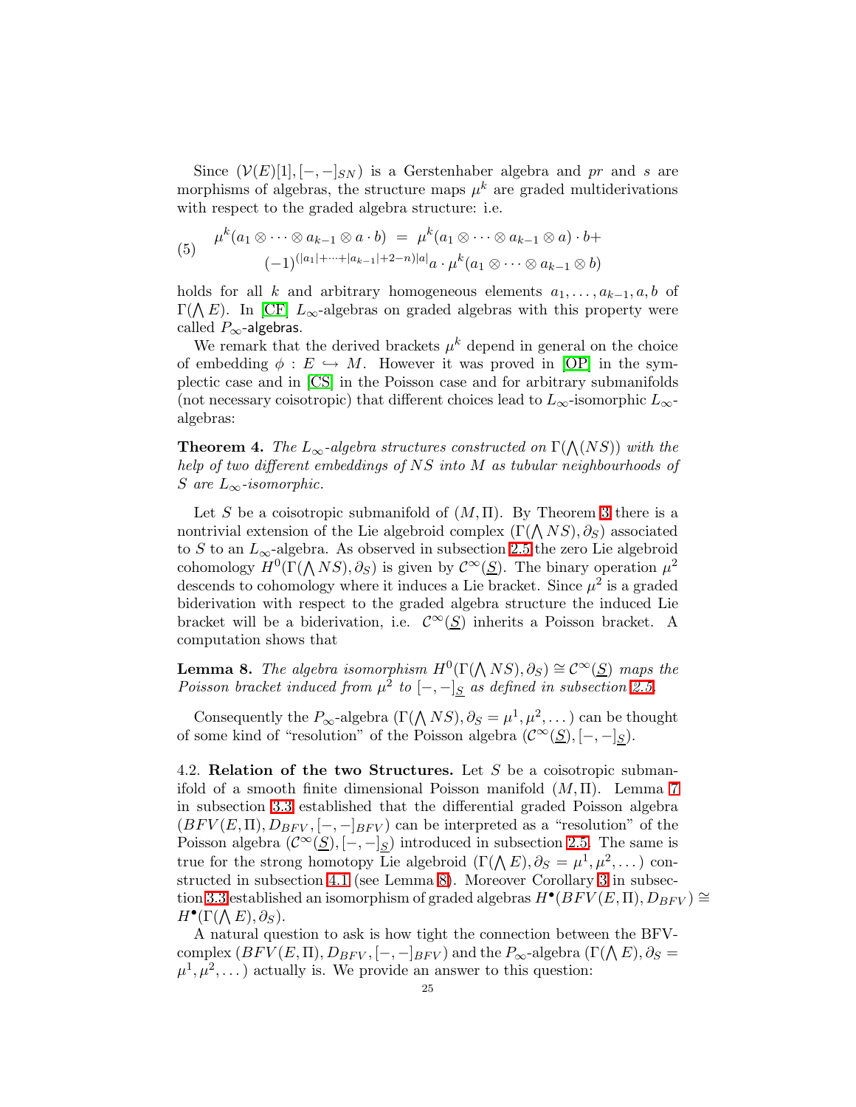Since  $(V(E)[1], [-,-]_{SN})$  is a Gerstenhaber algebra and pr and s are morphisms of algebras, the structure maps  $\mu^k$  are graded multiderivations with respect to the graded algebra structure: i.e.

<span id="page-24-3"></span>(5) 
$$
\mu^k(a_1 \otimes \cdots \otimes a_{k-1} \otimes a \cdot b) = \mu^k(a_1 \otimes \cdots \otimes a_{k-1} \otimes a) \cdot b +
$$

$$
(-1)^{(|a_1| + \cdots + |a_{k-1}| + 2 - n)|a|} a \cdot \mu^k(a_1 \otimes \cdots \otimes a_{k-1} \otimes b)
$$

holds for all k and arbitrary homogeneous elements  $a_1, \ldots, a_{k-1}, a, b$  of  $\Gamma(\bigwedge E)$ . In [\[CF\]](#page-49-2)  $L_{\infty}$ -algebras on graded algebras with this property were called  $P_{\infty}$ -algebras.

We remark that the derived brackets  $\mu^k$  depend in general on the choice of embedding  $\phi : E \hookrightarrow M$ . However it was proved in [\[OP\]](#page-49-1) in the symplectic case and in [\[CS\]](#page-49-15) in the Poisson case and for arbitrary submanifolds (not necessary coisotropic) that different choices lead to  $L_{\infty}$ -isomorphic  $L_{\infty}$ algebras:

**Theorem 4.** The  $L_{\infty}$ -algebra structures constructed on  $\Gamma(\bigwedge(NS))$  with the help of two different embeddings of NS into M as tubular neighbourhoods of S are  $L_{\infty}$ -isomorphic.

Let S be a coisotropic submanifold of  $(M, \Pi)$ . By Theorem [3](#page-23-1) there is a nontrivial extension of the Lie algebroid complex  $(\Gamma(\bigwedge NS), \partial_S)$  associated to S to an  $L_{\infty}$ -algebra. As observed in subsection [2.5](#page-11-0) the zero Lie algebroid cohomology  $H^0(\Gamma(\bigwedge NS), \partial_S)$  is given by  $\mathcal{C}^{\infty}(\underline{S})$ . The binary operation  $\mu^2$ descends to cohomology where it induces a Lie bracket. Since  $\mu^2$  is a graded biderivation with respect to the graded algebra structure the induced Lie bracket will be a biderivation, i.e.  $\mathcal{C}^{\infty}(\underline{S})$  inherits a Poisson bracket. A computation shows that

<span id="page-24-2"></span>**Lemma 8.** The algebra isomorphism  $H^0(\Gamma(\bigwedge NS), \partial_S) \cong C^\infty(\underline{S})$  maps the Poisson bracket induced from  $\mu^2$  to  $[-,-]_S$  as defined in subsection [2.5.](#page-11-0)

Consequently the  $P_{\infty}$ -algebra  $(\Gamma(\Lambda NS), \partial_S = \mu^1, \mu^2, \dots)$  can be thought of some kind of "resolution" of the Poisson algebra  $(\mathcal{C}^{\infty}(\underline{S}), [-,-]_S)$ .

<span id="page-24-0"></span>4.2. **Relation of the two Structures.** Let S be a coisotropic submanifold of a smooth finite dimensional Poisson manifold  $(M, \Pi)$ . Lemma [7](#page-22-1) in subsection [3.3](#page-19-0) established that the differential graded Poisson algebra  $(BFV(E,\Pi),D_{BFV},[-,-]_{BFV})$  can be interpreted as a "resolution" of the Poisson algebra  $(\mathcal{C}^{\infty}(\underline{S}), [-,-]_S)$  introduced in subsection [2.5.](#page-11-0) The same is true for the strong homotopy Lie algebroid  $(\Gamma(\Lambda E), \partial_S = \mu^1, \mu^2, \dots)$  constructed in subsection [4.1](#page-23-0) (see Lemma [8\)](#page-24-2). Moreover Corollary [3](#page-21-0) in subsec-tion [3.3](#page-19-0) established an isomorphism of graded algebras  $H^{\bullet}(BFV(E, \Pi), D_{BFV}) \cong$  $H^{\bullet}(\Gamma(\bigwedge E), \partial_S).$ 

<span id="page-24-1"></span>A natural question to ask is how tight the connection between the BFVcomplex  $(BFV(E, \Pi), D_{BFV}, [-, -]_{BFV})$  and the  $P_{\infty}$ -algebra  $(\Gamma(\Lambda E), \partial_S =$  $\mu^1, \mu^2, \dots$  actually is. We provide an answer to this question: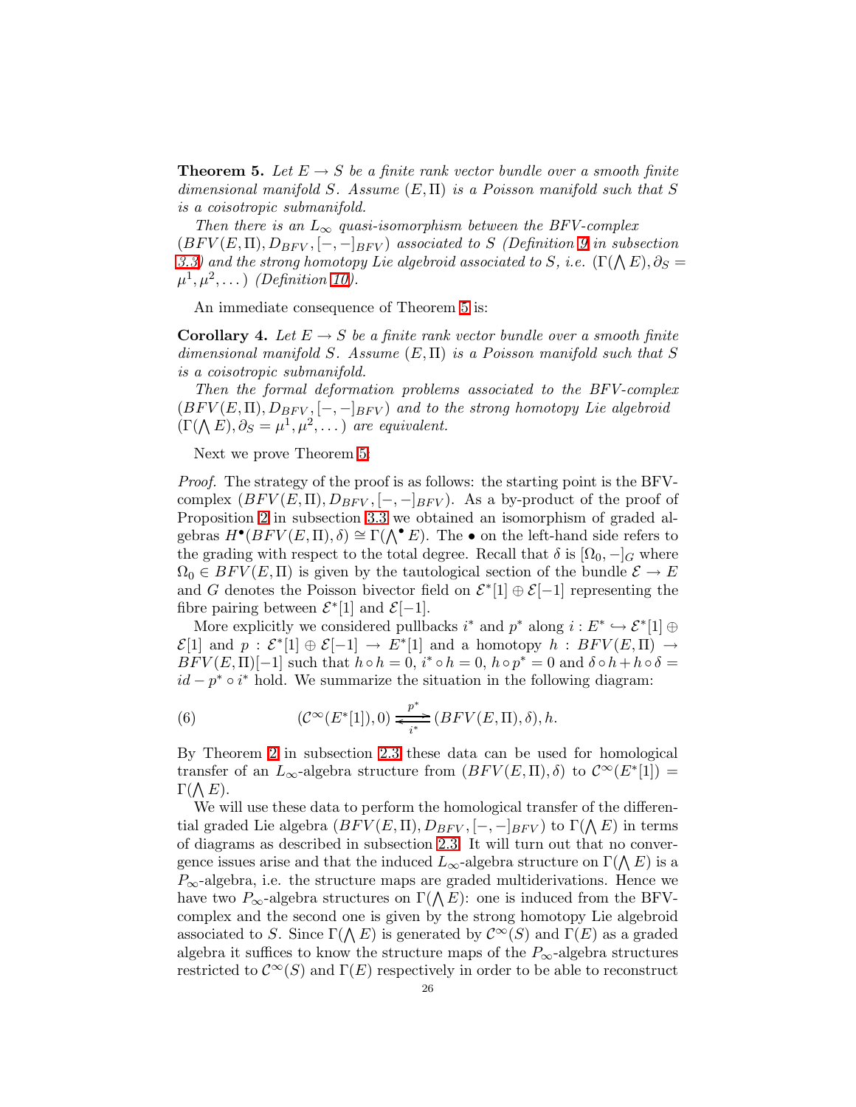**Theorem 5.** Let  $E \rightarrow S$  be a finite rank vector bundle over a smooth finite dimensional manifold S. Assume  $(E, \Pi)$  is a Poisson manifold such that S is a coisotropic submanifold.

Then there is an  $L_{\infty}$  quasi-isomorphism between the BFV-complex  $(BFV(E,\Pi),D_{BFV},[-,-]_{BFV})$  associated to S (Definition [9](#page-21-1) in subsection [3.3\)](#page-19-0) and the strong homotopy Lie algebroid associated to S, i.e.  $(\Gamma(\bigwedge E),\partial_S=0)$  $\mu^1, \mu^2, \dots$  (Definition [10\)](#page-23-2).

An immediate consequence of Theorem [5](#page-24-1) is:

<span id="page-25-0"></span>**Corollary 4.** Let  $E \to S$  be a finite rank vector bundle over a smooth finite dimensional manifold S. Assume  $(E, \Pi)$  is a Poisson manifold such that S is a coisotropic submanifold.

Then the formal deformation problems associated to the BFV-complex  $(BFV(E,\Pi),D_{BFV},[-,-]_{BFV})$  and to the strong homotopy Lie algebroid  $(\Gamma(\bigwedge E), \partial_S = \mu^1, \mu^2, \dots)$  are equivalent.

Next we prove Theorem [5:](#page-24-1)

Proof. The strategy of the proof is as follows: the starting point is the BFVcomplex  $(BFV(E,\Pi),D_{BFV},[-,-]_{BFV})$ . As a by-product of the proof of Proposition [2](#page-19-1) in subsection [3.3](#page-19-0) we obtained an isomorphism of graded algebras  $H^{\bullet}(BFV(E,\Pi),\delta) \cong \Gamma(\bigwedge^{\bullet} E)$ . The  $\bullet$  on the left-hand side refers to the grading with respect to the total degree. Recall that  $\delta$  is  $[\Omega_0, -]_G$  where  $\Omega_0 \in BFV(E,\Pi)$  is given by the tautological section of the bundle  $\mathcal{E} \to E$ and G denotes the Poisson bivector field on  $\mathcal{E}^*[1] \oplus \mathcal{E}[-1]$  representing the fibre pairing between  $\mathcal{E}^*[1]$  and  $\mathcal{E}[-1]$ .

More explicitly we considered pullbacks  $i^*$  and  $p^*$  along  $i: E^* \hookrightarrow \mathcal{E}^*[1] \oplus$  $\mathcal{E}[1]$  and  $p : \mathcal{E}^*[1] \oplus \mathcal{E}[-1] \to E^*[1]$  and a homotopy  $h : BFV(E,\Pi) \to$  $BFV(E, \Pi)[-1]$  such that  $h \circ h = 0$ ,  $i^* \circ h = 0$ ,  $h \circ p^* = 0$  and  $\delta \circ h + h \circ \delta =$  $id - p^* \circ i^*$  hold. We summarize the situation in the following diagram:

<span id="page-25-1"></span>(6) 
$$
(\mathcal{C}^{\infty}(E^*[1]),0) \xrightarrow{\mathcal{P}^*} (BFV(E,\Pi),\delta),h.
$$

By Theorem [2](#page-7-0) in subsection [2.3](#page-6-0) these data can be used for homological transfer of an  $L_{\infty}$ -algebra structure from  $(BFV(E,\Pi),\delta)$  to  $\mathcal{C}^{\infty}(E^*[1]) =$  $\Gamma(\bigwedge E).$ 

We will use these data to perform the homological transfer of the differential graded Lie algebra  $(BFV(E, \Pi), D_{BFV}, [-, -]_{BFV})$  to  $\Gamma(\Lambda E)$  in terms of diagrams as described in subsection [2.3.](#page-6-0) It will turn out that no convergence issues arise and that the induced  $L_{\infty}$ -algebra structure on  $\Gamma(\bigwedge E)$  is a  $P_{\infty}$ -algebra, i.e. the structure maps are graded multiderivations. Hence we have two  $P_{\infty}$ -algebra structures on  $\Gamma(\bigwedge E)$ : one is induced from the BFVcomplex and the second one is given by the strong homotopy Lie algebroid associated to S. Since  $\Gamma(\bigwedge E)$  is generated by  $\mathcal{C}^{\infty}(S)$  and  $\Gamma(E)$  as a graded algebra it suffices to know the structure maps of the  $P_{\infty}$ -algebra structures restricted to  $\mathcal{C}^{\infty}(S)$  and  $\Gamma(E)$  respectively in order to be able to reconstruct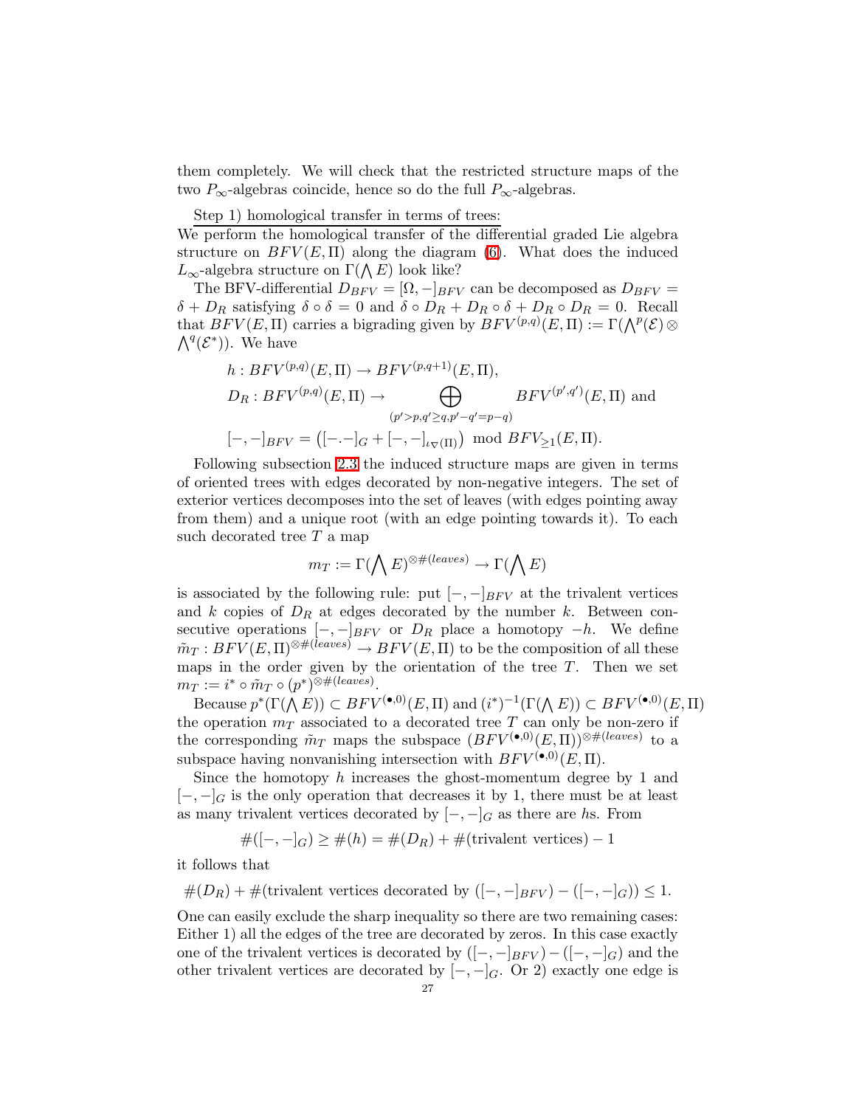them completely. We will check that the restricted structure maps of the two  $P_{\infty}$ -algebras coincide, hence so do the full  $P_{\infty}$ -algebras.

Step 1) homological transfer in terms of trees:

We perform the homological transfer of the differential graded Lie algebra structure on  $BFV(E, \Pi)$  along the diagram [\(6\)](#page-25-1). What does the induced  $L_{\infty}$ -algebra structure on  $\Gamma(\bigwedge E)$  look like?

The BFV-differential  $D_{BFV} = [\Omega, -]_{BFV}$  can be decomposed as  $D_{BFV} =$  $\delta + D_R$  satisfying  $\delta \circ \delta = 0$  and  $\delta \circ D_R + D_R \circ \delta + D_R \circ D_R = 0$ . Recall that  $BFV(E, \Pi)$  carries a bigrading given by  $BFV^{(p,q)}(E, \Pi) := \Gamma(\bigwedge^p(\mathcal{E}) \otimes$  $\bigwedge^q (\mathcal{E}^*)$ ). We have

$$
h: BFV^{(p,q)}(E,\Pi) \to BFV^{(p,q+1)}(E,\Pi),
$$
  
\n
$$
D_R: BFV^{(p,q)}(E,\Pi) \to \bigoplus_{(p'>p,q'\geq q,p'-q'=p-q)} BFV^{(p',q')}(E,\Pi) \text{ and}
$$
  
\n
$$
[-,-]_{BFV} = ([-,-]_G + [-,-]_{\iota_{\nabla}(\Pi)}) \mod BFV_{\geq 1}(E,\Pi).
$$

Following subsection [2.3](#page-6-0) the induced structure maps are given in terms of oriented trees with edges decorated by non-negative integers. The set of exterior vertices decomposes into the set of leaves (with edges pointing away from them) and a unique root (with an edge pointing towards it). To each such decorated tree  $T$  a map

$$
m_T:=\Gamma(\bigwedge E)^{\otimes\#(leaves)}\to\Gamma(\bigwedge E)
$$

is associated by the following rule: put  $[-,-]_{BFV}$  at the trivalent vertices and  $k$  copies of  $D_R$  at edges decorated by the number  $k$ . Between consecutive operations  $[-,-]_{BFV}$  or  $D_R$  place a homotopy  $-h$ . We define  $\tilde{m}_T : BFV(E, \Pi)^{\otimes \#(leaves)} \to BFV(E, \Pi)$  to be the composition of all these maps in the order given by the orientation of the tree  $T$ . Then we set  $m_T := i^* \circ \tilde{m}_T \circ (p^*)^{\otimes \#(leaves)}.$ 

Because  $p^*(\Gamma(\bigwedge E)) \subset BFV^{(\bullet,0)}(E,\Pi)$  and  $(i^*)^{-1}(\Gamma(\bigwedge E)) \subset BFV^{(\bullet,0)}(E,\Pi)$ the operation  $m<sub>T</sub>$  associated to a decorated tree T can only be non-zero if the corresponding  $\tilde{m}_T$  maps the subspace  $(BFV^{(\bullet,0)}(E,\Pi))^{\otimes\#(leaves)}$  to a subspace having nonvanishing intersection with  $BFV^{(\bullet,0)}(E,\Pi)$ .

Since the homotopy  $h$  increases the ghost-momentum degree by 1 and  $[-,-]_G$  is the only operation that decreases it by 1, there must be at least as many trivalent vertices decorated by  $[-,-]_G$  as there are hs. From

$$
#([-,-]_G) \geq #(h) = #(D_R) + #(\text{trivalent vertices}) - 1
$$

it follows that

 $#(D_R) + #$ (trivalent vertices decorated by  $([-,-]_{BFV}) - ([-,-]_G) \leq 1$ .

One can easily exclude the sharp inequality so there are two remaining cases: Either 1) all the edges of the tree are decorated by zeros. In this case exactly one of the trivalent vertices is decorated by  $([-,-]_{BFV}) - ([-,-]_{G})$  and the other trivalent vertices are decorated by  $[-,-]_G$ . Or 2) exactly one edge is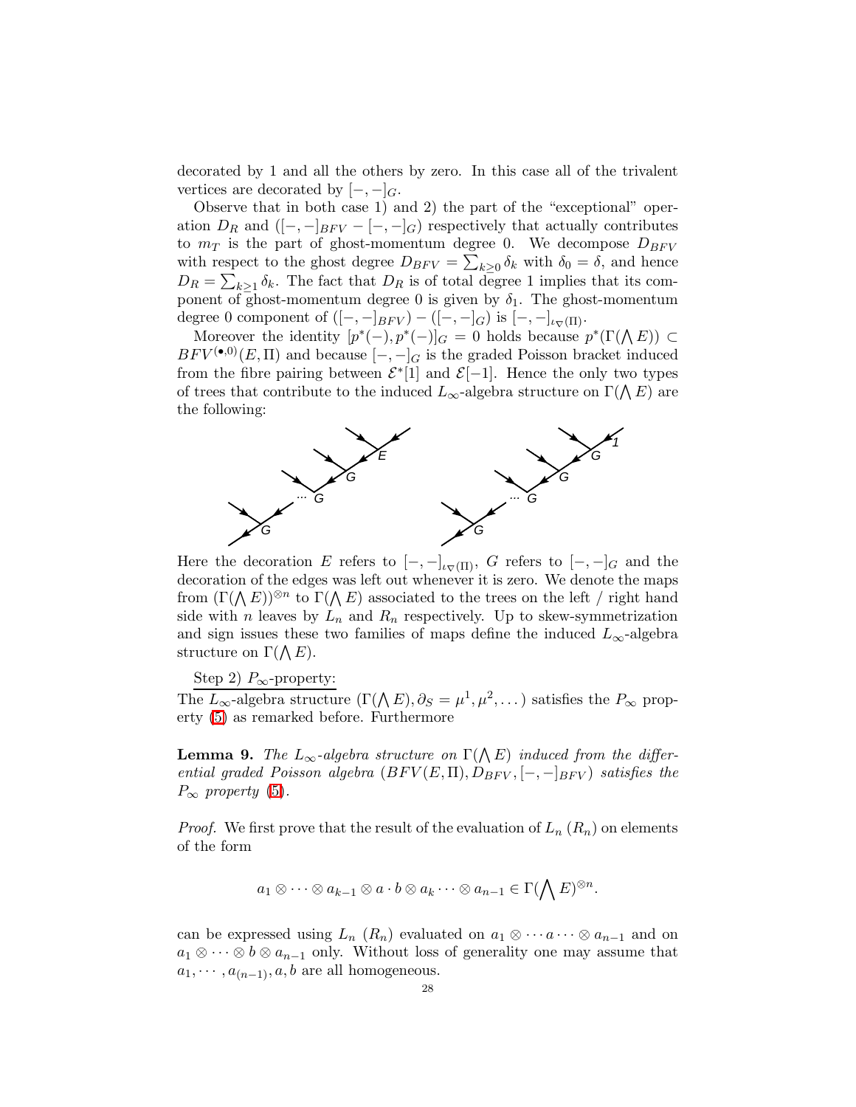decorated by 1 and all the others by zero. In this case all of the trivalent vertices are decorated by  $[-,-]_G$ .

Observe that in both case 1) and 2) the part of the "exceptional" operation  $D_R$  and  $([-,-]_{BFV} - [-,-]_G)$  respectively that actually contributes to  $m_T$  is the part of ghost-momentum degree 0. We decompose  $D_{BFV}$ with respect to the ghost degree  $D_{BFV} = \sum_{k\geq 0} \delta_k$  with  $\delta_0 = \delta$ , and hence  $D_R = \sum_{k\geq 1} \delta_k$ . The fact that  $D_R$  is of total degree 1 implies that its component of ghost-momentum degree 0 is given by  $\delta_1$ . The ghost-momentum degree 0 component of  $([-,-]_{BFV}) - ([-,-]_G)$  is  $[-,-]_{\iota_{\nabla}(\Pi)}$ .

Moreover the identity  $[p^*(-), p^*(-)]_G = 0$  holds because  $p^*(\Gamma(\Lambda E)) \subset$  $BFV^{(\bullet,0)}(E,\Pi)$  and because  $[-,-]_G$  is the graded Poisson bracket induced from the fibre pairing between  $\mathcal{E}^*[1]$  and  $\mathcal{E}[-1]$ . Hence the only two types of trees that contribute to the induced  $L_{\infty}$ -algebra structure on  $\Gamma(\bigwedge E)$  are the following:



Here the decoration E refers to  $[-,-]_{\iota_{\nabla}(\Pi)}, G$  refers to  $[-,-]_G$  and the decoration of the edges was left out whenever it is zero. We denote the maps from  $(\Gamma(\Lambda E))^{\otimes n}$  to  $\Gamma(\Lambda E)$  associated to the trees on the left / right hand side with n leaves by  $L_n$  and  $R_n$  respectively. Up to skew-symmetrization and sign issues these two families of maps define the induced  $L_{\infty}$ -algebra structure on  $\Gamma(\bigwedge E)$ .

Step 2)  $P_{\infty}$ -property:

<span id="page-27-0"></span>The  $L_{\infty}$ -algebra structure  $(\Gamma(\Lambda E), \partial_S = \mu^1, \mu^2, \dots)$  satisfies the  $P_{\infty}$  property [\(5\)](#page-24-3) as remarked before. Furthermore

**Lemma 9.** The  $L_{\infty}$ -algebra structure on  $\Gamma(\bigwedge E)$  induced from the differential graded Poisson algebra  $(BFV(E,\Pi),D_{BFV},[-,-]_{BFV})$  satisfies the  $P_{\infty}$  property [\(5\)](#page-24-3).

*Proof.* We first prove that the result of the evaluation of  $L_n(R_n)$  on elements of the form

$$
a_1\otimes\cdots\otimes a_{k-1}\otimes a\cdot b\otimes a_k\cdots\otimes a_{n-1}\in\Gamma(\bigwedge E)^{\otimes n}.
$$

can be expressed using  $L_n$   $(R_n)$  evaluated on  $a_1 \otimes \cdots \otimes a_{n-1}$  and on  $a_1 \otimes \cdots \otimes b \otimes a_{n-1}$  only. Without loss of generality one may assume that  $a_1, \cdots, a_{(n-1)}, a, b$  are all homogeneous.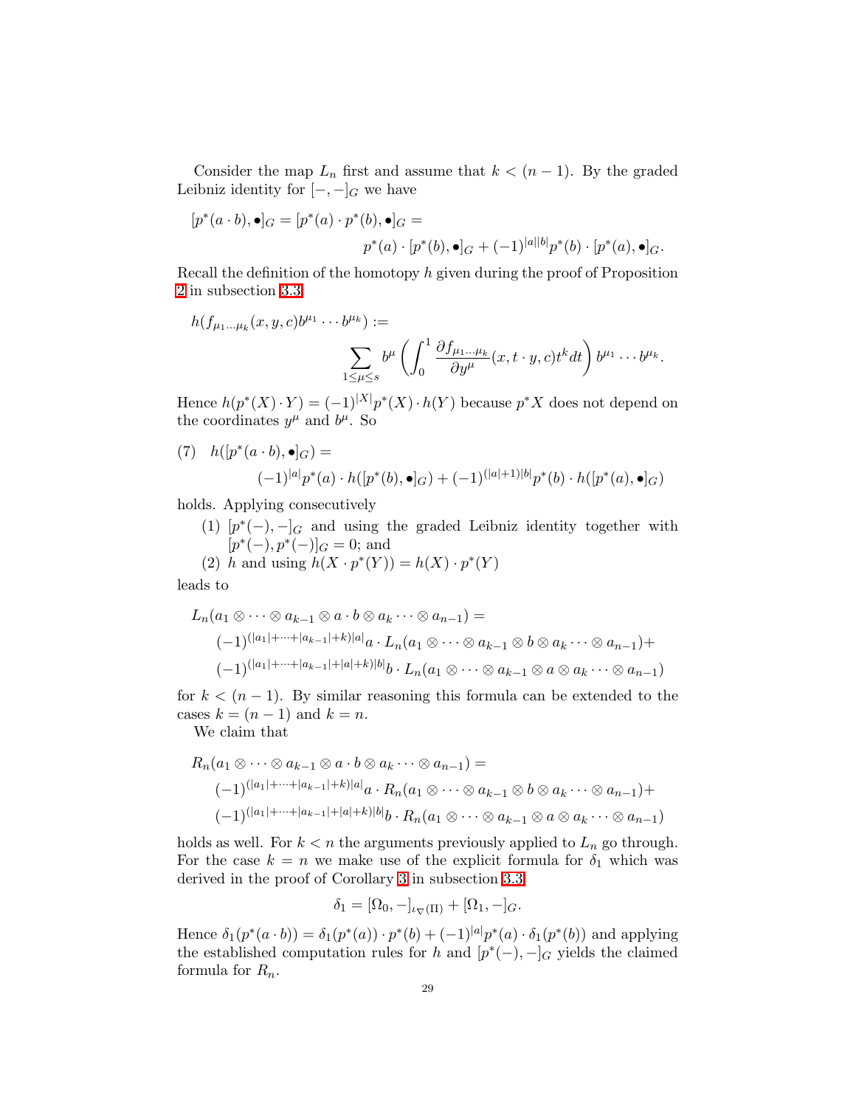Consider the map  $L_n$  first and assume that  $k < (n-1)$ . By the graded Leibniz identity for  $[-,-]_G$  we have

$$
[p^*(a \cdot b), \bullet]_G = [p^*(a) \cdot p^*(b), \bullet]_G =
$$
  

$$
p^*(a) \cdot [p^*(b), \bullet]_G + (-1)^{|a||b|}p^*(b) \cdot [p^*(a), \bullet]_G.
$$

Recall the definition of the homotopy  $h$  given during the proof of Proposition [2](#page-19-1) in subsection [3.3:](#page-19-0)

$$
h(f_{\mu_1\ldots\mu_k}(x,y,c)b^{\mu_1}\cdots b^{\mu_k}) :=
$$
  

$$
\sum_{1\leq\mu\leq s}b^{\mu}\left(\int_0^1\frac{\partial f_{\mu_1\ldots\mu_k}}{\partial y^{\mu}}(x,t\cdot y,c)t^kdt\right)b^{\mu_1}\cdots b^{\mu_k}.
$$

Hence  $h(p^*(X) \cdot Y) = (-1)^{|X|} p^*(X) \cdot h(Y)$  because  $p^*X$  does not depend on the coordinates  $y^{\mu}$  and  $b^{\mu}$ . So

(7) 
$$
h([p^*(a \cdot b), \bullet]_G) =
$$

$$
(-1)^{|a|}p^*(a) \cdot h([p^*(b), \bullet]_G) + (-1)^{(|a|+1)|b|}p^*(b) \cdot h([p^*(a), \bullet]_G)
$$

holds. Applying consecutively

(1)  $[p^*(-), -]_G$  and using the graded Leibniz identity together with  $[p^*(-), p^*(-)]_G = 0;$  and

(2) h and using 
$$
h(X \cdot p^*(Y)) = h(X) \cdot p^*(Y)
$$

leads to

$$
L_n(a_1 \otimes \cdots \otimes a_{k-1} \otimes a \cdot b \otimes a_k \cdots \otimes a_{n-1}) =
$$
  
\n
$$
(-1)^{(|a_1| + \cdots + |a_{k-1}| + k)|a|} a \cdot L_n(a_1 \otimes \cdots \otimes a_{k-1} \otimes b \otimes a_k \cdots \otimes a_{n-1}) +
$$
  
\n
$$
(-1)^{(|a_1| + \cdots + |a_{k-1}| + |a| + k)|b|} b \cdot L_n(a_1 \otimes \cdots \otimes a_{k-1} \otimes a \otimes a_k \cdots \otimes a_{n-1})
$$

for  $k < (n-1)$ . By similar reasoning this formula can be extended to the cases  $k = (n - 1)$  and  $k = n$ .

We claim that

$$
R_n(a_1 \otimes \cdots \otimes a_{k-1} \otimes a \cdot b \otimes a_k \cdots \otimes a_{n-1}) =
$$
  

$$
(-1)^{(|a_1|+\cdots+|a_{k-1}|+k)|a|}a \cdot R_n(a_1 \otimes \cdots \otimes a_{k-1} \otimes b \otimes a_k \cdots \otimes a_{n-1}) +
$$
  

$$
(-1)^{(|a_1|+\cdots+|a_{k-1}|+|a|+k)|b|}b \cdot R_n(a_1 \otimes \cdots \otimes a_{k-1} \otimes a \otimes a_k \cdots \otimes a_{n-1})
$$

holds as well. For  $k < n$  the arguments previously applied to  $L_n$  go through. For the case  $k = n$  we make use of the explicit formula for  $\delta_1$  which was derived in the proof of Corollary [3](#page-21-0) in subsection [3.3:](#page-19-0)

$$
\delta_1 = [\Omega_0, -]_{\iota_{\nabla}(\Pi)} + [\Omega_1, -]_G.
$$

Hence  $\delta_1(p^*(a \cdot b)) = \delta_1(p^*(a)) \cdot p^*(b) + (-1)^{|a|} p^*(a) \cdot \delta_1(p^*(b))$  and applying the established computation rules for h and  $[p^*(-), -]_G$  yields the claimed formula for  $R_n$ .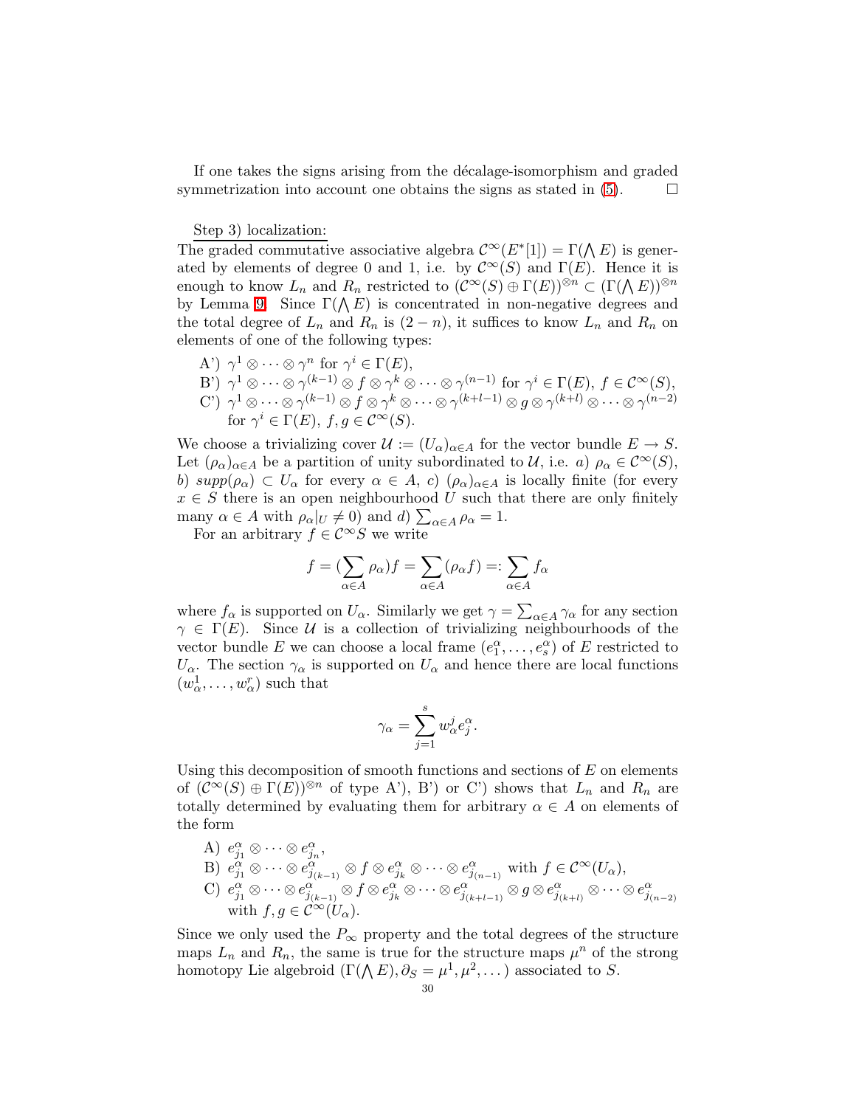If one takes the signs arising from the décalage-isomorphism and graded symmetrization into account one obtains the signs as stated in  $(5)$ .

#### Step 3) localization:

The graded commutative associative algebra  $\mathcal{C}^{\infty}(E^*[1]) = \Gamma(\bigwedge E)$  is generated by elements of degree 0 and 1, i.e. by  $\mathcal{C}^{\infty}(S)$  and  $\Gamma(E)$ . Hence it is enough to know  $L_n$  and  $R_n$  restricted to  $(C^{\infty}(S) \oplus \Gamma(E))^{\otimes n} \subset (\Gamma(\Lambda E))^{\otimes n}$ by Lemma [9.](#page-27-0) Since  $\Gamma(\Lambda E)$  is concentrated in non-negative degrees and the total degree of  $L_n$  and  $R_n$  is  $(2 - n)$ , it suffices to know  $L_n$  and  $R_n$  on elements of one of the following types:

A') 
$$
\gamma^1 \otimes \cdots \otimes \gamma^n
$$
 for  $\gamma^i \in \Gamma(E)$ ,  
\nB')  $\gamma^1 \otimes \cdots \otimes \gamma^{(k-1)} \otimes f \otimes \gamma^k \otimes \cdots \otimes \gamma^{(n-1)}$  for  $\gamma^i \in \Gamma(E)$ ,  $f \in C^{\infty}(S)$ ,  
\nC')  $\gamma^1 \otimes \cdots \otimes \gamma^{(k-1)} \otimes f \otimes \gamma^k \otimes \cdots \otimes \gamma^{(k+l-1)} \otimes g \otimes \gamma^{(k+l)} \otimes \cdots \otimes \gamma^{(n-2)}$   
\nfor  $\gamma^i \in \Gamma(E)$ ,  $f, g \in C^{\infty}(S)$ .

We choose a trivializing cover  $\mathcal{U} := (U_\alpha)_{\alpha \in A}$  for the vector bundle  $E \to S$ . Let  $(\rho_{\alpha})_{\alpha \in A}$  be a partition of unity subordinated to U, i.e. a)  $\rho_{\alpha} \in C^{\infty}(S)$ , b)  $supp(\rho_{\alpha}) \subset U_{\alpha}$  for every  $\alpha \in A$ , c)  $(\rho_{\alpha})_{\alpha \in A}$  is locally finite (for every  $x \in S$  there is an open neighbourhood U such that there are only finitely many  $\alpha \in A$  with  $\rho_{\alpha}|_{U} \neq 0$  and d)  $\sum_{\alpha \in A} \rho_{\alpha} = 1$ .

For an arbitrary  $f\in \mathcal{C}^\infty S$  we write

$$
f = (\sum_{\alpha \in A} \rho_{\alpha}) f = \sum_{\alpha \in A} (\rho_{\alpha} f) =: \sum_{\alpha \in A} f_{\alpha}
$$

where  $f_{\alpha}$  is supported on  $U_{\alpha}$ . Similarly we get  $\gamma = \sum_{\alpha \in A} \gamma_{\alpha}$  for any section  $\gamma \in \Gamma(E)$ . Since U is a collection of trivializing neighbourhoods of the vector bundle E we can choose a local frame  $(e_1^{\alpha}, \ldots, e_s^{\alpha})$  of E restricted to  $U_{\alpha}$ . The section  $\gamma_{\alpha}$  is supported on  $U_{\alpha}$  and hence there are local functions  $(w_\alpha^1, \ldots, w_\alpha^r)$  such that

$$
\gamma_\alpha = \sum_{j=1}^s w_\alpha^j e_j^\alpha
$$

.

Using this decomposition of smooth functions and sections of  $E$  on elements of  $(C^{\infty}(S) \oplus \Gamma(E))^{\otimes n}$  of type A'), B') or C') shows that  $L_n$  and  $R_n$  are totally determined by evaluating them for arbitrary  $\alpha \in A$  on elements of the form

A)  $e_{j_1}^{\alpha} \otimes \cdots \otimes e_{j_n}^{\alpha},$ B)  $e_{j_1}^{\alpha} \otimes \cdots \otimes e_{j_{(k-1)}}^{\alpha} \otimes f \otimes e_{j_k}^{\alpha} \otimes \cdots \otimes e_{j_{(n-1)}}^{\alpha}$  with  $f \in C^{\infty}(U_{\alpha}),$  $\mathbb{C}) \ \ e_{j_1}^\alpha \otimes \cdots \otimes e_{j_{(k-1)}}^\alpha \otimes f \otimes e_{j_k}^\alpha \otimes \cdots \otimes e_{j_{(k+l-1)}}^\alpha \otimes g \otimes e_{j_{(k+l)}}^\alpha \otimes \cdots \otimes e_{j_{(n-2)}}^\alpha$ with  $f,g \in \mathcal{C}^{\infty}(U_{\alpha}).$ 

Since we only used the  $P_{\infty}$  property and the total degrees of the structure maps  $L_n$  and  $R_n$ , the same is true for the structure maps  $\mu^n$  of the strong homotopy Lie algebroid  $(\Gamma(\Lambda E), \partial_S = \mu^1, \mu^2, \dots)$  associated to S.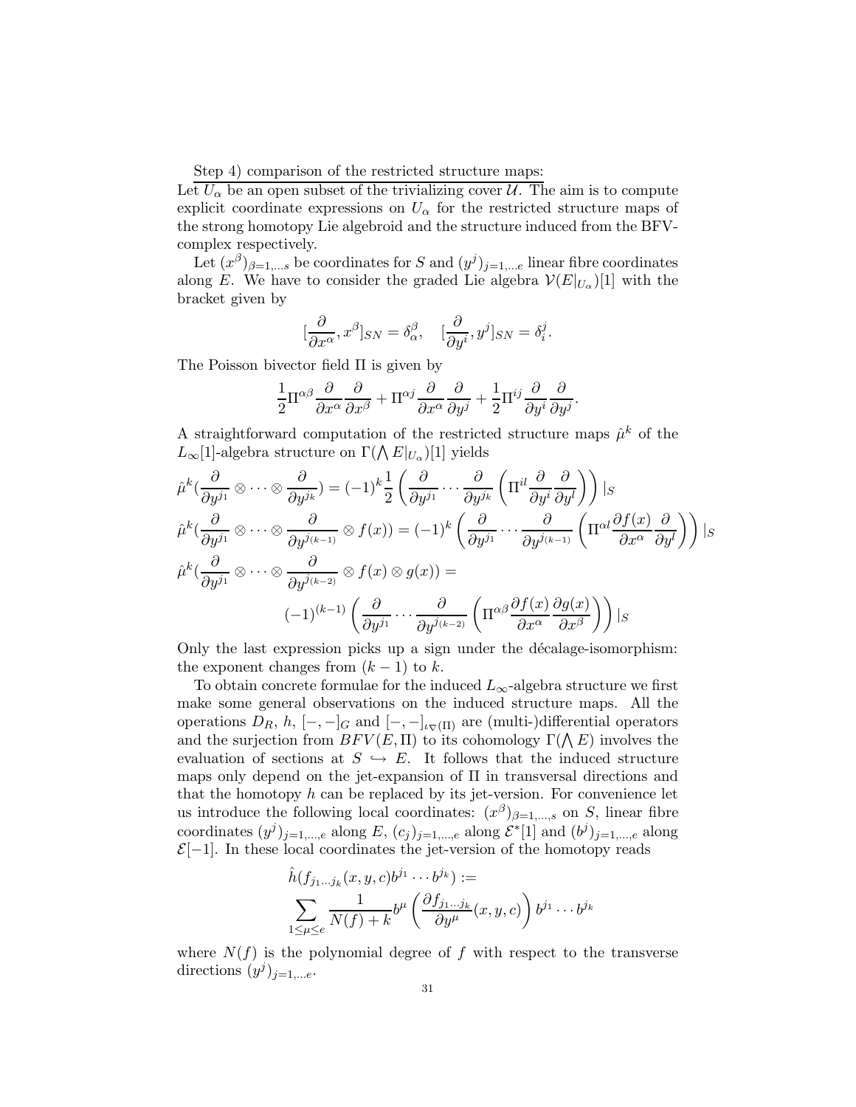Step 4) comparison of the restricted structure maps:

Let  $U_{\alpha}$  be an open subset of the trivializing cover  $\mathcal{U}$ . The aim is to compute explicit coordinate expressions on  $U_{\alpha}$  for the restricted structure maps of the strong homotopy Lie algebroid and the structure induced from the BFVcomplex respectively.

Let  $(x^{\beta})_{\beta=1,\dots s}$  be coordinates for S and  $(y^{j})_{j=1,\dots e}$  linear fibre coordinates along E. We have to consider the graded Lie algebra  $\mathcal{V}(E|_{U_{\alpha}})[1]$  with the bracket given by

$$
[\frac{\partial}{\partial x^\alpha},x^\beta]_{SN}=\delta_\alpha^\beta,\quad [\frac{\partial}{\partial y^i},y^j]_{SN}=\delta_i^j.
$$

The Poisson bivector field Π is given by

$$
\frac{1}{2}\Pi^{\alpha\beta}\frac{\partial}{\partial x^{\alpha}}\frac{\partial}{\partial x^{\beta}} + \Pi^{\alpha j}\frac{\partial}{\partial x^{\alpha}}\frac{\partial}{\partial y^{j}} + \frac{1}{2}\Pi^{ij}\frac{\partial}{\partial y^{i}}\frac{\partial}{\partial y^{j}}
$$

.

A straightforward computation of the restricted structure maps  $\hat{\mu}^k$  of the  $L_{\infty}[1]$ -algebra structure on  $\Gamma(\bigwedge E|_{U_{\alpha}})[1]$  yields

$$
\hat{\mu}^{k}(\frac{\partial}{\partial y^{j_{1}}}\otimes\cdots\otimes\frac{\partial}{\partial y^{j_{k}}}) = (-1)^{k}\frac{1}{2}\left(\frac{\partial}{\partial y^{j_{1}}}\cdots\frac{\partial}{\partial y^{j_{k}}}\left(\Pi^{il}\frac{\partial}{\partial y^{i}}\frac{\partial}{\partial y^{l}}\right)\right)|_{S}
$$

$$
\hat{\mu}^{k}(\frac{\partial}{\partial y^{j_{1}}}\otimes\cdots\otimes\frac{\partial}{\partial y^{j_{(k-1)}}}\otimes f(x)) = (-1)^{k}\left(\frac{\partial}{\partial y^{j_{1}}}\cdots\frac{\partial}{\partial y^{j_{(k-1)}}}\left(\Pi^{\alpha l}\frac{\partial f(x)}{\partial x^{\alpha}}\frac{\partial}{\partial y^{l}}\right)\right)|_{S}
$$

$$
\hat{\mu}^{k}(\frac{\partial}{\partial y^{j_{1}}}\otimes\cdots\otimes\frac{\partial}{\partial y^{j_{(k-2)}}}\otimes f(x)\otimes g(x)) = (-1)^{(k-1)}\left(\frac{\partial}{\partial y^{j_{1}}}\cdots\frac{\partial}{\partial y^{j_{(k-2)}}}\left(\Pi^{\alpha\beta}\frac{\partial f(x)}{\partial x^{\alpha}}\frac{\partial g(x)}{\partial x^{\beta}}\right)\right)|_{S}
$$

Only the last expression picks up a sign under the décalage-isomorphism: the exponent changes from  $(k-1)$  to k.

To obtain concrete formulae for the induced  $L_{\infty}$ -algebra structure we first make some general observations on the induced structure maps. All the operations  $D_R$ ,  $h$ ,  $[-,-]_G$  and  $[-,-]_{\iota_{\nabla}(\Pi)}$  are (multi-)differential operators and the surjection from  $BFV(E, \Pi)$  to its cohomology  $\Gamma(\Lambda E)$  involves the evaluation of sections at  $S \hookrightarrow E$ . It follows that the induced structure maps only depend on the jet-expansion of Π in transversal directions and that the homotopy  $h$  can be replaced by its jet-version. For convenience let us introduce the following local coordinates:  $(x^{\beta})_{\beta=1,\dots,s}$  on S, linear fibre coordinates  $(y^j)_{j=1,\dots,e}$  along E,  $(c_j)_{j=1,\dots,e}$  along  $\mathcal{E}^*[1]$  and  $(b^j)_{j=1,\dots,e}$  along  $\mathcal{E}[-1]$ . In these local coordinates the jet-version of the homotopy reads

$$
\hat{h}(f_{j_1\ldots j_k}(x,y,c)b^{j_1}\cdots b^{j_k}) :=
$$
\n
$$
\sum_{1 \le \mu \le e} \frac{1}{N(f) + k} b^{\mu} \left( \frac{\partial f_{j_1\ldots j_k}}{\partial y^{\mu}}(x,y,c) \right) b^{j_1} \cdots b^{j_k}
$$

where  $N(f)$  is the polynomial degree of f with respect to the transverse directions  $(y^j)_{j=1,...e}$ .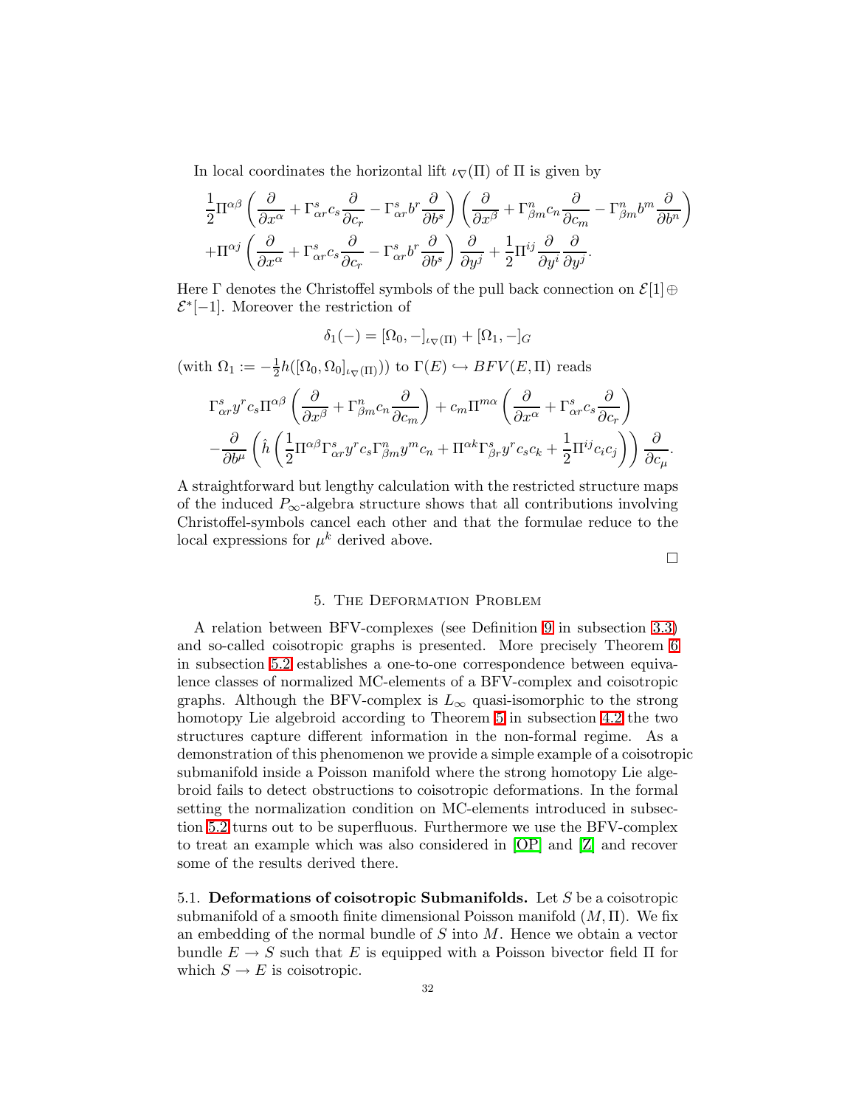In local coordinates the horizontal lift  $\iota_{\nabla}(\Pi)$  of  $\Pi$  is given by

$$
\frac{1}{2}\Pi^{\alpha\beta}\left(\frac{\partial}{\partial x^{\alpha}} + \Gamma^{s}_{\alpha r}c_{s}\frac{\partial}{\partial c_{r}} - \Gamma^{s}_{\alpha r}b^{r}\frac{\partial}{\partial b^{s}}\right)\left(\frac{\partial}{\partial x^{\beta}} + \Gamma^{n}_{\beta m}c_{n}\frac{\partial}{\partial c_{m}} - \Gamma^{n}_{\beta m}b^{m}\frac{\partial}{\partial b^{n}}\right) \n+ \Pi^{\alpha j}\left(\frac{\partial}{\partial x^{\alpha}} + \Gamma^{s}_{\alpha r}c_{s}\frac{\partial}{\partial c_{r}} - \Gamma^{s}_{\alpha r}b^{r}\frac{\partial}{\partial b^{s}}\right)\frac{\partial}{\partial y^{j}} + \frac{1}{2}\Pi^{ij}\frac{\partial}{\partial y^{i}}\frac{\partial}{\partial y^{j}}.
$$

Here  $\Gamma$  denotes the Christoffel symbols of the pull back connection on  $\mathcal{E}[1]\oplus$  $\mathcal{E}^*[-1]$ . Moreover the restriction of

$$
\delta_1(-)=[\Omega_0,-]_{\iota_{\nabla}(\Pi)}+[\Omega_1,-]_G
$$

(with  $\Omega_1 := -\frac{1}{2}$  $\frac{1}{2}h([\Omega_0, \Omega_0]_{\iota \nabla(\Pi)}))$  to  $\Gamma(E) \hookrightarrow B FV(E, \Pi)$  reads

$$
\Gamma^s_{\alpha r} y^r c_s \Pi^{\alpha \beta} \left( \frac{\partial}{\partial x^{\beta}} + \Gamma^n_{\beta m} c_n \frac{\partial}{\partial c_m} \right) + c_m \Pi^{m\alpha} \left( \frac{\partial}{\partial x^{\alpha}} + \Gamma^s_{\alpha r} c_s \frac{\partial}{\partial c_r} \right) \n- \frac{\partial}{\partial b^{\mu}} \left( \hat{h} \left( \frac{1}{2} \Pi^{\alpha \beta} \Gamma^s_{\alpha r} y^r c_s \Gamma^n_{\beta m} y^m c_n + \Pi^{\alpha k} \Gamma^s_{\beta r} y^r c_s c_k + \frac{1}{2} \Pi^{ij} c_i c_j \right) \right) \frac{\partial}{\partial c_{\mu}}.
$$

A straightforward but lengthy calculation with the restricted structure maps of the induced  $P_{\infty}$ -algebra structure shows that all contributions involving Christoffel-symbols cancel each other and that the formulae reduce to the local expressions for  $\mu^k$  derived above.

 $\Box$ 

#### 5. The Deformation Problem

<span id="page-31-0"></span>A relation between BFV-complexes (see Definition [9](#page-21-1) in subsection [3.3\)](#page-19-0) and so-called coisotropic graphs is presented. More precisely Theorem [6](#page-35-0) in subsection [5.2](#page-33-0) establishes a one-to-one correspondence between equivalence classes of normalized MC-elements of a BFV-complex and coisotropic graphs. Although the BFV-complex is  $L_{\infty}$  quasi-isomorphic to the strong homotopy Lie algebroid according to Theorem [5](#page-24-1) in subsection [4.2](#page-24-0) the two structures capture different information in the non-formal regime. As a demonstration of this phenomenon we provide a simple example of a coisotropic submanifold inside a Poisson manifold where the strong homotopy Lie algebroid fails to detect obstructions to coisotropic deformations. In the formal setting the normalization condition on MC-elements introduced in subsection [5.2](#page-33-0) turns out to be superfluous. Furthermore we use the BFV-complex to treat an example which was also considered in [\[OP\]](#page-49-1) and [\[Z\]](#page-50-2) and recover some of the results derived there.

<span id="page-31-1"></span>5.1. Deformations of coisotropic Submanifolds. Let  $S$  be a coisotropic submanifold of a smooth finite dimensional Poisson manifold  $(M, \Pi)$ . We fix an embedding of the normal bundle of  $S$  into  $M$ . Hence we obtain a vector bundle  $E \to S$  such that E is equipped with a Poisson bivector field  $\Pi$  for which  $S \to E$  is coisotropic.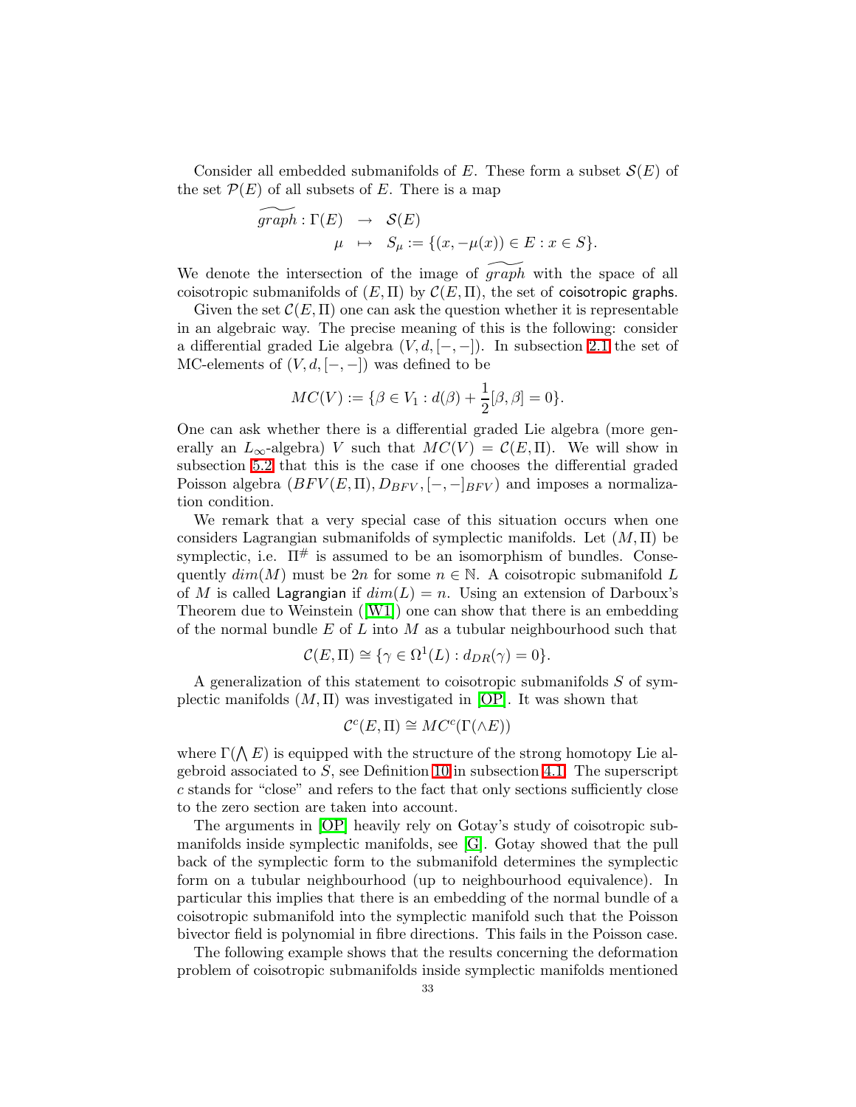Consider all embedded submanifolds of E. These form a subset  $\mathcal{S}(E)$  of the set  $\mathcal{P}(E)$  of all subsets of E. There is a map

$$
\widetilde{graph} : \Gamma(E) \rightarrow \mathcal{S}(E)
$$
  

$$
\mu \mapsto S_{\mu} := \{(x, -\mu(x)) \in E : x \in S\}.
$$

We denote the intersection of the image of  $graph$  with the space of all coisotropic submanifolds of  $(E, \Pi)$  by  $\mathcal{C}(E, \Pi)$ , the set of coisotropic graphs.

Given the set  $\mathcal{C}(E,\Pi)$  one can ask the question whether it is representable in an algebraic way. The precise meaning of this is the following: consider a differential graded Lie algebra  $(V, d, [-, -])$ . In subsection [2.1](#page-2-1) the set of MC-elements of  $(V, d, [-, -])$  was defined to be

$$
MC(V) := \{ \beta \in V_1 : d(\beta) + \frac{1}{2}[\beta, \beta] = 0 \}.
$$

One can ask whether there is a differential graded Lie algebra (more generally an  $L_{\infty}$ -algebra) V such that  $MC(V) = C(E,\Pi)$ . We will show in subsection [5.2](#page-33-0) that this is the case if one chooses the differential graded Poisson algebra  $(BFV(E,\Pi),D_{BFV},[-,-]_{BFV})$  and imposes a normalization condition.

We remark that a very special case of this situation occurs when one considers Lagrangian submanifolds of symplectic manifolds. Let  $(M, \Pi)$  be symplectic, i.e.  $\Pi^{\#}$  is assumed to be an isomorphism of bundles. Consequently  $dim(M)$  must be  $2n$  for some  $n \in \mathbb{N}$ . A coisotropic submanifold L of M is called Lagrangian if  $dim(L) = n$ . Using an extension of Darboux's Theorem due to Weinstein([\[W1\]](#page-50-7)) one can show that there is an embedding of the normal bundle  $E$  of  $L$  into  $M$  as a tubular neighbourhood such that

$$
\mathcal{C}(E,\Pi) \cong \{ \gamma \in \Omega^1(L) : d_{DR}(\gamma) = 0 \}.
$$

A generalization of this statement to coisotropic submanifolds S of symplectic manifolds  $(M, \Pi)$  was investigated in [\[OP\]](#page-49-1). It was shown that

$$
\mathcal{C}^c(E,\Pi) \cong MC^c(\Gamma(\wedge E))
$$

where  $\Gamma(\bigwedge E)$  is equipped with the structure of the strong homotopy Lie algebroid associated to  $S$ , see Definition [10](#page-23-2) in subsection [4.1.](#page-23-0) The superscript c stands for "close" and refers to the fact that only sections sufficiently close to the zero section are taken into account.

The arguments in [\[OP\]](#page-49-1) heavily rely on Gotay's study of coisotropic submanifolds inside symplectic manifolds, see [\[G\]](#page-49-16). Gotay showed that the pull back of the symplectic form to the submanifold determines the symplectic form on a tubular neighbourhood (up to neighbourhood equivalence). In particular this implies that there is an embedding of the normal bundle of a coisotropic submanifold into the symplectic manifold such that the Poisson bivector field is polynomial in fibre directions. This fails in the Poisson case.

The following example shows that the results concerning the deformation problem of coisotropic submanifolds inside symplectic manifolds mentioned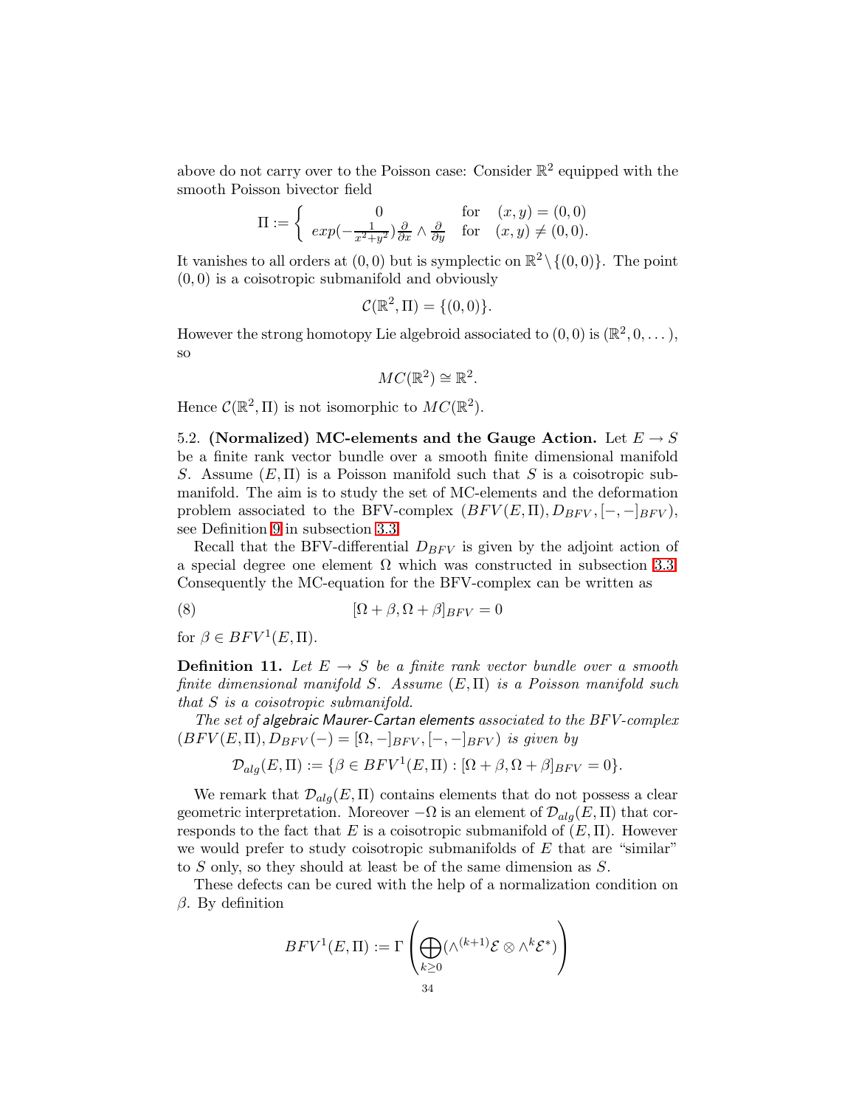above do not carry over to the Poisson case: Consider  $\mathbb{R}^2$  equipped with the smooth Poisson bivector field

$$
\Pi := \begin{cases}\n0 & \text{for} \quad (x, y) = (0, 0) \\
\exp(-\frac{1}{x^2 + y^2}) \frac{\partial}{\partial x} \wedge \frac{\partial}{\partial y} & \text{for} \quad (x, y) \neq (0, 0).\n\end{cases}
$$

It vanishes to all orders at  $(0,0)$  but is symplectic on  $\mathbb{R}^2 \setminus \{(0,0)\}$ . The point  $(0, 0)$  is a coisotropic submanifold and obviously

$$
\mathcal{C}(\mathbb{R}^2, \Pi) = \{(0,0)\}.
$$

However the strong homotopy Lie algebroid associated to  $(0,0)$  is  $(\mathbb{R}^2,0,\dots)$ , so

$$
MC(\mathbb{R}^2) \cong \mathbb{R}^2.
$$

Hence  $\mathcal{C}(\mathbb{R}^2,\Pi)$  is not isomorphic to  $MC(\mathbb{R}^2)$ .

<span id="page-33-0"></span>5.2. (Normalized) MC-elements and the Gauge Action. Let  $E \to S$ be a finite rank vector bundle over a smooth finite dimensional manifold S. Assume  $(E, \Pi)$  is a Poisson manifold such that S is a coisotropic submanifold. The aim is to study the set of MC-elements and the deformation problem associated to the BFV-complex  $(BFV(E,\Pi),D_{BFV},[-,-]_{BFV})$ , see Definition [9](#page-21-1) in subsection [3.3.](#page-19-0)

Recall that the BFV-differential  $D_{BFV}$  is given by the adjoint action of a special degree one element  $\Omega$  which was constructed in subsection [3.3.](#page-19-0) Consequently the MC-equation for the BFV-complex can be written as

(8)  $[\Omega + \beta, \Omega + \beta]_{BFV} = 0$ 

for  $\beta \in BFV^1(E,\Pi)$ .

**Definition 11.** Let  $E \rightarrow S$  be a finite rank vector bundle over a smooth finite dimensional manifold S. Assume  $(E, \Pi)$  is a Poisson manifold such that S is a coisotropic submanifold.

The set of algebraic Maurer-Cartan elements associated to the BFV-complex  $(BFV(E,\Pi),D_{BFV}(-) = [\Omega,-]_{BFV},[-,-]_{BFV})$  is given by

$$
\mathcal{D}_{alg}(E,\Pi):=\{\beta\in BFV^1(E,\Pi): [\Omega+\beta,\Omega+\beta]_{BFV}=0\}.
$$

We remark that  $\mathcal{D}_{alg}(E,\Pi)$  contains elements that do not possess a clear geometric interpretation. Moreover  $-\Omega$  is an element of  $\mathcal{D}_{alg}(E,\Pi)$  that corresponds to the fact that E is a coisotropic submanifold of  $(E, \Pi)$ . However we would prefer to study coisotropic submanifolds of  $E$  that are "similar" to S only, so they should at least be of the same dimension as S.

These defects can be cured with the help of a normalization condition on β. By definition

$$
BFV^1(E,\Pi):=\Gamma\left(\bigoplus_{k\geq 0}(\wedge^{(k+1)}\mathcal{E}\otimes\wedge^k\mathcal{E}^*)\right)
$$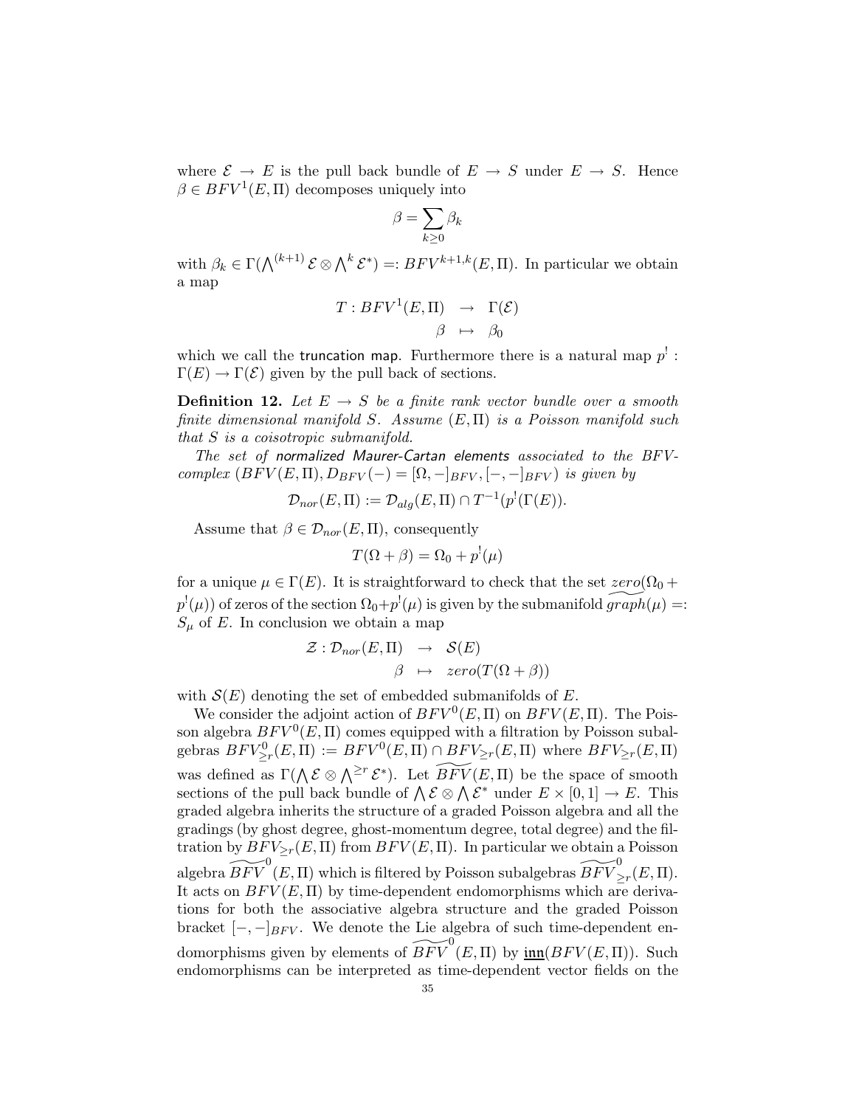where  $\mathcal{E} \to E$  is the pull back bundle of  $E \to S$  under  $E \to S$ . Hence  $\beta \in BFV^1(E,\Pi)$  decomposes uniquely into

$$
\beta = \sum_{k\geq 0} \beta_k
$$

with  $\beta_k \in \Gamma(\bigwedge^{(k+1)} \mathcal{E} \otimes \bigwedge^k \mathcal{E}^*) =: BFV^{k+1,k}(E,\Pi)$ . In particular we obtain a map

$$
T: BFV^{1}(E, \Pi) \rightarrow \Gamma(\mathcal{E})
$$

$$
\beta \mapsto \beta_{0}
$$

which we call the truncation map. Furthermore there is a natural map  $p^!$ :  $\Gamma(E) \to \Gamma(\mathcal{E})$  given by the pull back of sections.

**Definition 12.** Let  $E \rightarrow S$  be a finite rank vector bundle over a smooth finite dimensional manifold S. Assume  $(E, \Pi)$  is a Poisson manifold such that S is a coisotropic submanifold.

The set of normalized Maurer-Cartan elements associated to the BFVcomplex  $(BFV(E,\Pi),D_{BFV}(-) = [\Omega,-]_{BFV},[-,-]_{BFV})$  is given by

$$
\mathcal{D}_{nor}(E,\Pi) := \mathcal{D}_{alg}(E,\Pi) \cap T^{-1}(p^{!}(\Gamma(E)).
$$

Assume that  $\beta \in \mathcal{D}_{nor}(E,\Pi)$ , consequently

$$
T(\Omega + \beta) = \Omega_0 + p^!(\mu)
$$

for a unique  $\mu \in \Gamma(E)$ . It is straightforward to check that the set  $zero(\Omega_0 + \Omega_0)$  $p^!(\mu)$  of zeros of the section  $\Omega_0 + p^!(\mu)$  is given by the submanifold  $\widetilde{graph}(\mu) =:$  $S_{\mu}$  of E. In conclusion we obtain a map

$$
\mathcal{Z}: \mathcal{D}_{nor}(E,\Pi) \rightarrow \mathcal{S}(E)
$$
  

$$
\beta \mapsto zero(T(\Omega + \beta))
$$

with  $S(E)$  denoting the set of embedded submanifolds of E.

We consider the adjoint action of  $BFV^0(E, \Pi)$  on  $BFV(E, \Pi)$ . The Poisson algebra  $BFV^0(E, \Pi)$  comes equipped with a filtration by Poisson subalgebras  $BFV^0_{\geq r}(E,\Pi) := BFV^0(E,\Pi) \cap BFV_{\geq r}(E,\Pi)$  where  $BFV_{\geq r}(E,\Pi)$ was defined as  $\Gamma(\bigwedge \mathcal{E} \otimes \bigwedge^{\geq r} \mathcal{E}^*)$ . Let  $\widetilde{BFV}(E, \Pi)$  be the space of smooth sections of the pull back bundle of  $\bigwedge \mathcal{E} \otimes \bigwedge \mathcal{E}^*$  under  $E \times [0,1] \to E$ . This graded algebra inherits the structure of a graded Poisson algebra and all the gradings (by ghost degree, ghost-momentum degree, total degree) and the filtration by  $BFV_{\geq r}(E,\Pi)$  from  $BFV(E,\Pi)$ . In particular we obtain a Poisson algebra  $\widetilde{BFV} ^0(E, \Pi)$  which is filtered by Poisson subalgebras  $\widetilde{BFV} ^0_{\geq r}(E, \Pi)$ . It acts on  $BFV(E, \Pi)$  by time-dependent endomorphisms which are derivations for both the associative algebra structure and the graded Poisson bracket  $[-,-]_{BFV}$ . We denote the Lie algebra of such time-dependent endomorphisms given by elements of  $\widetilde{BFV} ^{0}(E, \Pi)$  by  $\underline{\text{inn}}(BFV(E, \Pi)).$  Such endomorphisms can be interpreted as time-dependent vector fields on the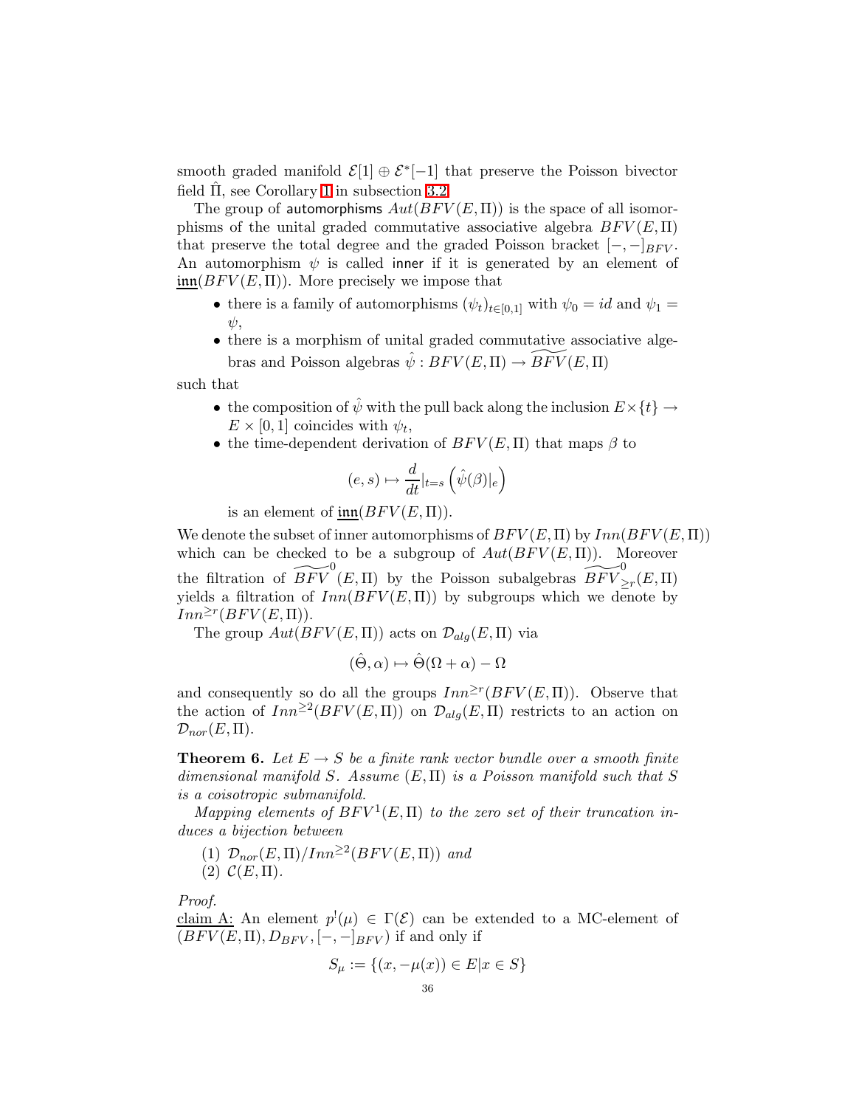smooth graded manifold  $\mathcal{E}[1] \oplus \mathcal{E}^*[-1]$  that preserve the Poisson bivector field  $\Pi$ , see Corollary [1](#page-17-0) in subsection [3.2.](#page-15-0)

The group of automorphisms  $Aut(BFV(E,\Pi))$  is the space of all isomorphisms of the unital graded commutative associative algebra  $BFV(E, \Pi)$ that preserve the total degree and the graded Poisson bracket  $[-,-]_{B F V}$ . An automorphism  $\psi$  is called inner if it is generated by an element of  $\text{im}(BFV(E,\Pi))$ . More precisely we impose that

- there is a family of automorphisms  $(\psi_t)_{t\in[0,1]}$  with  $\psi_0 = id$  and  $\psi_1 =$ ψ,
- there is a morphism of unital graded commutative associative algebras and Poisson algebras  $\hat{\psi} : BFV(E, \Pi) \to \widetilde{BFV}(E, \Pi)$

such that

- the composition of  $\hat{\psi}$  with the pull back along the inclusion  $E \times \{t\} \rightarrow$  $E \times [0,1]$  coincides with  $\psi_t$ ,
- the time-dependent derivation of  $BFV(E, \Pi)$  that maps  $\beta$  to

$$
(e, s) \mapsto \frac{d}{dt}|_{t=s} \left( \hat{\psi}(\beta)|_e \right)
$$

is an element of  $\text{im}(BFV(E,\Pi)).$ 

We denote the subset of inner automorphisms of  $BFV(E,\Pi)$  by  $Inn(BFV(E,\Pi))$ which can be checked to be a subgroup of  $Aut(BFV(E,\Pi))$ . Moreover the filtration of  $\widetilde{BFV} ^0(E, \Pi)$  by the Poisson subalgebras  $\widetilde{BFV} ^0_{\geq r}(E, \Pi)$ yields a filtration of  $Inn(BFV(E,\Pi))$  by subgroups which we denote by  $Inn^{\geq r}(BFV(E,\Pi)).$ 

The group  $Aut(BFV(E,\Pi))$  acts on  $\mathcal{D}_{alg}(E,\Pi)$  via

$$
(\hat{\Theta}, \alpha) \mapsto \hat{\Theta}(\Omega + \alpha) - \Omega
$$

and consequently so do all the groups  $Inn^{\geq r}(BFV(E,\Pi))$ . Observe that the action of  $Inn^{\geq 2}(BFV(E,\Pi))$  on  $\mathcal{D}_{alg}(E,\Pi)$  restricts to an action on  $\mathcal{D}_{nor}(E,\Pi).$ 

<span id="page-35-0"></span>**Theorem 6.** Let  $E \to S$  be a finite rank vector bundle over a smooth finite dimensional manifold S. Assume  $(E, \Pi)$  is a Poisson manifold such that S is a coisotropic submanifold.

Mapping elements of  $BFV^1(E, \Pi)$  to the zero set of their truncation induces a bijection between

- (1)  $\mathcal{D}_{nor}(E,\Pi)/Inn^{\geq 2}(BFV(E,\Pi))$  and
- $(2) \mathcal{C}(E,\Pi).$

Proof.

claim A: An element  $p^{!}(\mu) \in \Gamma(\mathcal{E})$  can be extended to a MC-element of  $(BFV(E,\Pi),D_{BFV},[-,-]_{BFV})$  if and only if

$$
S_{\mu} := \{(x, -\mu(x)) \in E | x \in S\}
$$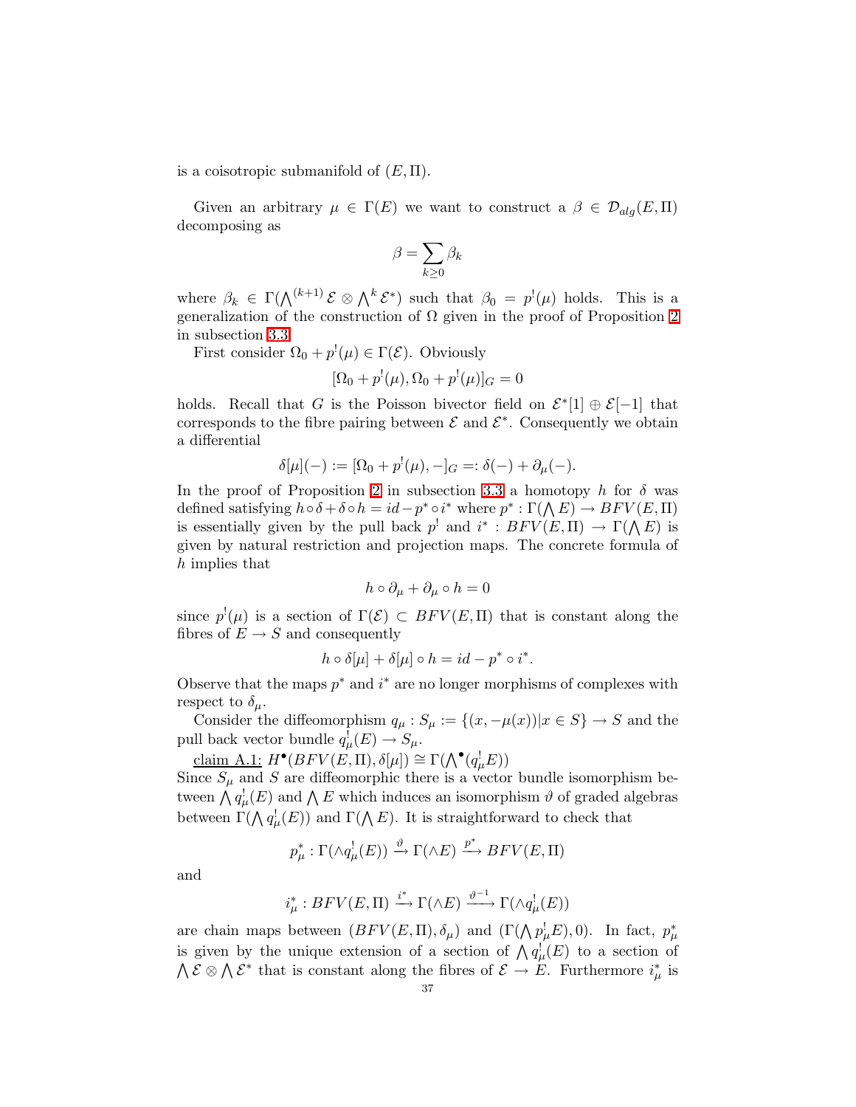is a coisotropic submanifold of  $(E, \Pi)$ .

Given an arbitrary  $\mu \in \Gamma(E)$  we want to construct a  $\beta \in \mathcal{D}_{ala}(E,\Pi)$ decomposing as

$$
\beta = \sum_{k \geq 0} \beta_k
$$

where  $\beta_k \in \Gamma(\bigwedge^{(k+1)} \mathcal{E} \otimes \bigwedge^k \mathcal{E}^*)$  such that  $\beta_0 = p^!(\mu)$  holds. This is a generalization of the construction of  $\Omega$  given in the proof of Proposition [2](#page-19-1) in subsection [3.3.](#page-19-0)

First consider  $\Omega_0 + p^{\dagger}(\mu) \in \Gamma(\mathcal{E})$ . Obviously

$$
[\Omega_0 + p^!(\mu), \Omega_0 + p^!(\mu)]_G = 0
$$

holds. Recall that G is the Poisson bivector field on  $\mathcal{E}^*[1] \oplus \mathcal{E}[-1]$  that corresponds to the fibre pairing between  $\mathcal E$  and  $\mathcal E^*$ . Consequently we obtain a differential

$$
\delta[\mu](-) := [\Omega_0 + p^!(\mu), -]_G =: \delta(-) + \partial_\mu(-).
$$

In the proof of Proposition [2](#page-19-1) in subsection [3.3](#page-19-0) a homotopy h for  $\delta$  was defined satisfying  $h \circ \delta + \delta \circ h = id - p^* \circ i^*$  where  $p^* : \Gamma(\bigwedge E) \to B F V(E, \Pi)$ is essentially given by the pull back  $p^!$  and  $i^* : BFV(E,\Pi) \to \Gamma(\Lambda E)$  is given by natural restriction and projection maps. The concrete formula of h implies that

$$
h\circ\partial_{\mu}+\partial_{\mu}\circ h=0
$$

since  $p^{(l)}(\mu)$  is a section of  $\Gamma(\mathcal{E}) \subset BFV(E,\Pi)$  that is constant along the fibres of  $E \to S$  and consequently

$$
h \circ \delta[\mu] + \delta[\mu] \circ h = id - p^* \circ i^*.
$$

Observe that the maps  $p^*$  and  $i^*$  are no longer morphisms of complexes with respect to  $\delta_{\mu}$ .

Consider the diffeomorphism  $q_{\mu} : S_{\mu} := \{(x, -\mu(x)) | x \in S\} \to S$  and the pull back vector bundle  $q^!_\mu(E) \to S_\mu$ .

claim A.1:  $H^{\bullet}(BFV(E, \Pi), \delta[\mu]) \cong \Gamma(\bigwedge^{\bullet}(q_{\mu}^{!}E))$ 

Since  $S_{\mu}$  and S are diffeomorphic there is a vector bundle isomorphism between  $\bigwedge q^!_\mu(E)$  and  $\bigwedge E$  which induces an isomorphism  $\vartheta$  of graded algebras between  $\Gamma(\bigwedge q^!_\mu(E))$  and  $\Gamma(\bigwedge E)$ . It is straightforward to check that

$$
p_{\mu}^* : \Gamma(\wedge q_{\mu}^!(E)) \xrightarrow{\vartheta} \Gamma(\wedge E) \xrightarrow{p^*} BFV(E,\Pi)
$$

and

$$
i_{\mu}^*:BFV(E,\Pi)\xrightarrow{i^*}\Gamma(\wedge E)\xrightarrow{\vartheta^{-1}}\Gamma(\wedge q_{\mu}^!(E))
$$

are chain maps between  $(BFV(E,\Pi), \delta_\mu)$  and  $(\Gamma(\Lambda p_\mu^! E), 0)$ . In fact,  $p_\mu^*$ is given by the unique extension of a section of  $\Lambda q^{\dagger}_{\mu}(E)$  to a section of  $\bigwedge \mathcal{E} \otimes \bigwedge \mathcal{E}^*$  that is constant along the fibres of  $\mathcal{E} \to E$ . Furthermore  $i^*_{\mu}$  is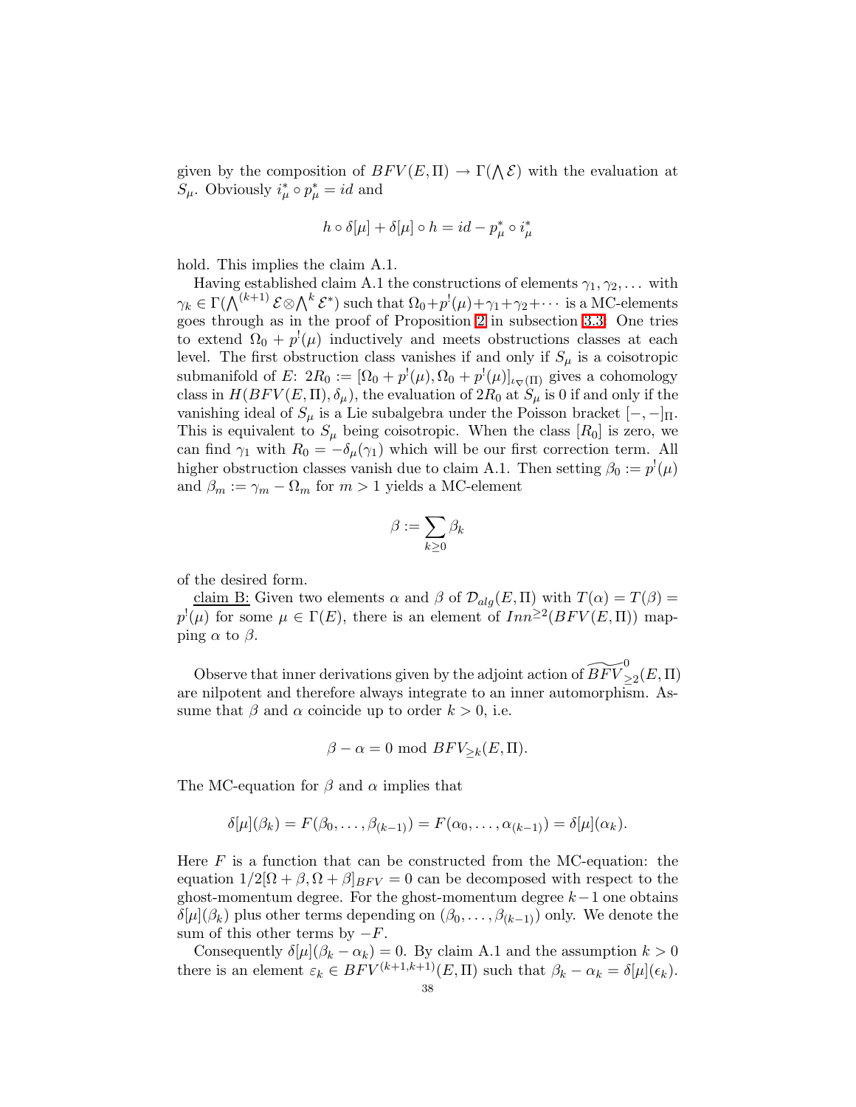given by the composition of  $BFV(E,\Pi) \to \Gamma(\Lambda \mathcal{E})$  with the evaluation at  $S_{\mu}$ . Obviously  $i_{\mu}^* \circ p_{\mu}^* = id$  and

$$
h \circ \delta[\mu] + \delta[\mu] \circ h = id - p^*_{\mu} \circ i^*_{\mu}
$$

hold. This implies the claim A.1.

Having established claim A.1 the constructions of elements  $\gamma_1, \gamma_2, \ldots$  with  $\gamma_k \in \Gamma(\bigwedge^{(k+1)}\mathcal{E}\otimes \bigwedge^k \mathcal{E}^*) \text{ such that } \Omega_0 + p^!(\mu) + \gamma_1 + \gamma_2 + \cdots \text{ is a MC-elements}$ goes through as in the proof of Proposition [2](#page-19-1) in subsection [3.3:](#page-19-0) One tries to extend  $\Omega_0 + p^{(l)}(\mu)$  inductively and meets obstructions classes at each level. The first obstruction class vanishes if and only if  $S_{\mu}$  is a coisotropic submanifold of E:  $2R_0 := [\Omega_0 + p^!(\mu), \Omega_0 + p^!(\mu)]_{\iota_{\nabla}(\Pi)}$  gives a cohomology class in  $H(BFV(E,\Pi),\delta_{\mu})$ , the evaluation of  $2R_0$  at  $S_{\mu}$  is 0 if and only if the vanishing ideal of  $S_{\mu}$  is a Lie subalgebra under the Poisson bracket  $[-,-]_{\Pi}$ . This is equivalent to  $S_{\mu}$  being coisotropic. When the class  $[R_0]$  is zero, we can find  $\gamma_1$  with  $R_0 = -\delta_\mu(\gamma_1)$  which will be our first correction term. All higher obstruction classes vanish due to claim A.1. Then setting  $\beta_0 := p^{(l)}(\mu)$ and  $\beta_m := \gamma_m - \Omega_m$  for  $m > 1$  yields a MC-element

$$
\beta:=\sum_{k\geq 0}\beta_k
$$

of the desired form.

claim B: Given two elements  $\alpha$  and  $\beta$  of  $\mathcal{D}_{alg}(E,\Pi)$  with  $T(\alpha) = T(\beta) =$  $p^!(\mu)$  for some  $\mu \in \Gamma(E)$ , there is an element of  $Inn^{\geq 2}(BFV(E,\Pi))$  mapping  $\alpha$  to  $\beta$ .

Observe that inner derivations given by the adjoint action of  $\widetilde{BFV}^0_{\geq 2}(E,\Pi)$ are nilpotent and therefore always integrate to an inner automorphism. Assume that  $\beta$  and  $\alpha$  coincide up to order  $k > 0$ , i.e.

$$
\beta - \alpha = 0 \text{ mod } BFV_{\geq k}(E, \Pi).
$$

The MC-equation for  $\beta$  and  $\alpha$  implies that

$$
\delta[\mu](\beta_k) = F(\beta_0, \dots, \beta_{(k-1)}) = F(\alpha_0, \dots, \alpha_{(k-1)}) = \delta[\mu](\alpha_k).
$$

Here  $F$  is a function that can be constructed from the MC-equation: the equation  $1/2[\Omega + \beta, \Omega + \beta]_{BFV} = 0$  can be decomposed with respect to the ghost-momentum degree. For the ghost-momentum degree  $k-1$  one obtains  $\delta[\mu](\beta_k)$  plus other terms depending on  $(\beta_0,\ldots,\beta_{(k-1)})$  only. We denote the sum of this other terms by  $-F$ .

Consequently  $\delta[\mu](\beta_k - \alpha_k) = 0$ . By claim A.1 and the assumption  $k > 0$ there is an element  $\varepsilon_k \in BFV^{(k+1,k+1)}(E,\Pi)$  such that  $\beta_k - \alpha_k = \delta[\mu](\epsilon_k)$ .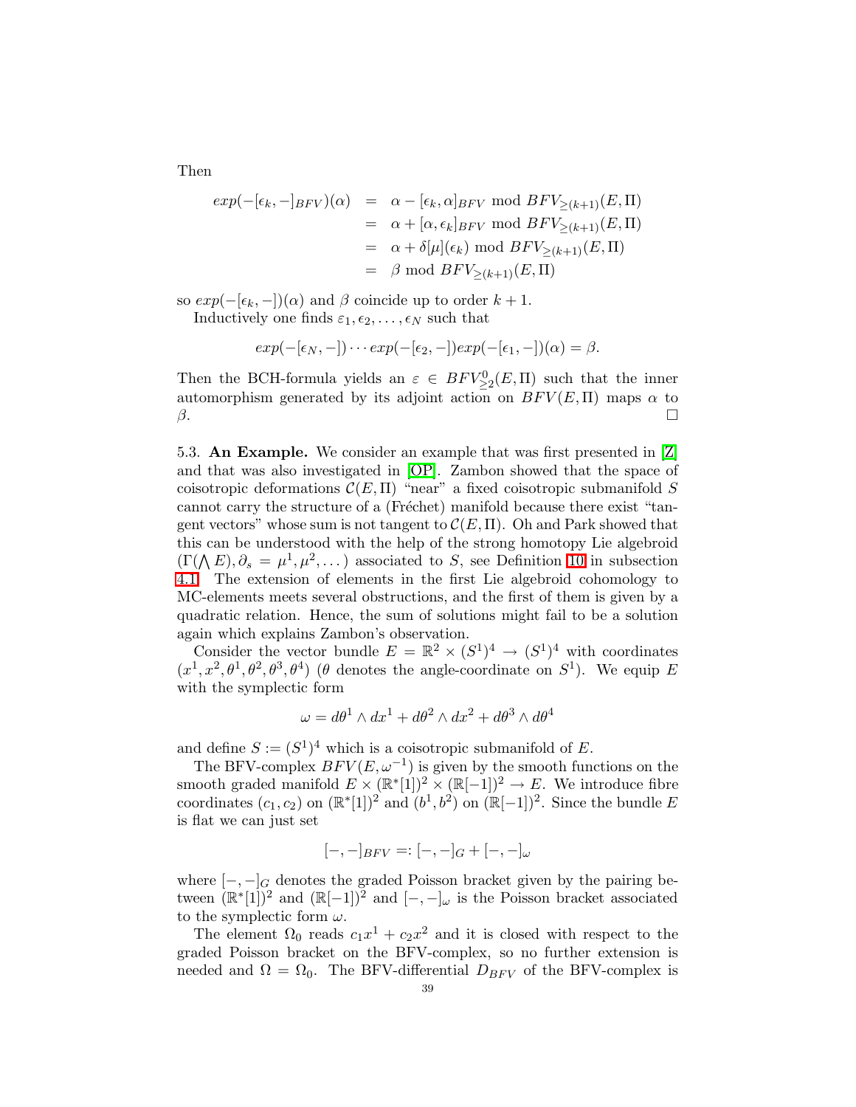Then

$$
exp(-[\epsilon_k, -]_{BFV})(\alpha) = \alpha - [\epsilon_k, \alpha]_{BFV} \mod BFV_{\geq (k+1)}(E, \Pi)
$$
  
\n
$$
= \alpha + [\alpha, \epsilon_k]_{BFV} \mod BFV_{\geq (k+1)}(E, \Pi)
$$
  
\n
$$
= \alpha + \delta[\mu](\epsilon_k) \mod BFV_{\geq (k+1)}(E, \Pi)
$$
  
\n
$$
= \beta \mod BFV_{\geq (k+1)}(E, \Pi)
$$

so  $exp(-[\epsilon_k, -])(\alpha)$  and  $\beta$  coincide up to order  $k + 1$ . Inductively one finds  $\varepsilon_1, \varepsilon_2, \ldots, \varepsilon_N$  such that

$$
exp(-[\epsilon_N,-])\cdots exp(-[\epsilon_2,-])exp(-[\epsilon_1,-])(\alpha)=\beta.
$$

Then the BCH-formula yields an  $\varepsilon \in BFV^0_{\geq 2}(E,\Pi)$  such that the inner automorphism generated by its adjoint action on  $BFV(E,\Pi)$  maps  $\alpha$  to  $\beta$ .

<span id="page-38-0"></span>5.3. An Example. We consider an example that was first presented in [\[Z\]](#page-50-2) and that was also investigated in [\[OP\]](#page-49-1). Zambon showed that the space of coisotropic deformations  $\mathcal{C}(E,\Pi)$  "near" a fixed coisotropic submanifold S cannot carry the structure of a (Fréchet) manifold because there exist "tangent vectors" whose sum is not tangent to  $\mathcal{C}(E,\Pi)$ . Oh and Park showed that this can be understood with the help of the strong homotopy Lie algebroid  $(\Gamma(\bigwedge E), \partial_s = \mu^1, \mu^2, \dots)$  associated to S, see Definition [10](#page-23-2) in subsection [4.1.](#page-23-0) The extension of elements in the first Lie algebroid cohomology to MC-elements meets several obstructions, and the first of them is given by a quadratic relation. Hence, the sum of solutions might fail to be a solution again which explains Zambon's observation.

Consider the vector bundle  $E = \mathbb{R}^2 \times (S^1)^4 \to (S^1)^4$  with coordinates  $(x^1, x^2, \theta^1, \theta^2, \theta^3, \theta^4)$  ( $\theta$  denotes the angle-coordinate on  $S^1$ ). We equip E with the symplectic form

$$
\omega = d\theta^1 \wedge dx^1 + d\theta^2 \wedge dx^2 + d\theta^3 \wedge d\theta^4
$$

and define  $S := (S^1)^4$  which is a coisotropic submanifold of E.

The BFV-complex  $BFV(E, \omega^{-1})$  is given by the smooth functions on the smooth graded manifold  $E \times (\mathbb{R}^*[1])^2 \times (\mathbb{R}[-1])^2 \to E$ . We introduce fibre coordinates  $(c_1, c_2)$  on  $(\mathbb{R}^*[1])^2$  and  $(b^1, b^2)$  on  $(\mathbb{R}[-1])^2$ . Since the bundle E is flat we can just set

$$
[-,-]_{BFV}=:[-,-]_G+[-,-]_{\omega}
$$

where  $[-,-]_G$  denotes the graded Poisson bracket given by the pairing between  $(\mathbb{R}^*[1])^2$  and  $(\mathbb{R}[-1])^2$  and  $[-,-]_{\omega}$  is the Poisson bracket associated to the symplectic form  $\omega$ .

The element  $\Omega_0$  reads  $c_1x^1 + c_2x^2$  and it is closed with respect to the graded Poisson bracket on the BFV-complex, so no further extension is needed and  $\Omega = \Omega_0$ . The BFV-differential  $D_{BFV}$  of the BFV-complex is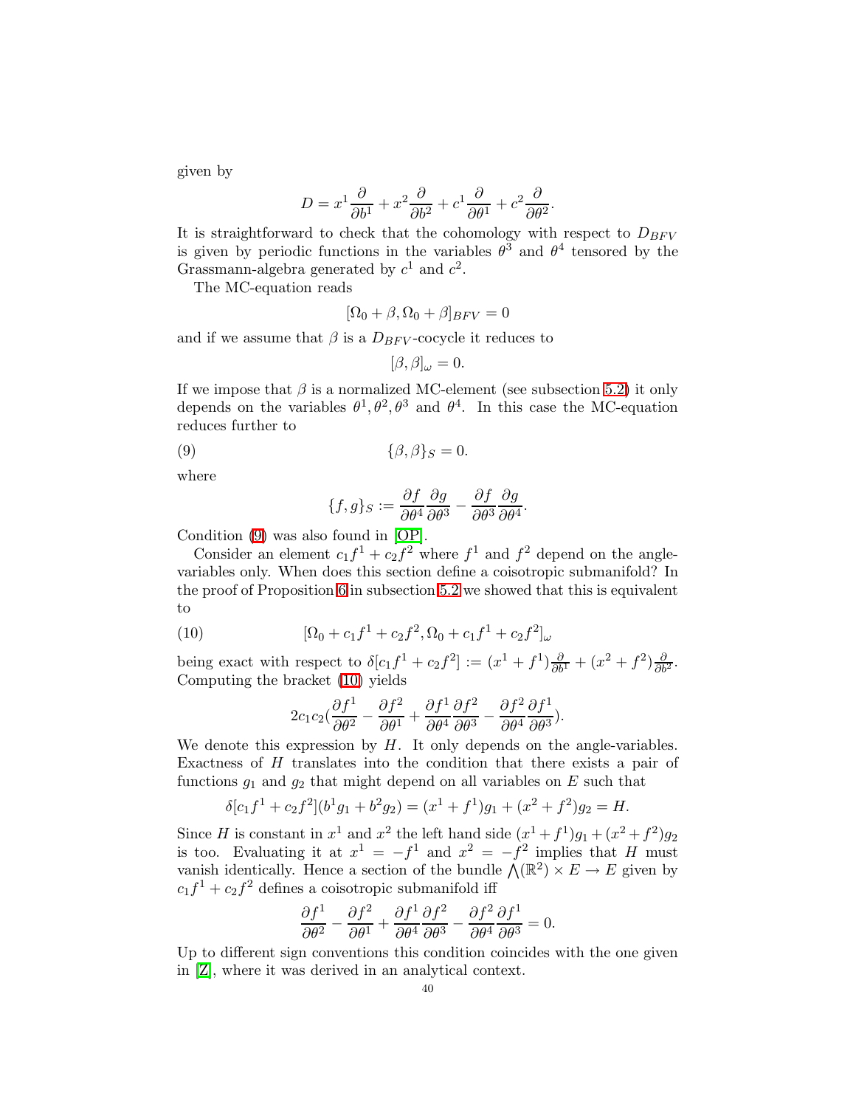given by

$$
D = x^{1} \frac{\partial}{\partial b^{1}} + x^{2} \frac{\partial}{\partial b^{2}} + c^{1} \frac{\partial}{\partial \theta^{1}} + c^{2} \frac{\partial}{\partial \theta^{2}}.
$$

It is straightforward to check that the cohomology with respect to  $D_{BFV}$ is given by periodic functions in the variables  $\theta^3$  and  $\theta^4$  tensored by the Grassmann-algebra generated by  $c^1$  and  $c^2$ .

The MC-equation reads

$$
[\Omega_0 + \beta, \Omega_0 + \beta]_{BFV} = 0
$$

and if we assume that  $\beta$  is a  $D_{BFV}$ -cocycle it reduces to

$$
[\beta,\beta]_{\omega}=0.
$$

<span id="page-39-0"></span>If we impose that  $\beta$  is a normalized MC-element (see subsection [5.2\)](#page-33-0) it only depends on the variables  $\theta^1, \theta^2, \theta^3$  and  $\theta^4$ . In this case the MC-equation reduces further to

$$
\{\beta,\beta\}_S = 0.
$$

where

$$
\{f,g\}_S := \frac{\partial f}{\partial \theta^4} \frac{\partial g}{\partial \theta^3} - \frac{\partial f}{\partial \theta^3} \frac{\partial g}{\partial \theta^4}.
$$

Condition [\(9\)](#page-39-0) was also found in [\[OP\]](#page-49-1).

Consider an element  $c_1 f^1 + c_2 f^2$  where  $f^1$  and  $f^2$  depend on the anglevariables only. When does this section define a coisotropic submanifold? In the proof of Proposition [6](#page-35-0) in subsection [5.2](#page-33-0) we showed that this is equivalent to

<span id="page-39-1"></span>(10) 
$$
[\Omega_0 + c_1 f^1 + c_2 f^2, \Omega_0 + c_1 f^1 + c_2 f^2]_{\omega}
$$

being exact with respect to  $\delta[c_1f^1+c_2f^2]:=(x^1+f^1)\frac{\partial}{\partial b^1}+(x^2+f^2)\frac{\partial}{\partial b^2}$ . Computing the bracket [\(10\)](#page-39-1) yields

$$
2c_1c_2\left(\frac{\partial f^1}{\partial \theta^2} - \frac{\partial f^2}{\partial \theta^1} + \frac{\partial f^1}{\partial \theta^4} \frac{\partial f^2}{\partial \theta^3} - \frac{\partial f^2}{\partial \theta^4} \frac{\partial f^1}{\partial \theta^3}\right).
$$

We denote this expression by  $H$ . It only depends on the angle-variables. Exactness of H translates into the condition that there exists a pair of functions  $g_1$  and  $g_2$  that might depend on all variables on E such that

$$
\delta[c_1f^1 + c_2f^2](b^1g_1 + b^2g_2) = (x^1 + f^1)g_1 + (x^2 + f^2)g_2 = H.
$$

Since H is constant in  $x^1$  and  $x^2$  the left hand side  $(x^1 + f^1)g_1 + (x^2 + f^2)g_2$ is too. Evaluating it at  $x^1 = -f^1$  and  $x^2 = -f^2$  implies that H must vanish identically. Hence a section of the bundle  $\Lambda(\mathbb{R}^2) \times E \to E$  given by  $c_1f^1 + c_2f^2$  defines a coisotropic submanifold iff

$$
\frac{\partial f^1}{\partial \theta^2} - \frac{\partial f^2}{\partial \theta^1} + \frac{\partial f^1}{\partial \theta^4} \frac{\partial f^2}{\partial \theta^3} - \frac{\partial f^2}{\partial \theta^4} \frac{\partial f^1}{\partial \theta^3} = 0.
$$

Up to different sign conventions this condition coincides with the one given in [\[Z\]](#page-50-2), where it was derived in an analytical context.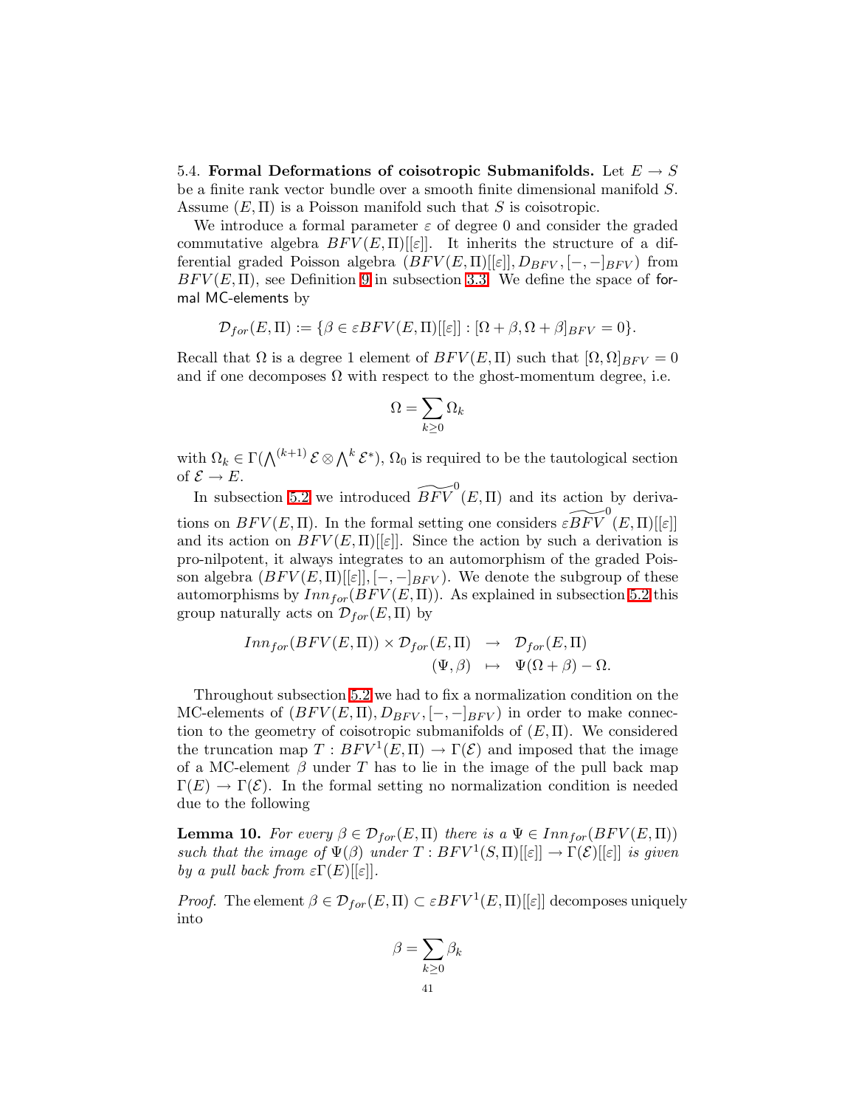<span id="page-40-0"></span>5.4. Formal Deformations of coisotropic Submanifolds. Let  $E \to S$ be a finite rank vector bundle over a smooth finite dimensional manifold S. Assume  $(E, \Pi)$  is a Poisson manifold such that S is coisotropic.

We introduce a formal parameter  $\varepsilon$  of degree 0 and consider the graded commutative algebra  $BFV(E,\Pi)[\epsilon]$ . It inherits the structure of a differential graded Poisson algebra  $(BFV(E,\Pi)[\epsilon]],D_{BFV}, [-,-]_{BFV})$  from  $BFV(E, \Pi)$ , see Definition [9](#page-21-1) in subsection [3.3.](#page-19-0) We define the space of formal MC-elements by

$$
\mathcal{D}_{for}(E,\Pi) := \{ \beta \in \varepsilon B F V(E,\Pi)[[\varepsilon]] : [\Omega + \beta, \Omega + \beta]_{BFV} = 0 \}.
$$

Recall that  $\Omega$  is a degree 1 element of  $BFV(E,\Pi)$  such that  $[\Omega,\Omega]_{BFV} = 0$ and if one decomposes  $\Omega$  with respect to the ghost-momentum degree, i.e.

$$
\Omega=\sum_{k\geq 0}\Omega_k
$$

with  $\Omega_k \in \Gamma(\bigwedge^{(k+1)} \mathcal{E} \otimes \bigwedge^k \mathcal{E}^*)$ ,  $\Omega_0$  is required to be the tautological section of  $\mathcal{E} \to E$ .

In subsection [5.2](#page-33-0) we introduced  $\widetilde{BFV}^0(E, \Pi)$  and its action by derivations on  $BFV(E, \Pi)$ . In the formal setting one considers  $\widetilde{cBFV}^0(E, \Pi)[[\varepsilon]]$ and its action on  $BFV(E,\Pi)[\epsilon]$ . Since the action by such a derivation is pro-nilpotent, it always integrates to an automorphism of the graded Poisson algebra  $(BFV(E,\Pi)[\epsilon], [-,-]_{BFV})$ . We denote the subgroup of these automorphisms by  $Inn_{for}(BFV(E,\Pi))$ . As explained in subsection [5.2](#page-33-0) this group naturally acts on  $\mathcal{D}_{for}(E,\Pi)$  by

$$
Inn_{for}(BFV(E,\Pi)) \times \mathcal{D}_{for}(E,\Pi) \rightarrow \mathcal{D}_{for}(E,\Pi)
$$
  

$$
(\Psi,\beta) \rightarrow \Psi(\Omega+\beta) - \Omega.
$$

Throughout subsection [5.2](#page-33-0) we had to fix a normalization condition on the MC-elements of  $(BFV(E,\Pi),D_{BFV},[-,-]_{BFV})$  in order to make connection to the geometry of coisotropic submanifolds of  $(E, \Pi)$ . We considered the truncation map  $T: BFV^1(E, \Pi) \to \Gamma(\mathcal{E})$  and imposed that the image of a MC-element  $\beta$  under T has to lie in the image of the pull back map  $\Gamma(E) \to \Gamma(\mathcal{E})$ . In the formal setting no normalization condition is needed due to the following

**Lemma 10.** For every  $\beta \in \mathcal{D}_{for}(E,\Pi)$  there is a  $\Psi \in Inn_{for}(BFV(E,\Pi))$ such that the image of  $\Psi(\beta)$  under  $T : BFV^1(S,\Pi)[[\varepsilon]] \to \Gamma(\mathcal{E})[[\varepsilon]]$  is given by a pull back from  $\epsilon \Gamma(E)$ [[ $\epsilon$ ].

*Proof.* The element  $\beta \in \mathcal{D}_{for}(E,\Pi) \subset \varepsilon BFV^{1}(E,\Pi)[[\varepsilon]]$  decomposes uniquely into

$$
\beta = \sum_{k \ge 0} \beta_k
$$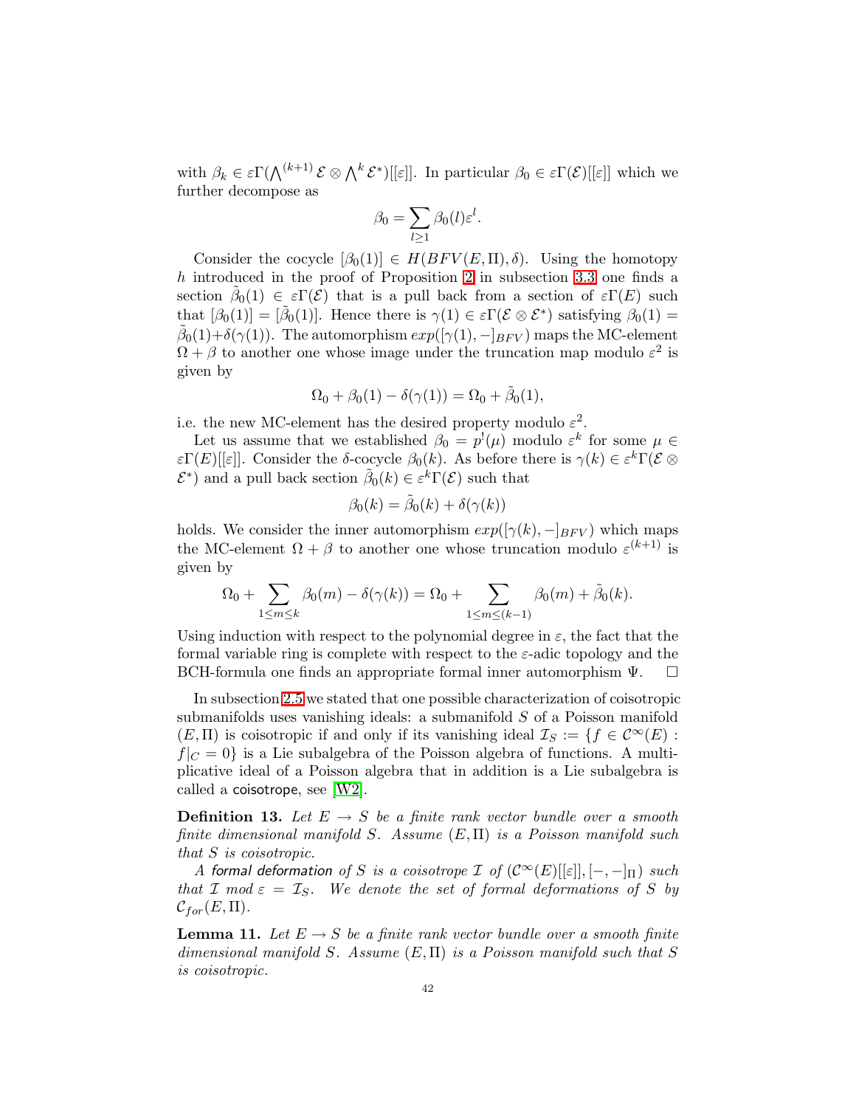with  $\beta_k \in \varepsilon \Gamma(\bigwedge^{(k+1)} \mathcal{E} \otimes \bigwedge^k \mathcal{E}^*)[[\varepsilon]]$ . In particular  $\beta_0 \in \varepsilon \Gamma(\mathcal{E})[[\varepsilon]]$  which we further decompose as

$$
\beta_0 = \sum_{l \ge 1} \beta_0(l) \varepsilon^l.
$$

Consider the cocycle  $[\beta_0(1)] \in H(BFV(E,\Pi),\delta)$ . Using the homotopy h introduced in the proof of Proposition [2](#page-19-1) in subsection [3.3](#page-19-0) one finds a section  $\tilde{\beta}_0(1) \in \varepsilon \Gamma(\mathcal{E})$  that is a pull back from a section of  $\varepsilon \Gamma(E)$  such that  $[\beta_0(1)] = [\tilde{\beta}_0(1)]$ . Hence there is  $\gamma(1) \in \varepsilon \Gamma(\mathcal{E} \otimes \mathcal{E}^*)$  satisfying  $\beta_0(1) =$  $\tilde{\beta}_0(1)+\delta(\gamma(1)).$  The automorphism  $exp([\gamma(1),-[_{BFV})$  maps the MC-element  $\Omega + \beta$  to another one whose image under the truncation map modulo  $\varepsilon^2$  is given by

$$
\Omega_0 + \beta_0(1) - \delta(\gamma(1)) = \Omega_0 + \tilde{\beta}_0(1),
$$

i.e. the new MC-element has the desired property modulo  $\varepsilon^2$ .

Let us assume that we established  $\beta_0 = p^!(\mu)$  modulo  $\varepsilon^k$  for some  $\mu \in$  $\epsilon \Gamma(E)[[\epsilon]]$ . Consider the δ-cocycle  $\beta_0(k)$ . As before there is  $\gamma(k) \in \epsilon^k \Gamma(\mathcal{E} \otimes$  $\mathcal{E}^*$ ) and a pull back section  $\tilde{\beta}_0(k) \in \varepsilon^k \Gamma(\mathcal{E})$  such that

$$
\beta_0(k) = \tilde{\beta}_0(k) + \delta(\gamma(k))
$$

holds. We consider the inner automorphism  $exp([\gamma(k), -]_{BFV})$  which maps the MC-element  $\Omega + \beta$  to another one whose truncation modulo  $\varepsilon^{(k+1)}$  is given by

$$
\Omega_0 + \sum_{1 \le m \le k} \beta_0(m) - \delta(\gamma(k)) = \Omega_0 + \sum_{1 \le m \le (k-1)} \beta_0(m) + \tilde{\beta}_0(k).
$$

Using induction with respect to the polynomial degree in  $\varepsilon$ , the fact that the formal variable ring is complete with respect to the  $\varepsilon$ -adic topology and the BCH-formula one finds an appropriate formal inner automorphism Ψ.

In subsection [2.5](#page-11-0) we stated that one possible characterization of coisotropic submanifolds uses vanishing ideals: a submanifold S of a Poisson manifold  $(E,\Pi)$  is coisotropic if and only if its vanishing ideal  $\mathcal{I}_S := \{f \in C^{\infty}(E) :$  $f|_C = 0$  is a Lie subalgebra of the Poisson algebra of functions. A multiplicative ideal of a Poisson algebra that in addition is a Lie subalgebra is called a coisotrope, see [\[W2\]](#page-50-0).

**Definition 13.** Let  $E \rightarrow S$  be a finite rank vector bundle over a smooth finite dimensional manifold S. Assume  $(E, \Pi)$  is a Poisson manifold such that S is coisotropic.

A formal deformation of S is a coisotrope I of  $(C^{\infty}(E)[[\varepsilon]], [-,-]_{\Pi})$  such that I mod  $\varepsilon = I_S$ . We denote the set of formal deformations of S by  $\mathcal{C}_{for}(E,\Pi).$ 

**Lemma 11.** Let  $E \to S$  be a finite rank vector bundle over a smooth finite dimensional manifold S. Assume  $(E, \Pi)$  is a Poisson manifold such that S is coisotropic.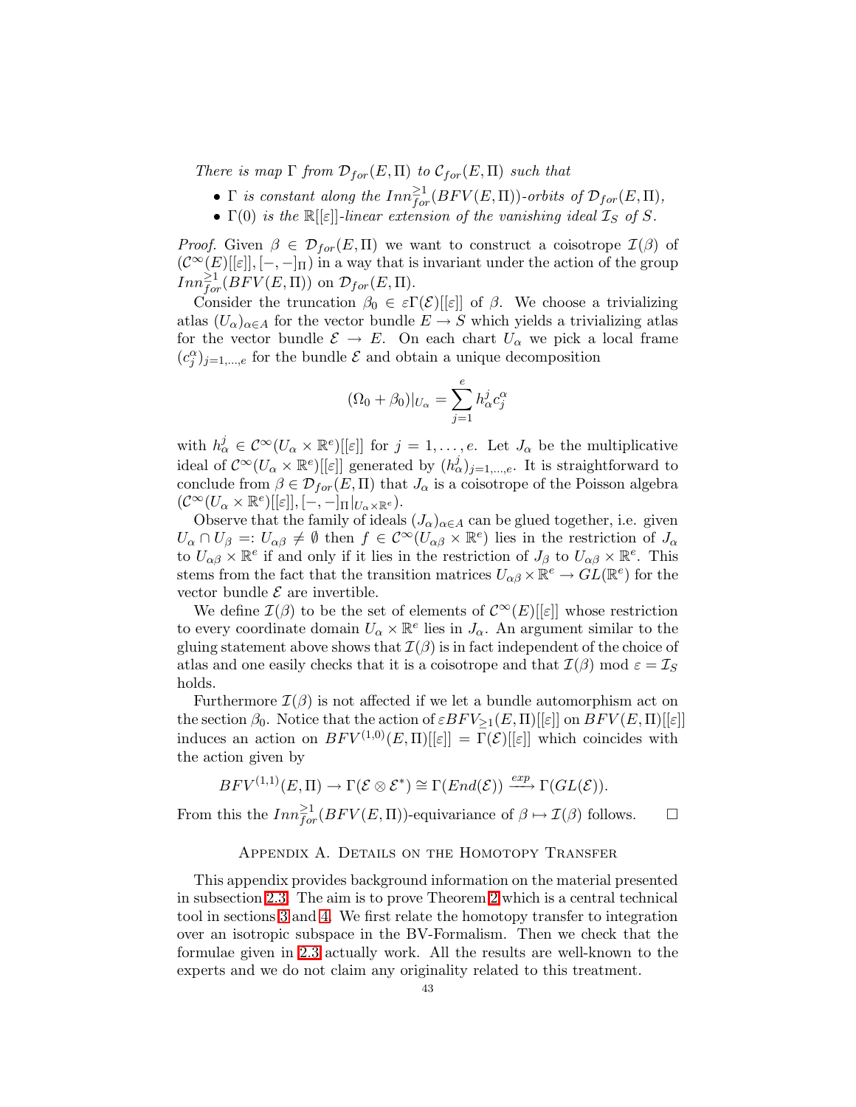There is map  $\Gamma$  from  $\mathcal{D}_{for}(E,\Pi)$  to  $\mathcal{C}_{for}(E,\Pi)$  such that

- $\Gamma$  is constant along the  $Inn_{for}^{\geq 1}(BFV(E,\Pi))$ -orbits of  $\mathcal{D}_{for}(E,\Pi)$ ,
- $\Gamma(0)$  is the  $\mathbb{R}[[\varepsilon]]$ -linear extension of the vanishing ideal  $\mathcal{I}_S$  of S.

*Proof.* Given  $\beta \in \mathcal{D}_{for}(E,\Pi)$  we want to construct a coisotrope  $\mathcal{I}(\beta)$  of  $(C^{\infty}(E)[[\varepsilon]], [-,-]_{\Pi})$  in a way that is invariant under the action of the group  $Inn_{for}^{\geq 1}(BFV(E,\Pi))$  on  $\mathcal{D}_{for}(E,\Pi)$ .

Consider the truncation  $\beta_0 \in \varepsilon \Gamma(\mathcal{E})[[\varepsilon]]$  of  $\beta$ . We choose a trivializing atlas  $(U_{\alpha})_{\alpha \in A}$  for the vector bundle  $E \to S$  which yields a trivializing atlas for the vector bundle  $\mathcal{E} \to E$ . On each chart  $U_{\alpha}$  we pick a local frame  $(c_j^{\alpha})_{j=1,\dots,e}$  for the bundle  $\mathcal E$  and obtain a unique decomposition

$$
(\Omega_0 + \beta_0)|_{U_{\alpha}} = \sum_{j=1}^{e} h_{\alpha}^j c_j^{\alpha}
$$

with  $h^j_\alpha \in C^\infty(U_\alpha \times \mathbb{R}^e)[[\varepsilon]]$  for  $j = 1, \ldots, e$ . Let  $J_\alpha$  be the multiplicative ideal of  $\mathcal{C}^{\infty}(U_{\alpha}\times\mathbb{R}^e)[[\varepsilon]]$  generated by  $(h_{\alpha}^j)_{j=1,\dots,e}$ . It is straightforward to conclude from  $\beta \in \mathcal{D}_{for}(E,\Pi)$  that  $J_{\alpha}$  is a coisotrope of the Poisson algebra  $(\mathcal{C}^{\infty}(U_{\alpha}\times\mathbb{R}^e)[[\varepsilon]],[-,-]_{\Pi}|_{U_{\alpha}\times\mathbb{R}^e}).$ 

Observe that the family of ideals  $(J_\alpha)_{\alpha \in A}$  can be glued together, i.e. given  $U_{\alpha} \cap U_{\beta} =: U_{\alpha\beta} \neq \emptyset$  then  $f \in C^{\infty}(U_{\alpha\beta} \times \mathbb{R}^e)$  lies in the restriction of  $J_{\alpha}$ to  $U_{\alpha\beta}\times\mathbb{R}^e$  if and only if it lies in the restriction of  $J_\beta$  to  $U_{\alpha\beta}\times\mathbb{R}^e$ . This stems from the fact that the transition matrices  $U_{\alpha\beta} \times \mathbb{R}^e \to GL(\mathbb{R}^e)$  for the vector bundle  $\mathcal E$  are invertible.

We define  $\mathcal{I}(\beta)$  to be the set of elements of  $\mathcal{C}^{\infty}(E)[[\varepsilon]]$  whose restriction to every coordinate domain  $U_{\alpha} \times \mathbb{R}^e$  lies in  $J_{\alpha}$ . An argument similar to the gluing statement above shows that  $\mathcal{I}(\beta)$  is in fact independent of the choice of atlas and one easily checks that it is a coisotrope and that  $\mathcal{I}(\beta)$  mod  $\varepsilon = \mathcal{I}_S$ holds.

Furthermore  $\mathcal{I}(\beta)$  is not affected if we let a bundle automorphism act on the section  $\beta_0$ . Notice that the action of  $\varepsilon BFV_{\geq 1}(E, \Pi)[[\varepsilon]]$  on  $BFV(E, \Pi)[[\varepsilon]]$ induces an action on  $BFV^{(1,0)}(E,\Pi)[\epsilon]] = \Gamma(\mathcal{E})[\epsilon]]$  which coincides with the action given by

$$
BFV^{(1,1)}(E,\Pi) \to \Gamma(\mathcal{E} \otimes \mathcal{E}^*) \cong \Gamma(End(\mathcal{E})) \xrightarrow{exp} \Gamma(GL(\mathcal{E})).
$$

<span id="page-42-0"></span>From this the  $Inn_{for}^{\geq 1}(BFV(E,\Pi))$ -equivariance of  $\beta \mapsto \mathcal{I}(\beta)$  follows.  $\Box$ 

# APPENDIX A. DETAILS ON THE HOMOTOPY TRANSFER

This appendix provides background information on the material presented in subsection [2.3.](#page-6-0) The aim is to prove Theorem [2](#page-7-0) which is a central technical tool in sections [3](#page-14-0) and [4.](#page-22-0) We first relate the homotopy transfer to integration over an isotropic subspace in the BV-Formalism. Then we check that the formulae given in [2.3](#page-6-0) actually work. All the results are well-known to the experts and we do not claim any originality related to this treatment.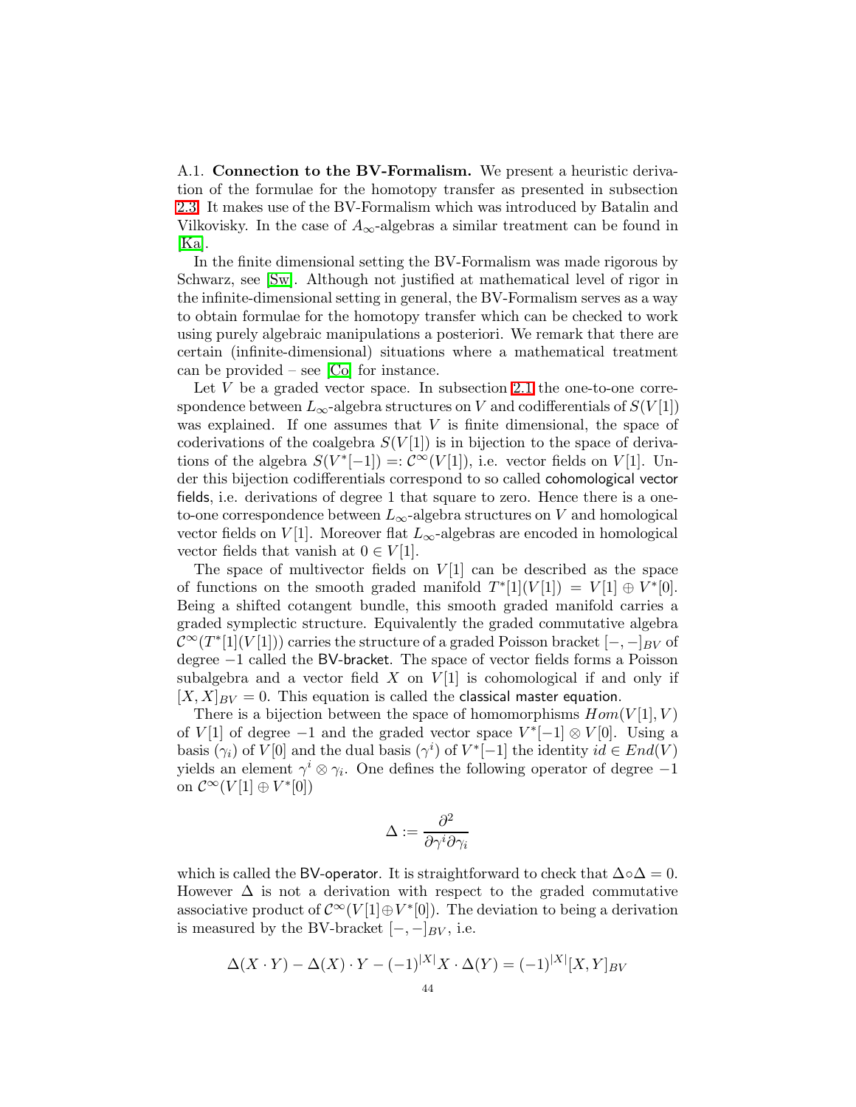<span id="page-43-0"></span>A.1. Connection to the BV-Formalism. We present a heuristic derivation of the formulae for the homotopy transfer as presented in subsection [2.3.](#page-6-0) It makes use of the BV-Formalism which was introduced by Batalin and Vilkovisky. In the case of  $A_{\infty}$ -algebras a similar treatment can be found in [\[Ka\]](#page-49-17).

In the finite dimensional setting the BV-Formalism was made rigorous by Schwarz, see [\[Sw\]](#page-49-18). Although not justified at mathematical level of rigor in the infinite-dimensional setting in general, the BV-Formalism serves as a way to obtain formulae for the homotopy transfer which can be checked to work using purely algebraic manipulations a posteriori. We remark that there are certain (infinite-dimensional) situations where a mathematical treatment can be provided – see [\[Co\]](#page-49-19) for instance.

Let  $V$  be a graded vector space. In subsection [2.1](#page-2-1) the one-to-one correspondence between  $L_{\infty}$ -algebra structures on V and codifferentials of  $S(V[1])$ was explained. If one assumes that  $V$  is finite dimensional, the space of coderivations of the coalgebra  $S(V[1])$  is in bijection to the space of derivations of the algebra  $S(V^*[-1]) =: \mathcal{C}^{\infty}(V[1]),$  i.e. vector fields on  $V[1].$  Under this bijection codifferentials correspond to so called cohomological vector fields, i.e. derivations of degree 1 that square to zero. Hence there is a oneto-one correspondence between  $L_{\infty}$ -algebra structures on V and homological vector fields on V[1]. Moreover flat  $L_{\infty}$ -algebras are encoded in homological vector fields that vanish at  $0 \in V[1]$ .

The space of multivector fields on  $V[1]$  can be described as the space of functions on the smooth graded manifold  $T^*[1](V[1]) = V[1] \oplus V^*[0]$ . Being a shifted cotangent bundle, this smooth graded manifold carries a graded symplectic structure. Equivalently the graded commutative algebra  $\mathcal{C}^{\infty}(T^{*}[1](V[1]))$  carries the structure of a graded Poisson bracket  $[-,-]_{BV}$  of degree −1 called the BV-bracket. The space of vector fields forms a Poisson subalgebra and a vector field X on  $V[1]$  is cohomological if and only if  $[X, X]_{BV} = 0$ . This equation is called the classical master equation.

There is a bijection between the space of homomorphisms  $Hom(V[1], V)$ of  $V[1]$  of degree  $-1$  and the graded vector space  $V^*[-1] \otimes V[0]$ . Using a basis  $(\gamma_i)$  of  $V[0]$  and the dual basis  $(\gamma^i)$  of  $V^*[-1]$  the identity  $id \in End(V)$ yields an element  $\gamma^i \otimes \gamma_i$ . One defines the following operator of degree -1 on  $\mathcal{C}^{\infty}(V[1] \oplus V^*[0])$ 

$$
\Delta:=\frac{\partial^2}{\partial \gamma^i \partial \gamma_i}
$$

which is called the BV-operator. It is straightforward to check that  $\Delta ∘ \Delta = 0$ . However  $\Delta$  is not a derivation with respect to the graded commutative associative product of  $\mathcal{C}^{\infty}(V[1]\oplus V^*[0])$ . The deviation to being a derivation is measured by the BV-bracket  $[-,-]_{BV}$ , i.e.

$$
\Delta(X \cdot Y) - \Delta(X) \cdot Y - (-1)^{|X|} X \cdot \Delta(Y) = (-1)^{|X|} [X, Y]_{BV}
$$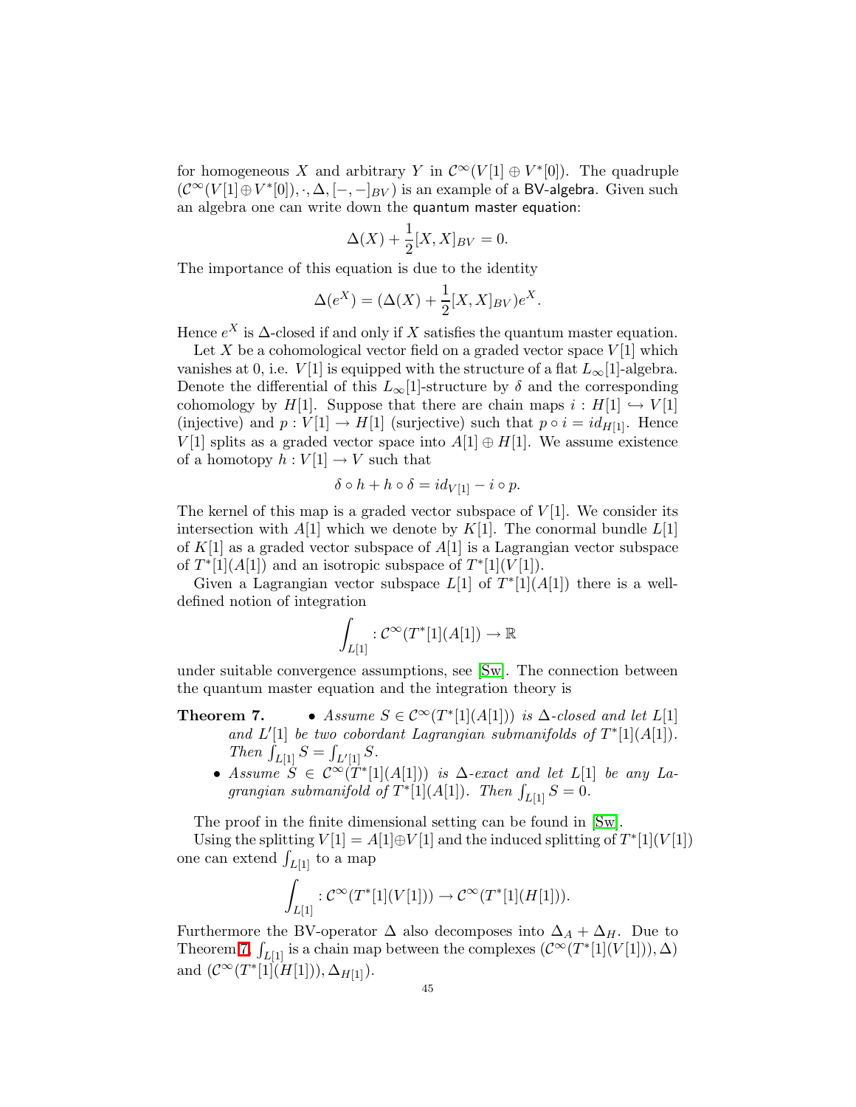for homogeneous X and arbitrary Y in  $\mathcal{C}^{\infty}(V[1] \oplus V^*[0])$ . The quadruple  $(\mathcal{C}^{\infty}(V[1] \oplus V^*[0]), \cdot, \Delta, [-, -]_{BV})$  is an example of a BV-algebra. Given such an algebra one can write down the quantum master equation:

$$
\Delta(X) + \frac{1}{2}[X,X]_{BV} = 0.
$$

The importance of this equation is due to the identity

$$
\Delta(e^X) = (\Delta(X) + \frac{1}{2}[X,X]_{BV})e^X.
$$

Hence  $e^X$  is  $\Delta$ -closed if and only if X satisfies the quantum master equation.

Let  $X$  be a cohomological vector field on a graded vector space  $V[1]$  which vanishes at 0, i.e.  $V[1]$  is equipped with the structure of a flat  $L_{\infty}[1]$ -algebra. Denote the differential of this  $L_{\infty}[1]$ -structure by  $\delta$  and the corresponding cohomology by H[1]. Suppose that there are chain maps  $i : H[1] \hookrightarrow V[1]$ (injective) and  $p: V[1] \to H[1]$  (surjective) such that  $p \circ i = id_{H[1]}$ . Hence V[1] splits as a graded vector space into  $A[1] \oplus H[1]$ . We assume existence of a homotopy  $h: V[1] \to V$  such that

$$
\delta \circ h + h \circ \delta = id_{V[1]} - i \circ p.
$$

The kernel of this map is a graded vector subspace of  $V[1]$ . We consider its intersection with  $A[1]$  which we denote by  $K[1]$ . The conormal bundle  $L[1]$ of  $K[1]$  as a graded vector subspace of  $A[1]$  is a Lagrangian vector subspace of  $T^*[1](A[1])$  and an isotropic subspace of  $T^*[1](V[1])$ .

Given a Lagrangian vector subspace  $L[1]$  of  $T^*[1](A[1])$  there is a welldefined notion of integration

$$
\int_{L[1]} : \mathcal{C}^{\infty}(T^*[1](A[1]) \to \mathbb{R}
$$

<span id="page-44-0"></span>under suitable convergence assumptions, see [\[Sw\]](#page-49-18). The connection between the quantum master equation and the integration theory is

- **Theorem 7.** Assume  $S \in C^{\infty}(T^*[1](A[1]))$  is  $\Delta$ -closed and let  $L[1]$ and  $L'[1]$  be two cobordant Lagrangian submanifolds of  $T^*[1](A[1])$ . Then  $\int_{L[1]} S = \int_{L'[1]} S$ .
	- Assume  $\dot{S} \in C^{\infty}(\dot{T}^{*}[1](A[1]))$  is  $\Delta$ -exact and let  $L[1]$  be any Lagrangian submanifold of  $T^*[1](A[1])$ . Then  $\int_{L[1]} S = 0$ .

The proof in the finite dimensional setting can be found in [\[Sw\]](#page-49-18).

Using the splitting  $V[1] = A[1] \oplus V[1]$  and the induced splitting of  $T^*[1](V[1])$ one can extend  $\int_{L[1]}$  to a map

$$
\int_{L[1]} : \mathcal{C}^{\infty}(T^{*}[1](V[1])) \to \mathcal{C}^{\infty}(T^{*}[1](H[1])).
$$

Furthermore the BV-operator  $\Delta$  also decomposes into  $\Delta_A + \Delta_H$ . Due to Theorem [7,](#page-44-0)  $\int_{L[1]}$  is a chain map between the complexes  $(\mathcal{C}^{\infty}(T^*[1](V[1])), \Delta)$ and  $(C^{\infty}(T^{*}[1](H[1])), \Delta_{H[1]}).$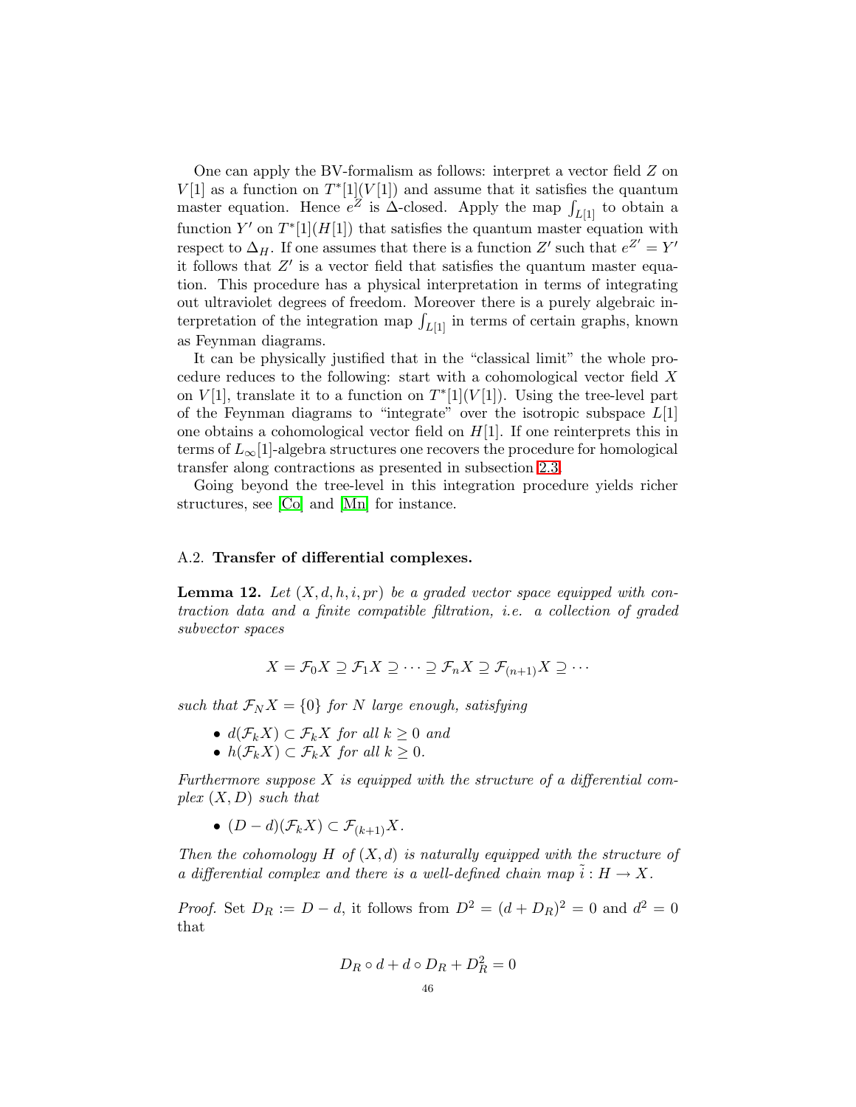One can apply the BV-formalism as follows: interpret a vector field Z on  $V[1]$  as a function on  $T^*[1](V[1])$  and assume that it satisfies the quantum master equation. Hence  $e^Z$  is  $\Delta$ -closed. Apply the map  $\int_{L[1]}$  to obtain a function Y' on  $T^*[1](H[1])$  that satisfies the quantum master equation with respect to  $\Delta_H$ . If one assumes that there is a function Z' such that  $e^{Z'} = Y'$ it follows that  $Z'$  is a vector field that satisfies the quantum master equation. This procedure has a physical interpretation in terms of integrating out ultraviolet degrees of freedom. Moreover there is a purely algebraic interpretation of the integration map  $\int_{L[1]}$  in terms of certain graphs, known as Feynman diagrams.

It can be physically justified that in the "classical limit" the whole procedure reduces to the following: start with a cohomological vector field X on  $V[1]$ , translate it to a function on  $T^*[1](V[1])$ . Using the tree-level part of the Feynman diagrams to "integrate" over the isotropic subspace  $L[1]$ one obtains a cohomological vector field on  $H[1]$ . If one reinterprets this in terms of  $L_{\infty}[1]$ -algebra structures one recovers the procedure for homological transfer along contractions as presented in subsection [2.3.](#page-6-0)

Going beyond the tree-level in this integration procedure yields richer structures, see [\[Co\]](#page-49-19) and [\[Mn\]](#page-49-20) for instance.

### <span id="page-45-0"></span>A.2. Transfer of differential complexes.

**Lemma 12.** Let  $(X, d, h, i, pr)$  be a graded vector space equipped with contraction data and a finite compatible filtration, i.e. a collection of graded subvector spaces

$$
X = \mathcal{F}_0 X \supseteq \mathcal{F}_1 X \supseteq \cdots \supseteq \mathcal{F}_n X \supseteq \mathcal{F}_{(n+1)} X \supseteq \cdots
$$

such that  $\mathcal{F}_N X = \{0\}$  for N large enough, satisfying

- $d(\mathcal{F}_k X) \subset \mathcal{F}_k X$  for all  $k \geq 0$  and
- $h(\mathcal{F}_k X) \subset \mathcal{F}_k X$  for all  $k \geq 0$ .

Furthermore suppose  $X$  is equipped with the structure of a differential complex  $(X, D)$  such that

•  $(D-d)(\mathcal{F}_k X) \subset \mathcal{F}_{(k+1)} X$ .

Then the cohomology  $H$  of  $(X,d)$  is naturally equipped with the structure of a differential complex and there is a well-defined chain map  $\tilde{i}: H \to X$ .

*Proof.* Set  $D_R := D - d$ , it follows from  $D^2 = (d + D_R)^2 = 0$  and  $d^2 = 0$ that

$$
D_R \circ d + d \circ D_R + D_R^2 = 0
$$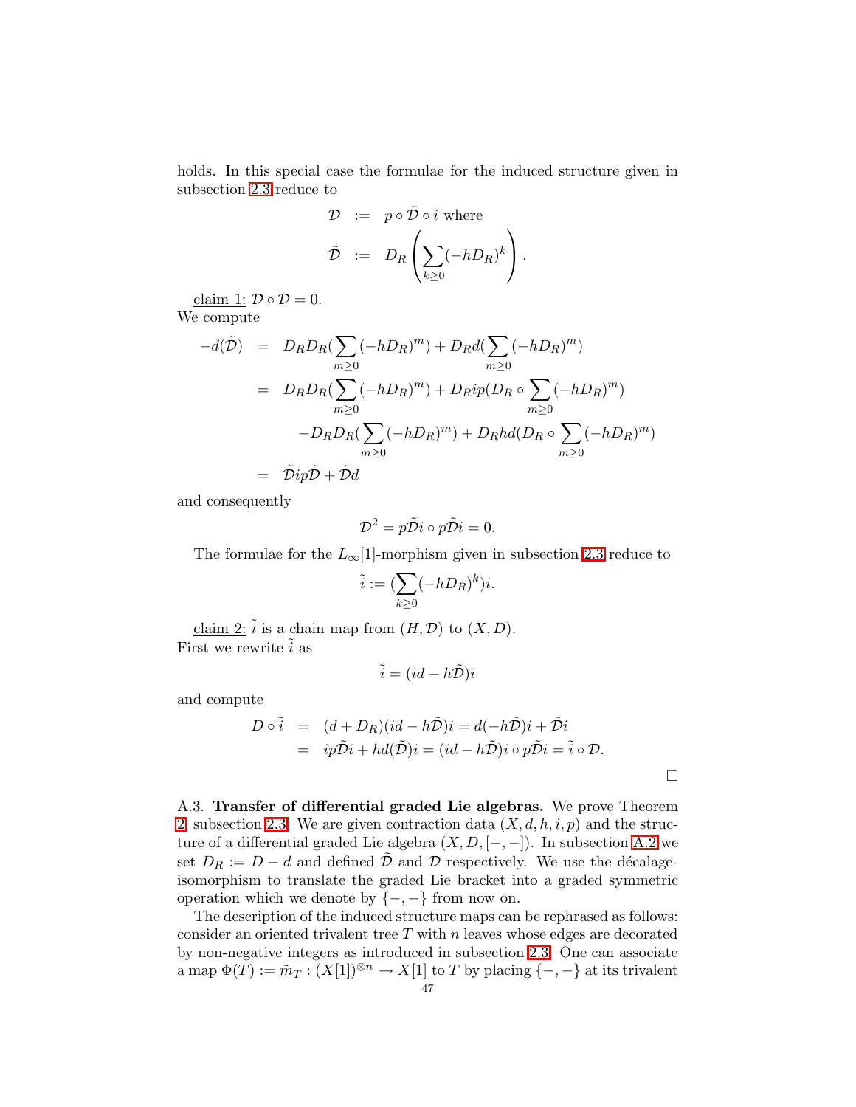holds. In this special case the formulae for the induced structure given in subsection [2.3](#page-6-0) reduce to

$$
\mathcal{D} := p \circ \tilde{\mathcal{D}} \circ i \text{ where}
$$
  

$$
\tilde{\mathcal{D}} := D_R \left( \sum_{k \geq 0} (-hD_R)^k \right).
$$

claim 1:  $\mathcal{D} \circ \mathcal{D} = 0$ . We compute

$$
-d(\tilde{\mathcal{D}}) = D_R D_R (\sum_{m\geq 0} (-hD_R)^m) + D_R d(\sum_{m\geq 0} (-hD_R)^m)
$$
  

$$
= D_R D_R (\sum_{m\geq 0} (-hD_R)^m) + D_R i p(D_R \circ \sum_{m\geq 0} (-hD_R)^m)
$$
  

$$
-D_R D_R (\sum_{m\geq 0} (-hD_R)^m) + D_R hd(D_R \circ \sum_{m\geq 0} (-hD_R)^m)
$$
  

$$
= \tilde{\mathcal{D}} i p \tilde{\mathcal{D}} + \tilde{\mathcal{D}} d
$$

and consequently

$$
\mathcal{D}^2 = p\tilde{\mathcal{D}}i \circ p\tilde{\mathcal{D}}i = 0.
$$

The formulae for the  $L_{\infty}[1]$ -morphism given in subsection [2.3](#page-6-0) reduce to

$$
\tilde{i} := (\sum_{k \geq 0} (-h D_R)^k)i.
$$

claim 2:  $\tilde{i}$  is a chain map from  $(H, \mathcal{D})$  to  $(X, D)$ . First we rewrite  $\tilde{i}$  as

$$
\tilde{i} = (id - h\tilde{\mathcal{D}})i
$$

and compute

$$
D \circ \tilde{i} = (d + D_R)(id - h\tilde{D})i = d(-h\tilde{D})i + \tilde{D}i
$$
  
=  $ip\tilde{D}i + hd(\tilde{D})i = (id - h\tilde{D})i \circ p\tilde{D}i = \tilde{i} \circ D.$ 

<span id="page-46-0"></span>A.3. Transfer of differential graded Lie algebras. We prove Theorem [2,](#page-7-0) subsection [2.3:](#page-6-0) We are given contraction data  $(X, d, h, i, p)$  and the structure of a differential graded Lie algebra  $(X, D, [-, -])$ . In subsection [A.2](#page-45-0) we set  $D_R := D - d$  and defined  $\tilde{\mathcal{D}}$  and  $\mathcal{D}$  respectively. We use the décalageisomorphism to translate the graded Lie bracket into a graded symmetric operation which we denote by  $\{-,-\}$  from now on.

The description of the induced structure maps can be rephrased as follows: consider an oriented trivalent tree  $T$  with  $n$  leaves whose edges are decorated by non-negative integers as introduced in subsection [2.3.](#page-6-0) One can associate a map  $\Phi(T) := \tilde{m}_T : (X[1])^{\otimes n} \to X[1]$  to T by placing  $\{-, -\}$  at its trivalent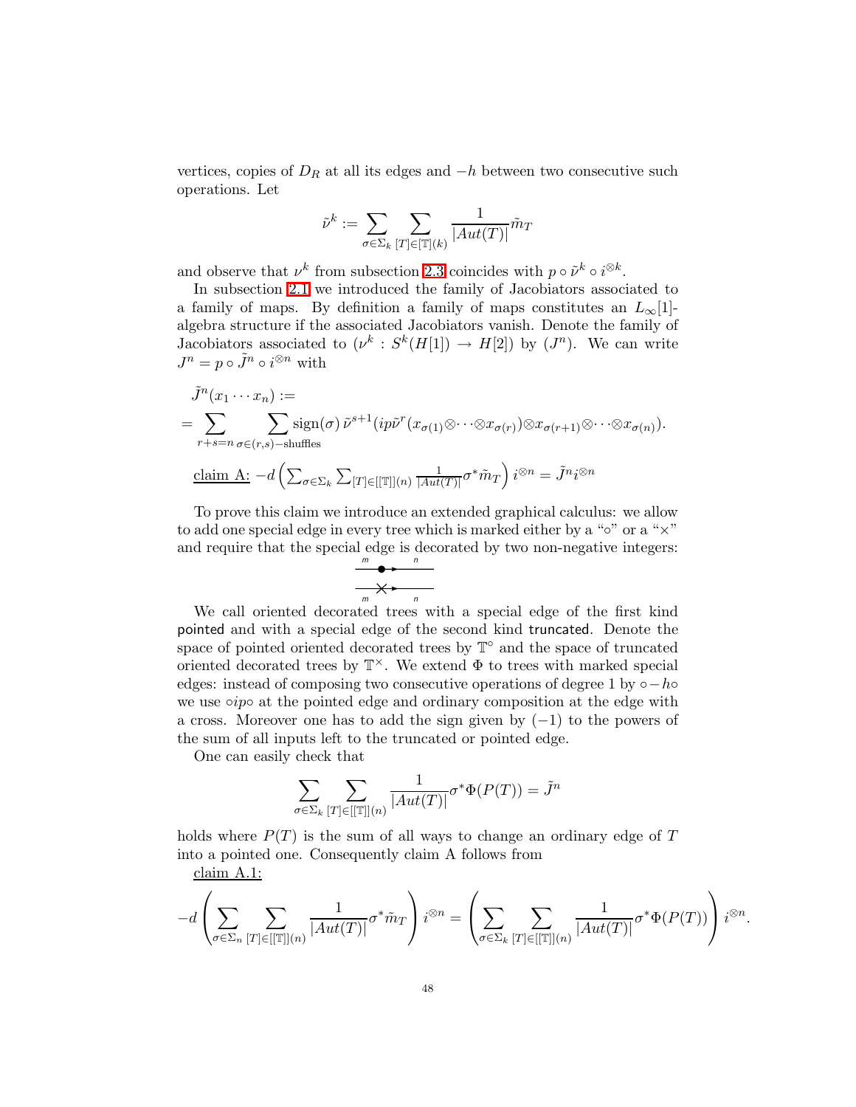vertices, copies of  $D_R$  at all its edges and  $-h$  between two consecutive such operations. Let

$$
\tilde{\nu}^k := \sum_{\sigma \in \Sigma_k} \sum_{[T] \in [\mathbb{T}](k)} \frac{1}{|Aut(T)|} \tilde{m}_T
$$

and observe that  $\nu^k$  from subsection [2.3](#page-6-0) coincides with  $p \circ \tilde{\nu}^k \circ i^{\otimes k}$ .

In subsection [2.1](#page-2-1) we introduced the family of Jacobiators associated to a family of maps. By definition a family of maps constitutes an  $L_{\infty}[1]$ algebra structure if the associated Jacobiators vanish. Denote the family of Jacobiators associated to  $(\nu^k : S^k(H[1]) \to H[2])$  by  $(J^n)$ . We can write  $J^n = p \circ \tilde{J}^n \circ i^{\otimes n}$  with

$$
\tilde{J}^{n}(x_{1} \cdots x_{n}) :=
$$
\n
$$
= \sum_{r+s=n} \sum_{\sigma \in (r,s)-\text{shuffles}} \text{sign}(\sigma) \, \tilde{\nu}^{s+1}(ip\tilde{\nu}^{r}(x_{\sigma(1)} \otimes \cdots \otimes x_{\sigma(r)}) \otimes x_{\sigma(r+1)} \otimes \cdots \otimes x_{\sigma(n)}).
$$
\n
$$
\underline{\text{claim A:}} -d\left(\sum_{\sigma \in \Sigma_{k}} \sum_{[T] \in [[\mathbb{T}]](n)} \frac{1}{|Aut(T)|} \sigma^{*} \tilde{m}_{T}\right) i^{\otimes n} = \tilde{J}^{n} i^{\otimes n}
$$

To prove this claim we introduce an extended graphical calculus: we allow to add one special edge in every tree which is marked either by a " $\circ$ " or a " $\times$ " and require that the special edge is decorated by two non-negative integers:



We call oriented decorated trees with a special edge of the first kind pointed and with a special edge of the second kind truncated. Denote the space of pointed oriented decorated trees by  $\mathbb{T}^{\circ}$  and the space of truncated oriented decorated trees by  $\mathbb{T}^{\times}$ . We extend  $\Phi$  to trees with marked special edges: instead of composing two consecutive operations of degree 1 by  $\circ -h \circ$ we use  $\circ i\mathfrak{p} \circ$  at the pointed edge and ordinary composition at the edge with a cross. Moreover one has to add the sign given by  $(-1)$  to the powers of the sum of all inputs left to the truncated or pointed edge.

One can easily check that

$$
\sum_{\sigma \in \Sigma_k} \sum_{[T] \in [[\mathbb{T}]](n)} \frac{1}{|Aut(T)|} \sigma^* \Phi(P(T)) = \tilde{J}^n
$$

holds where  $P(T)$  is the sum of all ways to change an ordinary edge of T into a pointed one. Consequently claim A follows from

claim A.1:

$$
-d\left(\sum_{\sigma\in\Sigma_n}\sum_{[T]\in[[\mathbb{T}]](n)}\frac{1}{|Aut(T)|}\sigma^*\tilde{m}_T\right)i^{\otimes n}=\left(\sum_{\sigma\in\Sigma_k}\sum_{[T]\in[[\mathbb{T}]](n)}\frac{1}{|Aut(T)|}\sigma^*\Phi(P(T))\right)i^{\otimes n}.
$$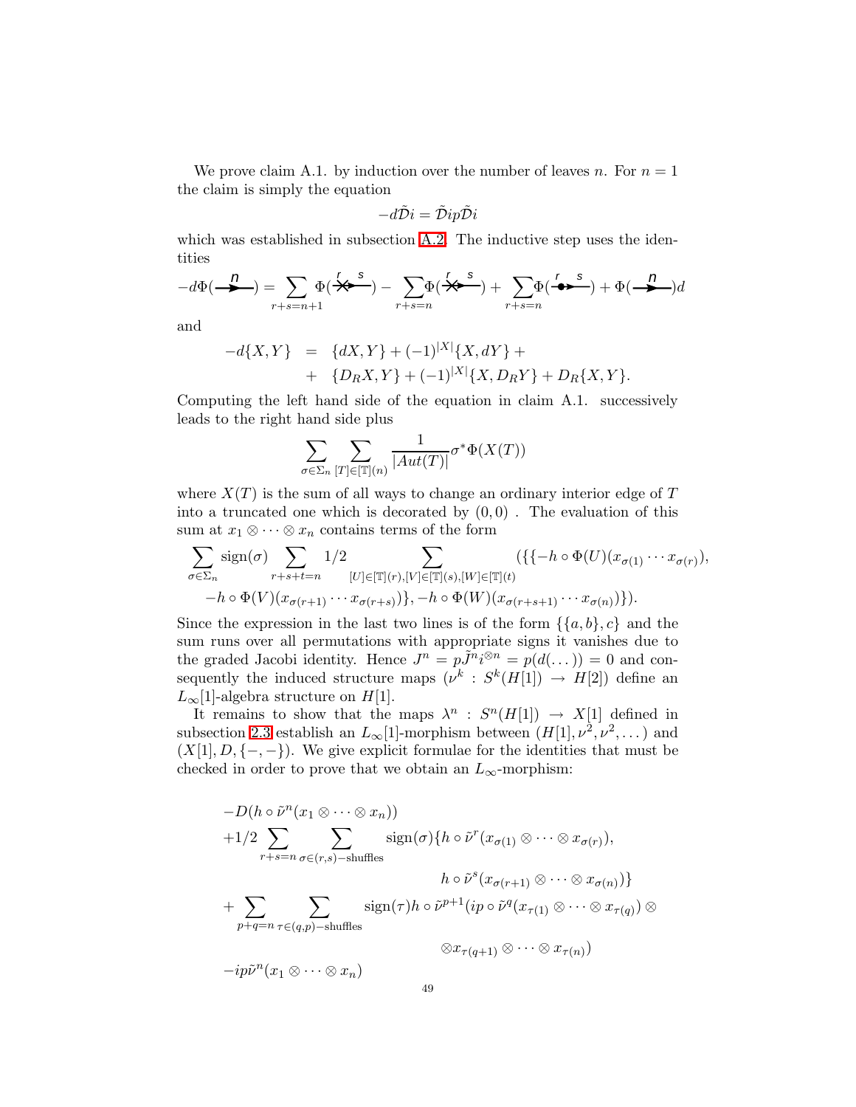We prove claim A.1. by induction over the number of leaves n. For  $n = 1$ the claim is simply the equation

$$
-d\tilde{\mathcal{D}}i = \tilde{\mathcal{D}}ip\tilde{\mathcal{D}}i
$$

which was established in subsection [A.2.](#page-45-0) The inductive step uses the identities

$$
-d\Phi\left(\frac{n}{\lambda}\right) = \sum_{r+s=n+1} \Phi\left(\frac{r}{\lambda}\right)^s - \sum_{r+s=n} \Phi\left(\frac{r}{\lambda}\right)^s + \sum_{r+s=n} \Phi\left(\frac{r}{\lambda}\right)^s + \Phi\left(\frac{n}{\lambda}\right)^s d\lambda
$$

and

$$
-d\{X,Y\} = \{dX,Y\} + (-1)^{|X|}\{X,dY\} ++ \{D_RX,Y\} + (-1)^{|X|}\{X,D_RY\} + D_R\{X,Y\}.
$$

Computing the left hand side of the equation in claim A.1. successively leads to the right hand side plus

$$
\sum_{\sigma \in \Sigma_n} \sum_{[T] \in [\mathbb{T}](n)} \frac{1}{|Aut(T)|} \sigma^* \Phi(X(T))
$$

where  $X(T)$  is the sum of all ways to change an ordinary interior edge of T into a truncated one which is decorated by  $(0, 0)$ . The evaluation of this sum at  $x_1 \otimes \cdots \otimes x_n$  contains terms of the form

$$
\sum_{\sigma \in \Sigma_n} \operatorname{sign}(\sigma) \sum_{r+s+t=n} 1/2 \sum_{[U] \in [\mathbb{T}](r), [V] \in [\mathbb{T}](s), [W] \in [\mathbb{T}](t)} (\{\{-h \circ \Phi(U)(x_{\sigma(1)} \cdots x_{\sigma(r)}),\ x_{\sigma(r+1)} \cdots x_{\sigma(r+s)}\},\{-h \circ \Phi(W)(x_{\sigma(r+s+1)} \cdots x_{\sigma(n)})\}).
$$

Since the expression in the last two lines is of the form  $\{\{a,b\},c\}$  and the sum runs over all permutations with appropriate signs it vanishes due to the graded Jacobi identity. Hence  $J^n = p\tilde{J}^n i^{\otimes n} = p(d(\dots)) = 0$  and consequently the induced structure maps  $(\nu^k : S^k(H[1]) \to H[2])$  define an  $L_{\infty}[1]$ -algebra structure on  $H[1]$ .

It remains to show that the maps  $\lambda^n : S^n(H[1]) \to X[1]$  defined in subsection [2.3](#page-6-0) establish an  $L_{\infty}[1]$ -morphism between  $(H[1], \nu^2, \nu^2, \dots)$  and  $(X[1], D, \{-,-\})$ . We give explicit formulae for the identities that must be checked in order to prove that we obtain an  $L_{\infty}$ -morphism:

$$
-D(h \circ \tilde{\nu}^n(x_1 \otimes \cdots \otimes x_n))
$$
  
+1/2  $\sum_{r+s=n} \sum_{\sigma \in (r,s)-\text{shuffles}} \text{sign}(\sigma) \{h \circ \tilde{\nu}^r(x_{\sigma(1)} \otimes \cdots \otimes x_{\sigma(r)}),$   

$$
h \circ \tilde{\nu}^s(x_{\sigma(r+1)} \otimes \cdots \otimes x_{\sigma(n)})\}
$$
  
+ $\sum_{p+q=n} \sum_{\tau \in (q,p)-\text{shuffles}} \text{sign}(\tau)h \circ \tilde{\nu}^{p+1}(ip \circ \tilde{\nu}^q(x_{\tau(1)} \otimes \cdots \otimes x_{\tau(q)}) \otimes$   

$$
\otimes x_{\tau(q+1)} \otimes \cdots \otimes x_{\tau(n)})
$$
  
-ip $\tilde{\nu}^n(x_1 \otimes \cdots \otimes x_n)$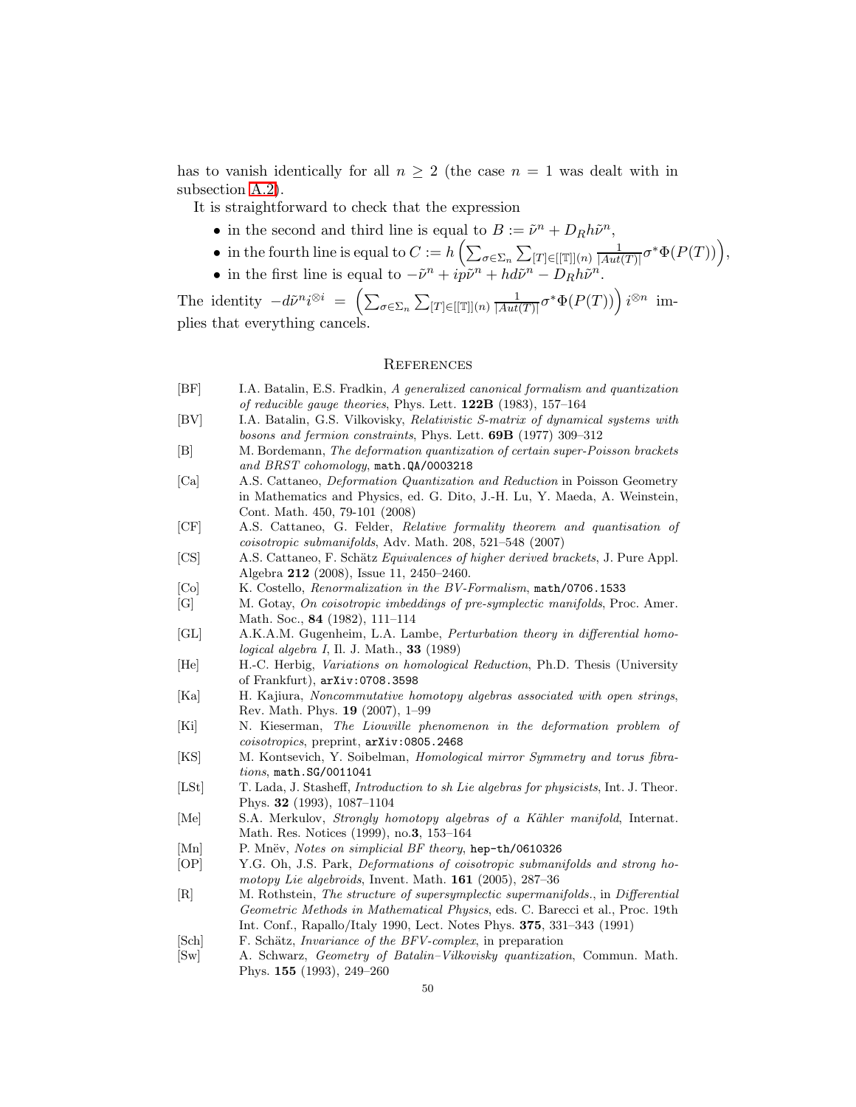has to vanish identically for all  $n \geq 2$  (the case  $n = 1$  was dealt with in subsection [A.2\)](#page-45-0).

It is straightforward to check that the expression

- in the second and third line is equal to  $B := \tilde{\nu}^n + D_R h \tilde{\nu}^n$ ,
- in the fourth line is equal to  $C := h\left(\sum_{\sigma \in \Sigma_n} \sum_{[T] \in [[\mathbb{T}]](n)} \frac{1}{|Aut} \right)$  $\frac{1}{|Aut(T)|}\sigma^*\Phi(P(T)))$ ,
- in the first line is equal to  $-\tilde{\nu}^n + i\tilde{p}\tilde{\nu}^n + hd\tilde{\nu}^n D_Rh\tilde{\nu}^n$ .

The identity  $-d\tilde{\nu}^n i^{\otimes i} = \left( \sum_{\sigma \in \Sigma_n} \sum_{[T] \in [[\mathbb{T}]](n)} \frac{1}{|Aut} \right)$  $\frac{1}{|Aut(T)|}\sigma^*\Phi(P(T)))\bigg)\,i^{\otimes n}\;$  implies that everything cancels.

#### **REFERENCES**

- <span id="page-49-5"></span><span id="page-49-4"></span><span id="page-49-0"></span>[BF] I.A. Batalin, E.S. Fradkin, A generalized canonical formalism and quantization of reducible gauge theories, Phys. Lett. 122B (1983), 157–164
- <span id="page-49-6"></span>[BV] I.A. Batalin, G.S. Vilkovisky, Relativistic S-matrix of dynamical systems with bosons and fermion constraints, Phys. Lett. 69B (1977) 309–312
- <span id="page-49-14"></span>[B] M. Bordemann, The deformation quantization of certain super-Poisson brackets and BRST cohomology, math.QA/0003218
- [Ca] A.S. Cattaneo, Deformation Quantization and Reduction in Poisson Geometry in Mathematics and Physics, ed. G. Dito, J.-H. Lu, Y. Maeda, A. Weinstein, Cont. Math. 450, 79-101 (2008)
- <span id="page-49-15"></span><span id="page-49-2"></span>[CF] A.S. Cattaneo, G. Felder, Relative formality theorem and quantisation of coisotropic submanifolds, Adv. Math. 208, 521–548 (2007)
- <span id="page-49-19"></span>[CS] A.S. Cattaneo, F. Schätz Equivalences of higher derived brackets, J. Pure Appl. Algebra 212 (2008), Issue 11, 2450–2460.
- <span id="page-49-16"></span>[Co] K. Costello, Renormalization in the BV-Formalism, math/0706.1533
- <span id="page-49-9"></span>[G] M. Gotay, On coisotropic imbeddings of pre-symplectic manifolds, Proc. Amer. Math. Soc., 84 (1982), 111–114
- <span id="page-49-7"></span>[GL] A.K.A.M. Gugenheim, L.A. Lambe, Perturbation theory in differential homo $logical\ algebra\ I, \ II. J. \ Math.,\ 33\ (1989)$
- <span id="page-49-17"></span>[He] H.-C. Herbig, Variations on homological Reduction, Ph.D. Thesis (University of Frankfurt), arXiv:0708.3598
- <span id="page-49-3"></span>[Ka] H. Kajiura, Noncommutative homotopy algebras associated with open strings, Rev. Math. Phys. 19 (2007), 1–99
- <span id="page-49-11"></span>[Ki] N. Kieserman, The Liouville phenomenon in the deformation problem of coisotropics, preprint, arXiv:0805.2468
- <span id="page-49-8"></span>[KS] M. Kontsevich, Y. Soibelman, Homological mirror Symmetry and torus fibrations, math.SG/0011041
- <span id="page-49-10"></span>[LSt] T. Lada, J. Stasheff, *Introduction to sh Lie algebras for physicists*, Int. J. Theor. Phys. 32 (1993), 1087–1104
- <span id="page-49-20"></span>[Me] S.A. Merkulov, *Strongly homotopy algebras of a Kähler manifold*, Internat. Math. Res. Notices (1999), no.3, 153–164
- <span id="page-49-1"></span>[Mn] P. Mnëv, *Notes on simplicial BF theory*, hep-th/0610326
- <span id="page-49-12"></span>[OP] Y.G. Oh, J.S. Park, Deformations of coisotropic submanifolds and strong homotopy Lie algebroids, Invent. Math. **161** (2005), 287–36
- [R] M. Rothstein, The structure of supersymplectic supermanifolds., in Differential Geometric Methods in Mathematical Physics, eds. C. Barecci et al., Proc. 19th Int. Conf., Rapallo/Italy 1990, Lect. Notes Phys. 375, 331–343 (1991)
- <span id="page-49-18"></span><span id="page-49-13"></span>[Sch] F. Schätz, *Invariance of the BFV-complex*, in preparation
- [Sw] A. Schwarz, Geometry of Batalin–Vilkovisky quantization, Commun. Math. Phys. 155 (1993), 249–260